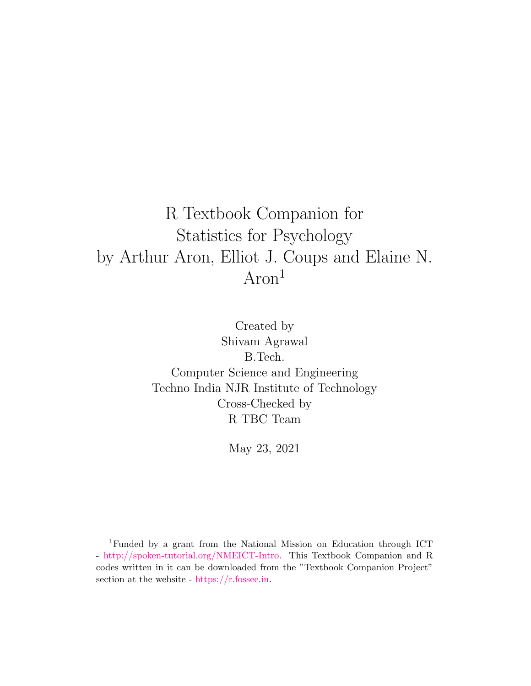### R Textbook Companion for Statistics for Psychology by Arthur Aron, Elliot J. Coups and Elaine N. Aron<sup>1</sup>

Created by Shivam Agrawal B.Tech. Computer Science and Engineering Techno India NJR Institute of Technology Cross-Checked by R TBC Team

May 23, 2021

<sup>1</sup>Funded by a grant from the National Mission on Education through ICT - [http://spoken-tutorial.org/NMEICT-Intro.](http://spoken-tutorial.org/NMEICT-Intro) This Textbook Companion and R codes written in it can be downloaded from the "Textbook Companion Project" section at the website - [https://r.fossee.in.](https://r.fossee.in)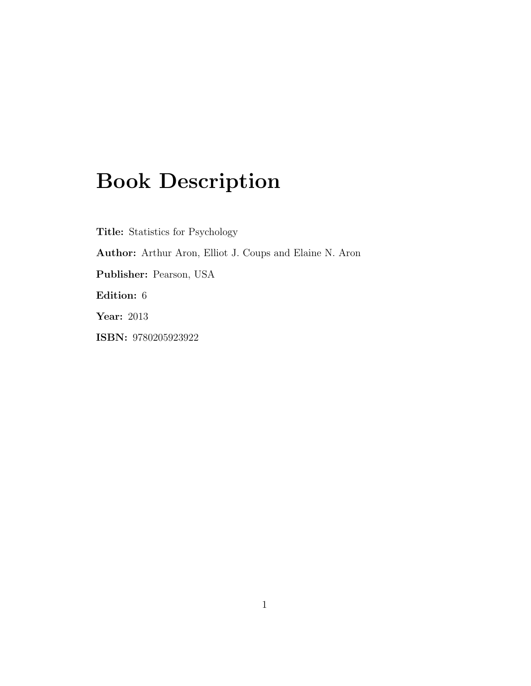## Book Description

Title: Statistics for Psychology Author: Arthur Aron, Elliot J. Coups and Elaine N. Aron Publisher: Pearson, USA Edition: 6 Year: 2013 ISBN: 9780205923922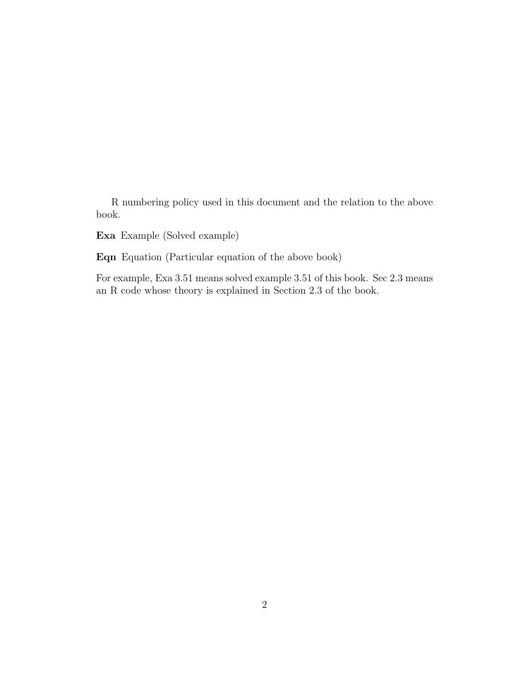R numbering policy used in this document and the relation to the above book.

Exa Example (Solved example)

Eqn Equation (Particular equation of the above book)

For example, Exa 3.51 means solved example 3.51 of this book. Sec 2.3 means an R code whose theory is explained in Section 2.3 of the book.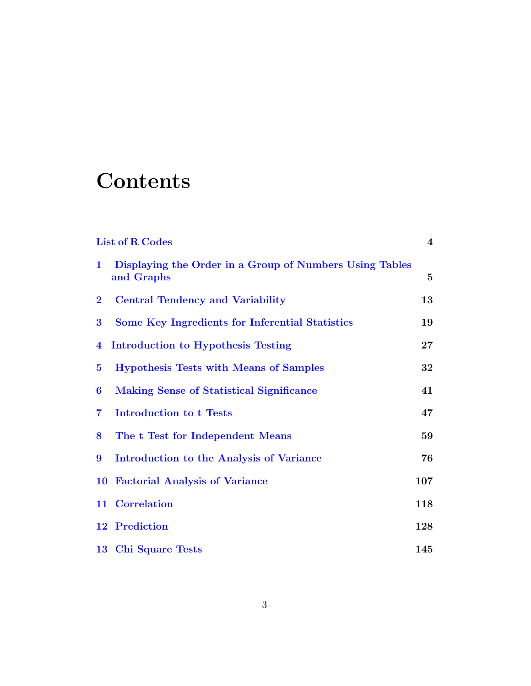## **Contents**

| <b>List of R Codes</b>  |                                                                       | $\overline{4}$ |
|-------------------------|-----------------------------------------------------------------------|----------------|
| $\mathbf{1}$            | Displaying the Order in a Group of Numbers Using Tables<br>and Graphs | $\overline{5}$ |
| $\bf{2}$                | <b>Central Tendency and Variability</b>                               | 13             |
| $\bf{3}$                | Some Key Ingredients for Inferential Statistics                       | 19             |
| $\overline{4}$          | Introduction to Hypothesis Testing                                    | $27\,$         |
| $\bf{5}$                | <b>Hypothesis Tests with Means of Samples</b>                         | 32             |
| 6                       | <b>Making Sense of Statistical Significance</b>                       | 41             |
| $\overline{\mathbf{7}}$ | <b>Introduction to t Tests</b>                                        | 47             |
| 8                       | The t Test for Independent Means                                      | 59             |
| 9                       | Introduction to the Analysis of Variance                              | 76             |
| <b>10</b>               | <b>Factorial Analysis of Variance</b>                                 | 107            |
|                         | 11 Correlation                                                        | 118            |
|                         | 12 Prediction                                                         | 128            |
|                         | 13 Chi Square Tests                                                   | 145            |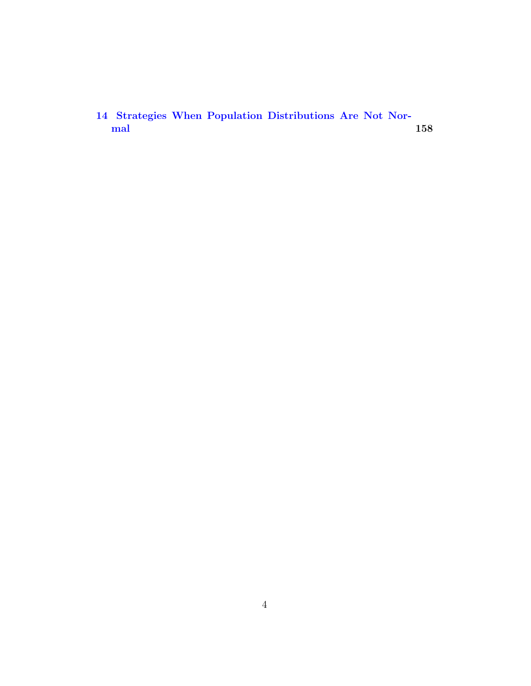[14 Strategies When Population Distributions Are Not Nor](#page-163-0) $\rm{mal}$  $\rm{mal}$  $\rm{mal}$  and the contract of  $\sim$  158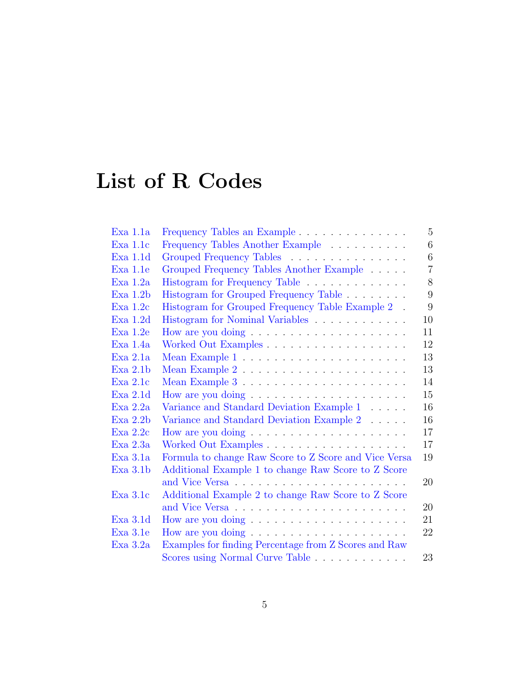# <span id="page-5-0"></span>List of R Codes

| Exa 1.1a | Frequency Tables an Example                           | 5              |
|----------|-------------------------------------------------------|----------------|
| Exa 1.1c | Frequency Tables Another Example                      | 6              |
| Exa 1.1d | Grouped Frequency Tables                              | 6              |
| Exa 1.1e | Grouped Frequency Tables Another Example              | $\overline{7}$ |
| Exa 1.2a | Histogram for Frequency Table                         | 8              |
| Exa 1.2b | Histogram for Grouped Frequency Table                 | 9              |
| Exa 1.2c | Histogram for Grouped Frequency Table Example 2 .     | 9              |
| Exa 1.2d | Histogram for Nominal Variables                       | 10             |
| Exa 1.2e |                                                       | 11             |
| Exa 1.4a | Worked Out Examples                                   | 12             |
| Exa 2.1a |                                                       | 13             |
| Exa 2.1b |                                                       | 13             |
| Exa 2.1c |                                                       | 14             |
| Exa 2.1d |                                                       | 15             |
| Exa 2.2a | Variance and Standard Deviation Example 1             | 16             |
| Exa 2.2b | Variance and Standard Deviation Example 2             | 16             |
| Exa 2.2c |                                                       | 17             |
| Exa 2.3a |                                                       | 17             |
| Exa 3.1a | Formula to change Raw Score to Z Score and Vice Versa | 19             |
| Exa 3.1b | Additional Example 1 to change Raw Score to Z Score   |                |
|          |                                                       | 20             |
| Exa 3.1c | Additional Example 2 to change Raw Score to Z Score   |                |
|          |                                                       | 20             |
| Exa 3.1d |                                                       | 21             |
| Exa 3.1e |                                                       | 22             |
| Exa 3.2a | Examples for finding Percentage from Z Scores and Raw |                |
|          | Scores using Normal Curve Table                       | 23             |
|          |                                                       |                |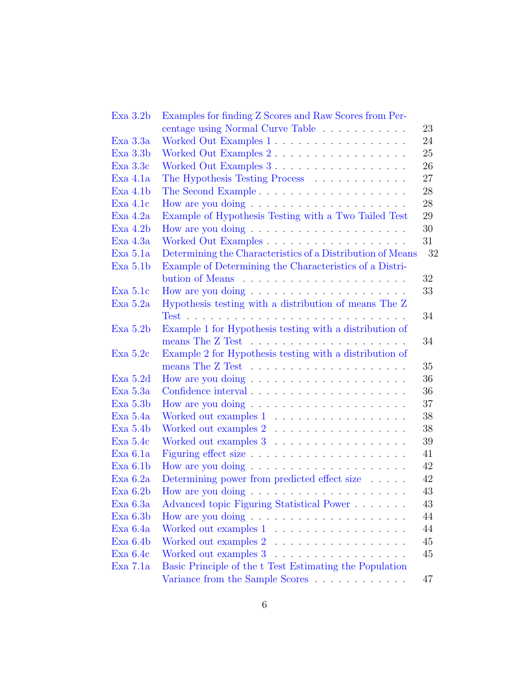| Exa 3.2b    | Examples for finding Z Scores and Raw Scores from Per-                 |    |
|-------------|------------------------------------------------------------------------|----|
|             | centage using Normal Curve Table                                       | 23 |
| Exa 3.3a    | Worked Out Examples 1                                                  | 24 |
| Exa 3.3b    | Worked Out Examples 2.                                                 | 25 |
| Exa 3.3c    | Worked Out Examples 3                                                  | 26 |
| Exa 4.1a    | The Hypothesis Testing Process                                         | 27 |
| Exa 4.1b    |                                                                        | 28 |
| Exa 4.1c    |                                                                        | 28 |
| Exa 4.2a    | Example of Hypothesis Testing with a Two Tailed Test                   | 29 |
| Exa 4.2b    | How are you doing $\dots \dots \dots \dots \dots \dots$                | 30 |
| Exa 4.3a    |                                                                        | 31 |
| Exa 5.1a    | Determining the Characteristics of a Distribution of Means             | 32 |
| Exa 5.1b    | Example of Determining the Characteristics of a Distri-                |    |
|             |                                                                        | 32 |
| Exa 5.1c    | How are you doing $\dots \dots \dots \dots \dots \dots$                | 33 |
| Exa 5.2a    | Hypothesis testing with a distribution of means The Z                  |    |
|             | $Test \ldots \ldots \ldots \ldots \ldots \ldots \ldots \ldots \ldots$  | 34 |
| Exa 5.2b    | Example 1 for Hypothesis testing with a distribution of                |    |
|             |                                                                        | 34 |
| Exa 5.2c    | Example 2 for Hypothesis testing with a distribution of                |    |
|             | means The $Z$ Test $\ldots \ldots \ldots \ldots \ldots \ldots \ldots$  | 35 |
| Exa 5.2d    | How are you doing $\dots \dots \dots \dots \dots \dots$                | 36 |
| Exa 5.3a    | Confidence interval $\ldots \ldots \ldots \ldots \ldots \ldots \ldots$ | 36 |
| Exa 5.3b    |                                                                        | 37 |
| Exa 5.4a    |                                                                        | 38 |
| Exa 5.4b    | Worked out examples $2 \ldots \ldots \ldots \ldots \ldots$             | 38 |
| Exa 5.4c    | Worked out examples 3                                                  | 39 |
| Exa 6.1a    |                                                                        | 41 |
| Exa 6.1b    |                                                                        | 42 |
| Exa 6.2a    | Determining power from predicted effect size                           | 42 |
| Exa 6.2b    |                                                                        | 43 |
| Exa 6.3a    | Advanced topic Figuring Statistical Power                              | 43 |
| Exa 6.3b    |                                                                        | 44 |
| Exa 6.4a    | Worked out examples 1                                                  | 44 |
| Exa $6.4b$  |                                                                        | 45 |
| $Exa\ 6.4c$ |                                                                        | 45 |
| Exa 7.1a    | Basic Principle of the t Test Estimating the Population                |    |
|             | Variance from the Sample Scores                                        | 47 |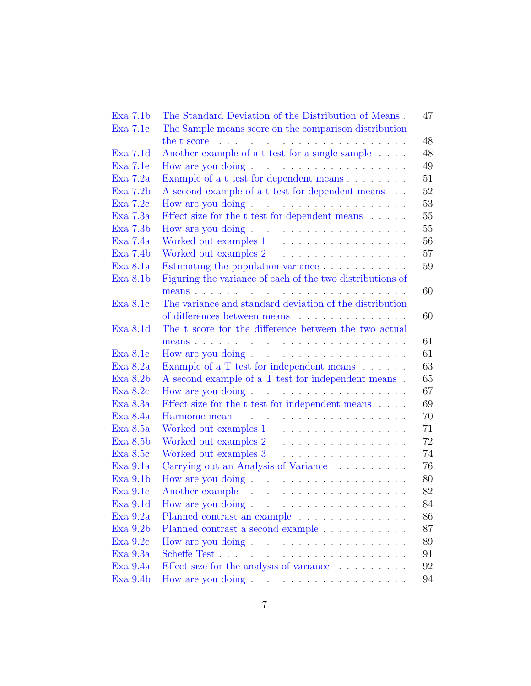| Exa 7.1b   | The Standard Deviation of the Distribution of Means.<br>47                                                                                                                                                                           |
|------------|--------------------------------------------------------------------------------------------------------------------------------------------------------------------------------------------------------------------------------------|
| Exa 7.1c   | The Sample means score on the comparison distribution                                                                                                                                                                                |
|            | 48<br>the t score in the second service in the second service in the second service in the second service in the service in the service in the service in the service in the service in the service in the service in the service in |
| Exa 7.1d   | Another example of a t test for a single sample<br>48                                                                                                                                                                                |
| Exa 7.1e   | 49<br>How are you doing $\dots \dots \dots \dots \dots \dots$                                                                                                                                                                        |
| Exa 7.2a   | 51<br>Example of a t test for dependent means                                                                                                                                                                                        |
| Exa 7.2b   | 52<br>A second example of a t test for dependent means.                                                                                                                                                                              |
| Exa 7.2c   | 53                                                                                                                                                                                                                                   |
| Exa 7.3a   | Effect size for the $t$ test for dependent means<br>$\hfill\ldots\ldots$<br>55                                                                                                                                                       |
| Exa 7.3b   | 55                                                                                                                                                                                                                                   |
| Exa 7.4a   | 56<br>Worked out examples 1                                                                                                                                                                                                          |
| Exa 7.4b   | 57<br>Worked out examples $2 \ldots \ldots \ldots \ldots \ldots$                                                                                                                                                                     |
| Exa 8.1a   | 59                                                                                                                                                                                                                                   |
| Exa 8.1b   | Figuring the variance of each of the two distributions of                                                                                                                                                                            |
|            | 60                                                                                                                                                                                                                                   |
| Exa 8.1c   | The variance and standard deviation of the distribution                                                                                                                                                                              |
|            | of differences between means<br>60                                                                                                                                                                                                   |
| Exa 8.1d   | The t score for the difference between the two actual                                                                                                                                                                                |
|            | 61                                                                                                                                                                                                                                   |
| Exa 8.1e   | 61                                                                                                                                                                                                                                   |
| Exa 8.2a   | 63<br>Example of a T test for independent means                                                                                                                                                                                      |
| Exa 8.2b   | 65<br>A second example of a T test for independent means.                                                                                                                                                                            |
| Exa 8.2c   | 67                                                                                                                                                                                                                                   |
| Exa 8.3a   | Effect size for the $t$ test for independent means $\ldots$ .<br>69                                                                                                                                                                  |
| Exa 8.4a   | 70                                                                                                                                                                                                                                   |
| Exa 8.5a   | 71<br>Worked out examples 1                                                                                                                                                                                                          |
| Exa 8.5b   | 72<br>Worked out examples $2 \ldots \ldots \ldots \ldots \ldots$                                                                                                                                                                     |
| Exa 8.5c   | 74<br>Worked out examples 3                                                                                                                                                                                                          |
| Exa 9.1a   | 76<br>Carrying out an Analysis of Variance                                                                                                                                                                                           |
| $Exa$ 9.1b | 80                                                                                                                                                                                                                                   |
| Exa 9.1c   | 82                                                                                                                                                                                                                                   |
| Exa 9.1d   | 84                                                                                                                                                                                                                                   |
| Exa 9.2a   | Planned contrast an example<br>86                                                                                                                                                                                                    |
| Exa 9.2b   | 87<br>Planned contrast a second example                                                                                                                                                                                              |
| Exa 9.2c   | 89                                                                                                                                                                                                                                   |
| Exa 9.3a   | 91                                                                                                                                                                                                                                   |
| Exa 9.4a   | Effect size for the analysis of variance<br>92                                                                                                                                                                                       |
| Exa 9.4b   | 94                                                                                                                                                                                                                                   |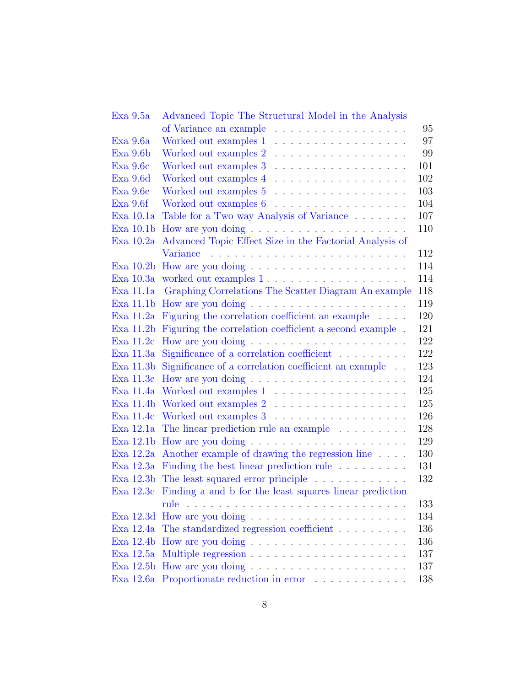| Exa 9.5a      | Advanced Topic The Structural Model in the Analysis                                                                                                                                                                            |     |
|---------------|--------------------------------------------------------------------------------------------------------------------------------------------------------------------------------------------------------------------------------|-----|
|               | of Variance an example<br>.                                                                                                                                                                                                    | 95  |
| Exa 9.6a      | Worked out examples 1<br>.                                                                                                                                                                                                     | 97  |
| $Exa$ 9.6 $b$ | Worked out examples 2<br>.                                                                                                                                                                                                     | 99  |
| Exa 9.6c      | Worked out examples 3<br>.                                                                                                                                                                                                     | 101 |
| Exa 9.6d      | Worked out examples 4<br>.                                                                                                                                                                                                     | 102 |
| Exa 9.6e      | Worked out examples 5<br>.                                                                                                                                                                                                     | 103 |
| Exa 9.6f      | Worked out examples 6                                                                                                                                                                                                          | 104 |
| Exa 10.1a     | Table for a Two way Analysis of Variance                                                                                                                                                                                       | 107 |
| Exa 10.1b     |                                                                                                                                                                                                                                | 110 |
| Exa 10.2a     | Advanced Topic Effect Size in the Factorial Analysis of                                                                                                                                                                        |     |
|               | Variance                                                                                                                                                                                                                       | 112 |
| Exa 10.2b     |                                                                                                                                                                                                                                | 114 |
| Exa 10.3a     | worked out examples 1                                                                                                                                                                                                          | 114 |
| Exa 11.1a     | Graphing Correlations The Scatter Diagram An example                                                                                                                                                                           | 118 |
| Exa 11.1b     |                                                                                                                                                                                                                                | 119 |
| Exa 11.2a     | Figuring the correlation coefficient an example                                                                                                                                                                                | 120 |
| Exa 11.2b     | Figuring the correlation coefficient a second example.                                                                                                                                                                         | 121 |
| Exa 11.2c     |                                                                                                                                                                                                                                | 122 |
| Exa 11.3a     | Significance of a correlation coefficient                                                                                                                                                                                      | 122 |
| Exa 11.3b     | Significance of a correlation coefficient an example                                                                                                                                                                           | 123 |
| Exa 11.3c     | How are you doing $\dots \dots \dots \dots \dots \dots$                                                                                                                                                                        | 124 |
| Exa 11.4a     | Worked out examples 1                                                                                                                                                                                                          | 125 |
| Exa 11.4b     | Worked out examples 2                                                                                                                                                                                                          | 125 |
| Exa 11.4c     |                                                                                                                                                                                                                                | 126 |
| Exa 12.1a     | The linear prediction rule an example entitled in the set of the set of the set of the set of the set of the set of the set of the set of the set of the set of the set of the set of the set of the set of the set of the set | 128 |
| Exa 12.1b     |                                                                                                                                                                                                                                | 129 |
|               | Exa 12.2a Another example of drawing the regression line                                                                                                                                                                       | 130 |
| Exa 12.3a     | Finding the best linear prediction rule                                                                                                                                                                                        | 131 |
|               | Exa 12.3b The least squared error principle                                                                                                                                                                                    | 132 |
|               | Exa 12.3c Finding a and b for the least squares linear prediction                                                                                                                                                              |     |
|               | rule                                                                                                                                                                                                                           | 133 |
| Exa 12.3d     |                                                                                                                                                                                                                                | 134 |
| Exa 12.4a     | The standardized regression coefficient                                                                                                                                                                                        | 136 |
| Exa 12.4b     |                                                                                                                                                                                                                                | 136 |
| Exa 12.5a     |                                                                                                                                                                                                                                | 137 |
| Exa 12.5b     |                                                                                                                                                                                                                                | 137 |
|               | Exa 12.6a Proportionate reduction in error                                                                                                                                                                                     | 138 |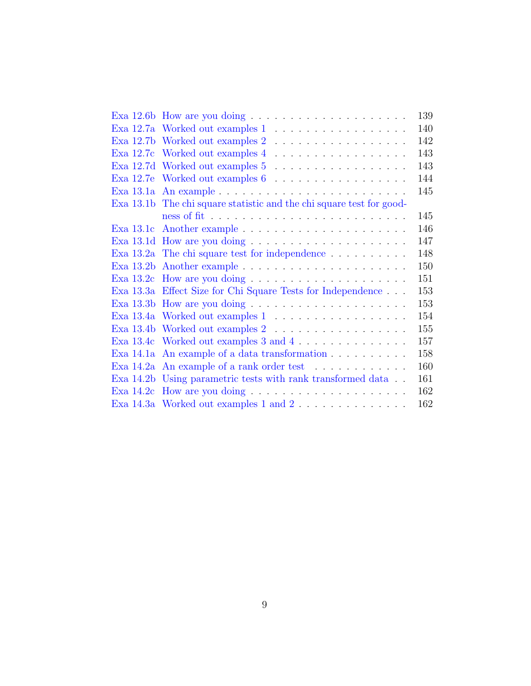|           | Exa 12.6b How are you doing $\ldots \ldots \ldots \ldots \ldots \ldots \ldots$ | 139 |
|-----------|--------------------------------------------------------------------------------|-----|
|           |                                                                                | 140 |
|           |                                                                                | 142 |
|           |                                                                                | 143 |
|           | Exa 12.7d Worked out examples 5                                                | 143 |
|           | Exa 12.7e Worked out examples $6 \ldots \ldots \ldots \ldots \ldots$           | 144 |
|           |                                                                                | 145 |
|           | Exa 13.1b The chi square statistic and the chi square test for good-           |     |
|           |                                                                                | 145 |
| Exa 13.1c |                                                                                | 146 |
|           |                                                                                | 147 |
|           | Exa $13.2a$ The chi square test for independence $\dots \dots \dots$           | 148 |
|           |                                                                                | 150 |
|           |                                                                                | 151 |
|           | Exa 13.3a Effect Size for Chi Square Tests for Independence                    | 153 |
|           |                                                                                | 153 |
|           | Exa 13.4a Worked out examples 1                                                | 154 |
|           | Exa 13.4b Worked out examples 2                                                | 155 |
|           | Exa 13.4c Worked out examples 3 and 4                                          | 157 |
|           | Exa $14.1a$ An example of a data transformation $\ldots \ldots \ldots$         | 158 |
|           | Exa $14.2a$ An example of a rank order test $\dots \dots \dots$                | 160 |
|           | Exa 14.2b Using parametric tests with rank transformed data                    | 161 |
|           |                                                                                | 162 |
|           | Exa 14.3a Worked out examples 1 and $2 \ldots \ldots \ldots \ldots$            | 162 |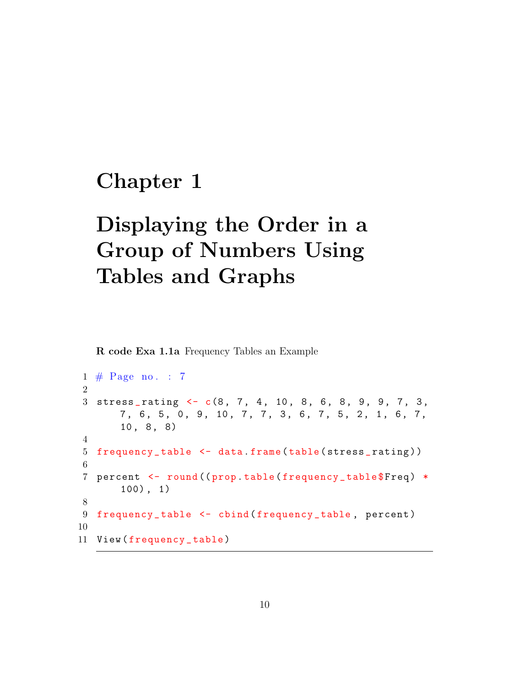#### <span id="page-10-0"></span>Chapter 1

# Displaying the Order in a Group of Numbers Using Tables and Graphs

<span id="page-10-1"></span>R code Exa 1.1a Frequency Tables an Example

```
1 \# \text{Page no. : 7}2
3 \text{ stress\_rating} \leftarrow c(8, 7, 4, 10, 8, 6, 8, 9, 9, 7, 3,7, 6, 5, 0, 9, 10, 7, 7, 3, 6, 7, 5, 2, 1, 6, 7,
       10, 8, 8)4
5 frequency _ table <- data . frame ( table ( stress _ rating ) )
6
7 percent <- round ((prop.table (frequency_table $ Freq) *
       100) , 1)
8
9 frequency_table <- cbind (frequency_table, percent)
10
11 View (frequency_table)
```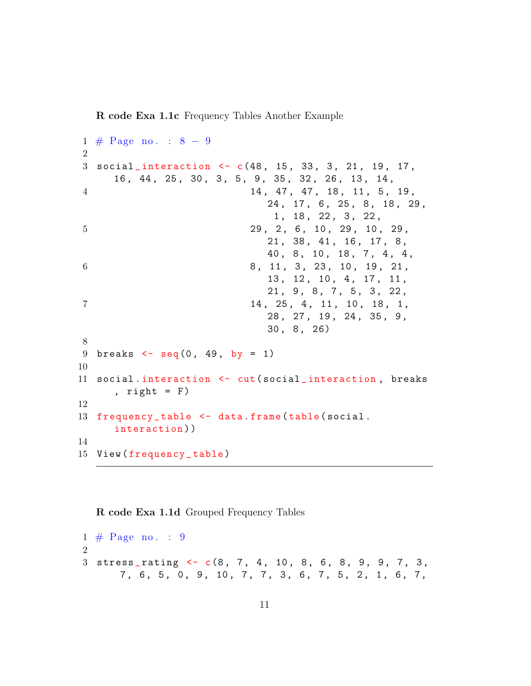R code Exa 1.1c Frequency Tables Another Example

```
1 \# \text{Page no. : } 8 - 92
3 social interaction \leq c(48, 15, 33, 3, 21, 19, 17,16 , 44 , 25 , 30 , 3, 5 , 9 , 35 , 32 , 26 , 13 , 14 ,
4 14, 47, 47, 18, 11, 5, 19,
                            24, 17, 6, 25, 8, 18, 29,
                             1, 18, 22, 3, 22,
5 29, 2, 6, 10, 29, 10, 29,
                            21 , 38 , 41 , 16 , 17 , 8 ,
                            40, 8, 10, 18, 7, 4, 4,
6 8, 11, 3, 23, 10, 19, 21,
                            13, 12, 10, 4, 17, 11,
                            21, 9, 8, 7, 5, 3, 22,
7 14, 25, 4, 11, 10, 18, 1,
                            28 , 27 , 19 , 24 , 35 , 9 ,
                            30 , 8 , 26)
8
9 breaks \leq - seq(0, 49, by = 1)
10
11 social.interaction <- cut (social_interaction, breaks
     , right = F)
12
13 frequency_table <- data.frame(table(social.
     interaction ) )
14
15 View ( frequency _ table )
```
#### <span id="page-11-0"></span>R code Exa 1.1d Grouped Frequency Tables

 $1 \# \text{Page no. : } 9$ 2  $3 \text{ stress\_rating} \leftarrow c(8, 7, 4, 10, 8, 6, 8, 9, 9, 7, 3,$ 7, 6, 5, 0, 9, 10, 7, 7, 3, 6, 7, 5, 2, 1, 6, 7,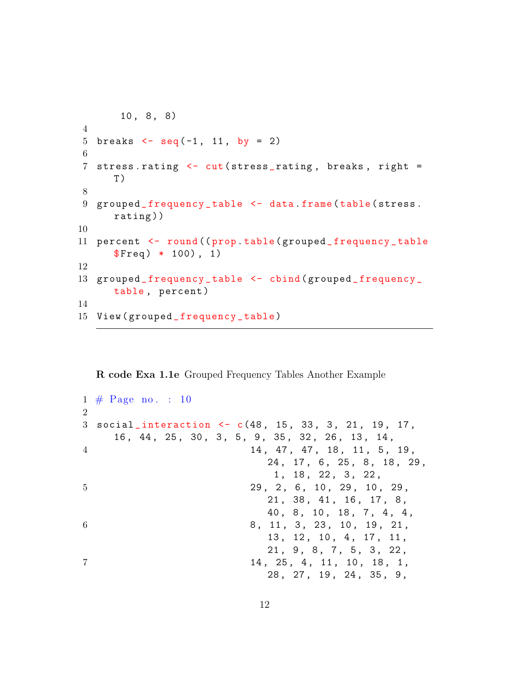```
10 , 8 , 8)
4
5 breaks \leq seq (-1, 11, by = 2)6
7 stress.rating <- cut (stress_rating, breaks, right =
      T )
8
9 grouped_frequency_table <- data.frame(table(stress.
      rating ) )
10
11 percent <- round (( prop . table ( grouped _ frequency _ table
      $Freq) * 100), 1)12
13 grouped_frequency_table <- cbind (grouped_frequency_
      table, percent)
14
15 View ( grouped _ frequency _ table )
```
<span id="page-12-0"></span>R code Exa 1.1e Grouped Frequency Tables Another Example

```
1 \# \text{Page no. : } 10\mathcal{D}_{\mathcal{L}}3 social_interaction <- c(48, 15, 33, 3, 21, 19, 17,
    16 , 44 , 25 , 30 , 3, 5 , 9 , 35 , 32 , 26 , 13 , 14 ,
4 14, 47, 47, 18, 11, 5, 19,
                            24 , 17 , 6 , 25 , 8 , 18 , 29 ,
                            1, 18, 22, 3, 22,
5 29, 2, 6, 10, 29, 10, 29,
                            21 , 38 , 41 , 16 , 17 , 8 ,
                            40, 8, 10, 18, 7, 4, 4,
6 8, 11, 3, 23, 10, 19, 21,
                            13 , 12 , 10 , 4 , 17 , 11 ,
                            21, 9, 8, 7, 5, 3, 22,
7 14, 25, 4, 11, 10, 18, 1,
                            28 , 27 , 19 , 24 , 35 , 9 ,
```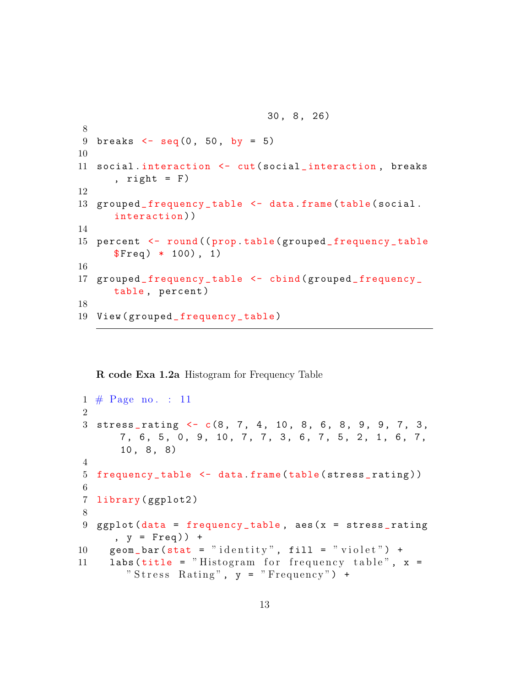```
8
9 breaks \leq - seq (0, 50, by = 5)10
11 social.interaction <- cut (social_interaction, breaks
      , right = F)
12
13 grouped_frequency_table <- data.frame(table(social.
      interaction ) )
14
15 percent <- round (( prop . table ( grouped _ frequency _ table
      $Freq) * 100), 1)16
17 grouped_frequency_table <- cbind (grouped_frequency_
      table, percent)
18
19 View ( grouped _ frequency _ table )
```
30 , 8 , 26)

<span id="page-13-0"></span>R code Exa 1.2a Histogram for Frequency Table

```
1 \# \text{Page no. : } 11\mathfrak{D}3 stress_rating <- c(8, 7, 4, 10, 8, 6, 8, 9, 9, 7, 3,
       7, 6, 5, 0, 9, 10, 7, 7, 3, 6, 7, 5, 2, 1, 6, 7,
       10, 8, 8)4
5 frequency_table <- data.frame(table(stress_rating))
6
7 library ( ggplot2 )
8
9 ggplot (data = frequency_table, aes (x = stress\_rating), y = Freq() +10 geom_bar(stat = "identity", fill = "violet") +11 labs (title = "Histogram for frequency table", x =" Stress Rating", y = "Frequency") +
```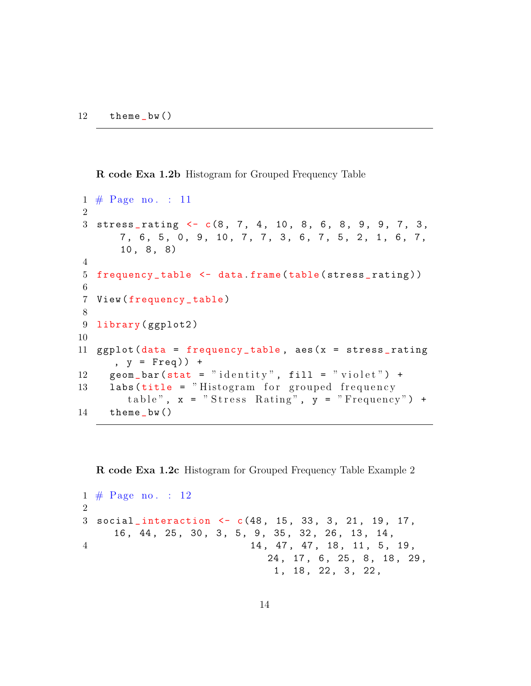<span id="page-14-0"></span>R code Exa 1.2b Histogram for Grouped Frequency Table

```
1 \# \text{Page no. : } 112
3 stress_rating \lt - c(8, 7, 4, 10, 8, 6, 8, 9, 9, 7, 3,7, 6, 5, 0, 9, 10, 7, 7, 3, 6, 7, 5, 2, 1, 6, 7,
       10, 8, 8)4
5 frequency_table <- data.frame(table(stress_rating))
6
7 View ( frequency _ table )
8
9 library (ggplot2)
10
11 ggplot (data = frequency_table, aes(x = stress\_rating), y = Freq() +12 geom_bar(stat = "identity", fill = "violet") +
13 labs (title = "Histogram for grouped frequency
        table", x = "Stress Rating", y = "Frequency") +
14 theme bw()
```
<span id="page-14-1"></span>R code Exa 1.2c Histogram for Grouped Frequency Table Example 2

```
1 \# \text{Page no. : } 122
3 social interaction \leftarrow c(48, 15, 33, 3, 21, 19, 17,16 , 44 , 25 , 30 , 3, 5 , 9 , 35 , 32 , 26 , 13 , 14 ,
4 14, 47, 47, 18, 11, 5, 19,
                              24, 17, 6, 25, 8, 18, 29,
                               1, 18, 22, 3, 22,
```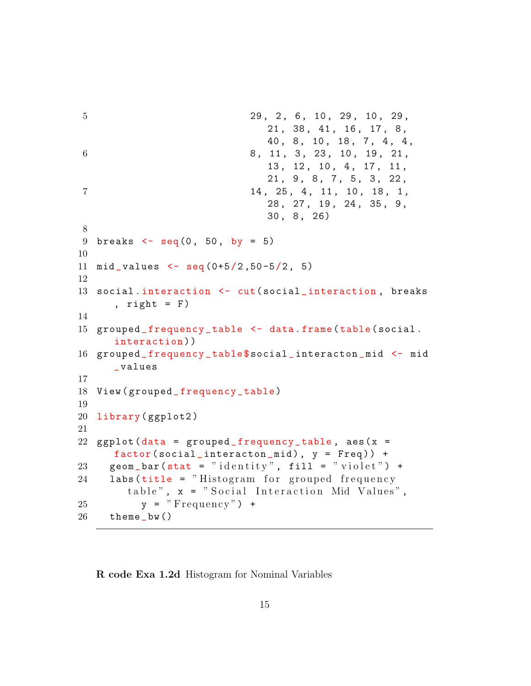```
5 29, 2, 6, 10, 29, 10, 29,
                             21 , 38 , 41 , 16 , 17 , 8 ,
                             40, 8, 10, 18, 7, 4, 4,
6 8, 11, 3, 23, 10, 19, 21,
                             13 , 12 , 10 , 4 , 17 , 11 ,
                             21, 9, 8, 7, 5, 3, 22,
7 14, 25, 4, 11, 10, 18, 1,
                             28 , 27 , 19 , 24 , 35 , 9 ,
                             30 , 8 , 26)
8
9 breaks \leq - seq(0, 50, by = 5)
10
11 mid_values \leq seq (0+5/2, 50-5/2, 5)12
13 social.interaction <- cut (social_interaction, breaks
     , right = F)
14
15 grouped_frequency_table <- data.frame(table(social.
     interaction ) )
16 grouped _ frequency _ table $ social _ interacton _mid <- mid
     _ values
17
18 View (grouped_frequency_table)
19
20 library ( ggplot2 )
21
22 ggplot (data = grouped\_frequency_table, aes(x =factor (social_intereston\_mid), y = Freq) +
23 geom_bar(stat = "identity", fill = "violet") +
24 labs (title = "Histogram for grouped frequency
       table", x = "Social Interaction Mid Values",
25 \qquad y = "Frequency") +26 theme _bw ()
```
<span id="page-15-0"></span>R code Exa 1.2d Histogram for Nominal Variables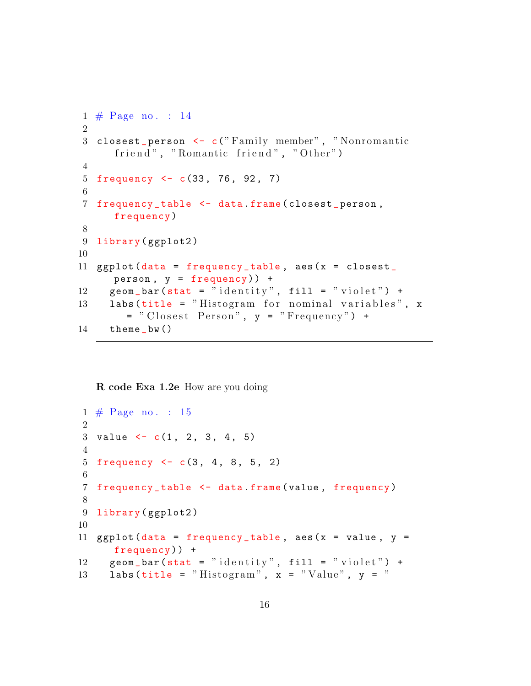```
1 \# \text{Page no. : } 142
3 closest_person <- c("Family member", "Nonromantic
      friend", "Romantic friend", "Other")
4
5 frequency <- c(33, 76, 92, 7)
6
7 frequency _ table <- data . frame ( closest _ person ,
      frequency )
8
9 library (ggplot2)
10
11 ggplot (data = frequency_table, aes (x = c \cdot \text{loss} tperson , y = frequency ) ) +
12 geom_bar(stat = "identity", fill = "violet") +13 labs (\text{title} = "Histogram for nominal variables", x
        = " Closest Person", y = "Frequency") +
14 theme_bw()
```
#### <span id="page-16-0"></span>R code Exa 1.2e How are you doing

```
1 \# \text{Page no. : } 152
3 value \leftarrow c(1, 2, 3, 4, 5)4
5 frequency <-c(3, 4, 8, 5, 2)6
7 frequency _ table <- data . frame ( value , frequency )
8
9 library (ggplot2)
10
11 ggplot (data = frequency_table, aes (x = value, y =frequency ) ) +
12 geom_bar(stat = "identity", fill = "violet") +
13 labs (title = "Histogram", x = "Value", y = "
```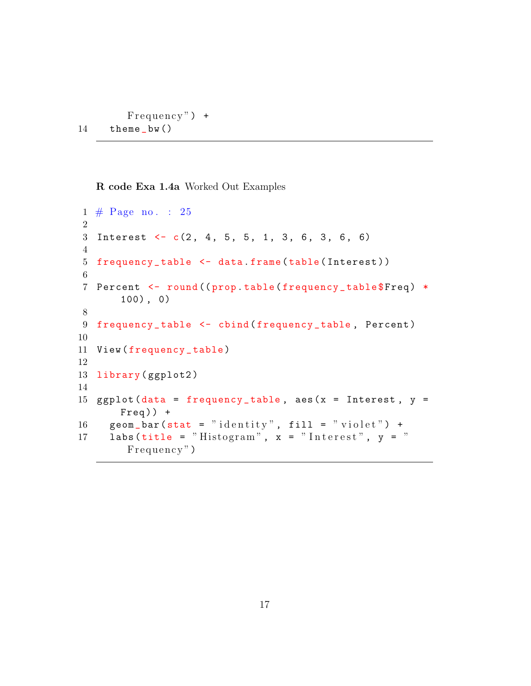```
F requency" )+14 theme_bw()
```
<span id="page-17-0"></span>R code Exa 1.4a Worked Out Examples

```
1 \# \text{Page no. : } 252
3 Interest \leftarrow c(2, 4, 5, 5, 1, 3, 6, 3, 6, 6)4
5 frequency _ table <- data . frame ( table ( Interest ) )
6
7 Percent <- round ((prop.table (frequency_table$Freq) *
       100) , 0)
8
9 frequency_table <- cbind (frequency_table, Percent)
10
11 View (frequency_table)
12
13 library (ggplot2)
14
15 ggplot (data = frequency_table, aes (x = Interest, y =Freq) +
16 geom_bar(stat = "identity", fill = "violet") +
17 labs (title = "Histogram", x = "Interest", y = "Frequency")
```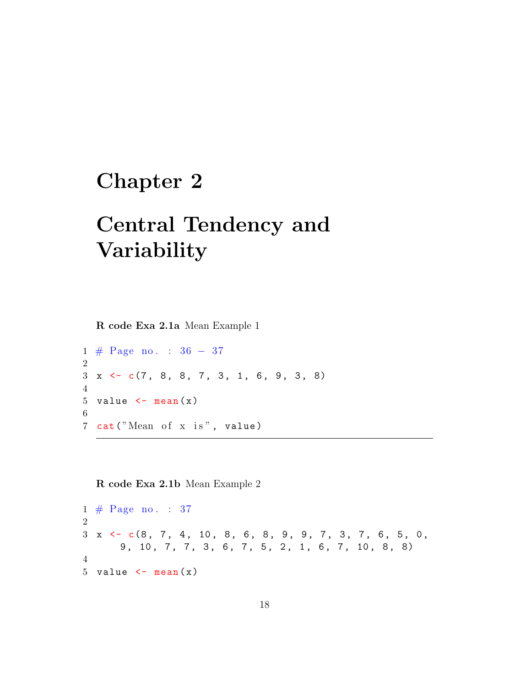#### <span id="page-18-0"></span>Chapter 2

## Central Tendency and Variability

<span id="page-18-1"></span>R code Exa 2.1a Mean Example 1

1 # Page no . : 36 − 37 2  $3 \times \leftarrow c(7, 8, 8, 7, 3, 1, 6, 9, 3, 8)$ 4 5 value  $\leq$  mean  $(x)$ 6 7 cat ("Mean of x is", value)

<span id="page-18-2"></span>R code Exa 2.1b Mean Example 2

 $1 \# \text{Page no. : } 37$ 2  $3 \times \leftarrow c(8, 7, 4, 10, 8, 6, 8, 9, 9, 7, 3, 7, 6, 5, 0,$ 9, 10, 7, 7, 3, 6, 7, 5, 2, 1, 6, 7, 10, 8, 8) 4 5 value  $\leq$  mean  $(x)$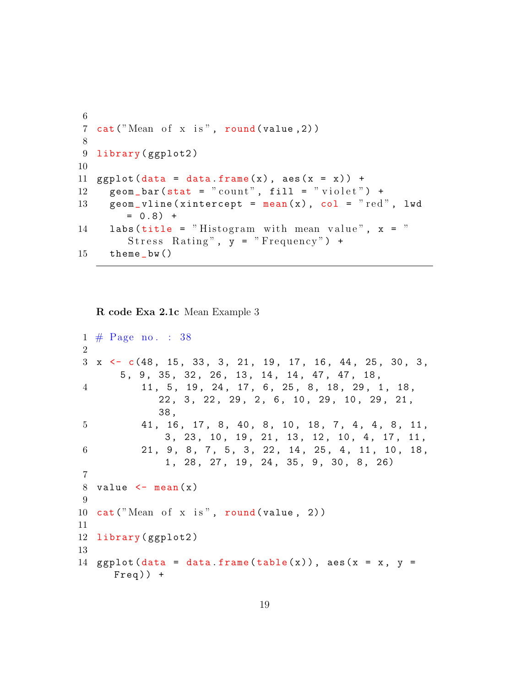```
6
7 cat ("Mean of x is", round (value, 2))
8
9 library (ggplot2)
10
11 ggplot (data = data frame(x), aes(x = x)) +12 geom_bar(stat = "count", fill = "violet") +
13 geom_vline (xintercept = mean (x), col = "red", lwd
        = 0.8) +
14 labs (title = "Histogram with mean value", x ="
        Stress Rating", y = "Frequency") +
15 theme _bw ()
```
<span id="page-19-0"></span>R code Exa 2.1c Mean Example 3

```
1 \# \text{Page no. : } 382
3 \times \leftarrow c(48, 15, 33, 3, 21, 19, 17, 16, 44, 25, 30, 3,5 , 9 , 35 , 32 , 26 , 13 , 14 , 14 , 47 , 47 , 18 ,
4 11, 5, 19, 24, 17, 6, 25, 8, 18, 29, 1, 18,
             22, 3, 22, 29, 2, 6, 10, 29, 10, 29, 21,
             38 ,
5 41, 16, 17, 8, 40, 8, 10, 18, 7, 4, 4, 8, 11,
              3 , 23 , 10 , 19 , 21 , 13 , 12 , 10 , 4 , 17 , 11 ,
6 21, 9, 8, 7, 5, 3, 22, 14, 25, 4, 11, 10, 18,
              1 , 28 , 27 , 19 , 24 , 35 , 9 , 30 , 8 , 26)
7
8 value \leq mean (x)9
10 cat("Mean of x is", round(value, 2))11
12 library ( ggplot2 )
13
14 ggplot (data = data frame(table(x)), aes(x = x, y =Freq) +
```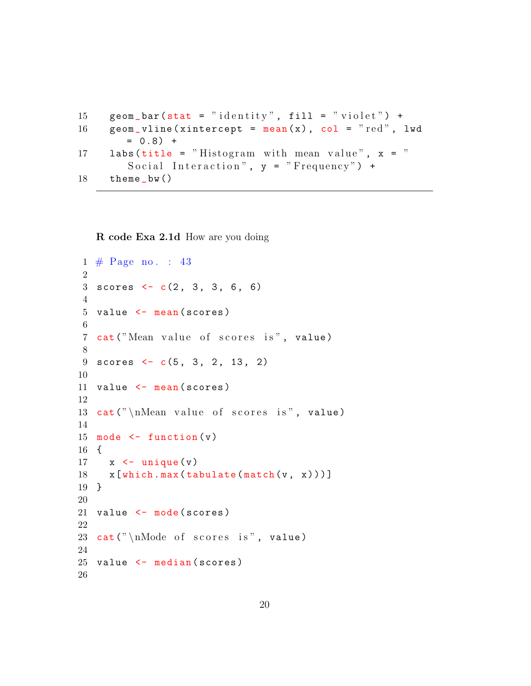```
15 geom_bar(stat = "identity", fill = "violet") +16 geom_vline (xintercept = mean(x), col = "red", lwd
       = 0.8) +
17 labs (title = "Histogram with mean value", x ="
       Social Interaction", y = "Frequency") +
18 theme _bw ()
```
<span id="page-20-0"></span>R code Exa 2.1d How are you doing

```
1 \# \text{Page no. : } 43\mathfrak{D}3 scores lt- c(2, 3, 3, 6, 6)4
5 value <- mean ( scores )
 6
7 cat ("Mean value of scores is", value)
8
9 scores lt- c(5, 3, 2, 13, 2)10
11 value <- mean (scores)
12
13 cat ("\hbarMean value of scores is", value)
14
15 mode \leftarrow function (v)16 {
17 \times < unique (v)18 \times \left[ \text{which.max}(\text{tabulate}(\text{match}(v, x))) \right]19 }
20
21 value \leq mode (scores)
22
23 cat ("\nabla) and \partial of scores is", value)
24
25 value \leq median (scores)
26
```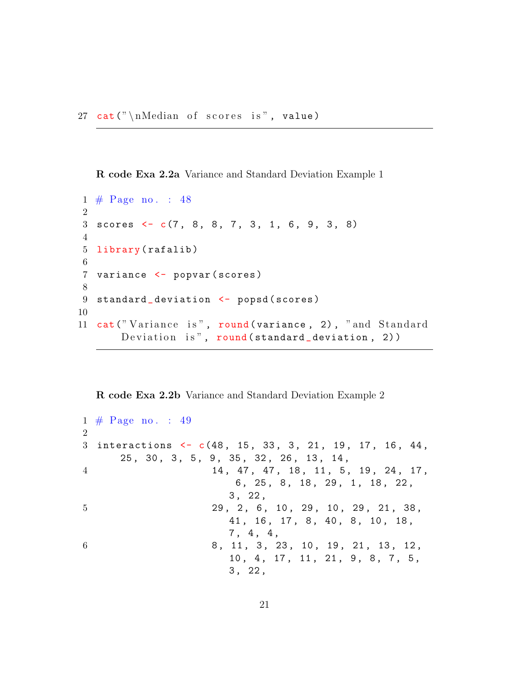<span id="page-21-0"></span>R code Exa 2.2a Variance and Standard Deviation Example 1

```
1 \# \text{Page no. : } 482
3 scores \leftarrow c(7, 8, 8, 7, 3, 1, 6, 9, 3, 8)4
5 library (rafalib)
6
7 variance <- popvar ( scores )
8
9 standard_deviation <- popsd (scores)
10
11 cat ("Variance is", round (variance, 2), "and Standard
       Deviation is", round(standard\_deviation, 2))
```
#### <span id="page-21-1"></span>R code Exa 2.2b Variance and Standard Deviation Example 2

```
1 \# \text{Page no. : } 49\Omega3 interactions <- c(48, 15, 33, 3, 21, 19, 17, 16, 44,
     25 , 30 , 3 , 5 , 9 , 35 , 32 , 26 , 13 , 14 ,
4 14, 47, 47, 18, 11, 5, 19, 24, 17,
                       6, 25, 8, 18, 29, 1, 18, 22,
                      3 , 22 ,
5 29, 2, 6, 10, 29, 10, 29, 21, 38,
                      41, 16, 17, 8, 40, 8, 10, 18,
                      7 , 4 , 4 ,
6 8, 11, 3, 23, 10, 19, 21, 13, 12,
                      10, 4, 17, 11, 21, 9, 8, 7, 5,
                      3 , 22 ,
```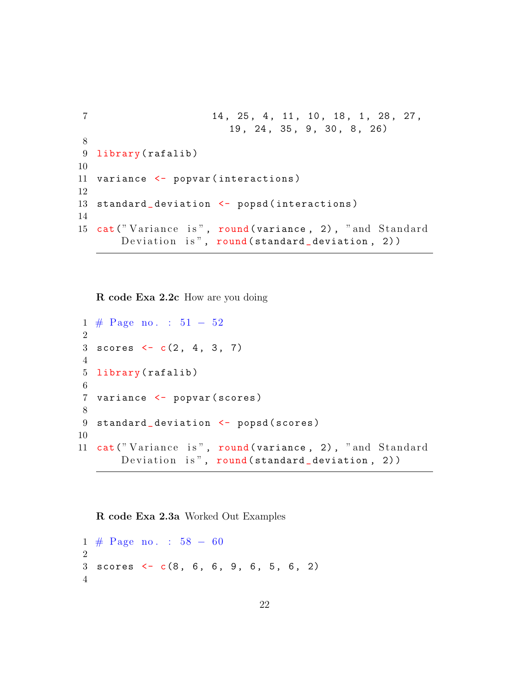```
7 14, 25, 4, 11, 10, 18, 1, 28, 27,
                        19 , 24 , 35 , 9 , 30 , 8 , 26)
8
9 library (rafalib)
10
11 variance <- popvar (interactions)
12
13 standard_deviation <- popsd (interactions)
14
15 cat ("Variance is", round (variance, 2), "and Standard
      Deviation is", round (standard_deviation, 2))
```
<span id="page-22-0"></span>R code Exa 2.2c How are you doing

```
1 \# \text{Page no. : } 51 - 522
3 scores \leftarrow c(2, 4, 3, 7)4
5 library (rafalib)
6
7 variance <- popvar ( scores )
8
9 standard_deviation <- popsd (scores)
10
11 cat ("Variance is", round (variance, 2), "and Standard
       Deviation is", round (standard_deviation, 2))
```

```
R code Exa 2.3a Worked Out Examples
```
 $1 \# \text{Page no.} : 58 - 60$ 2  $3$  scores  $\leftarrow$  c(8, 6, 6, 9, 6, 5, 6, 2) 4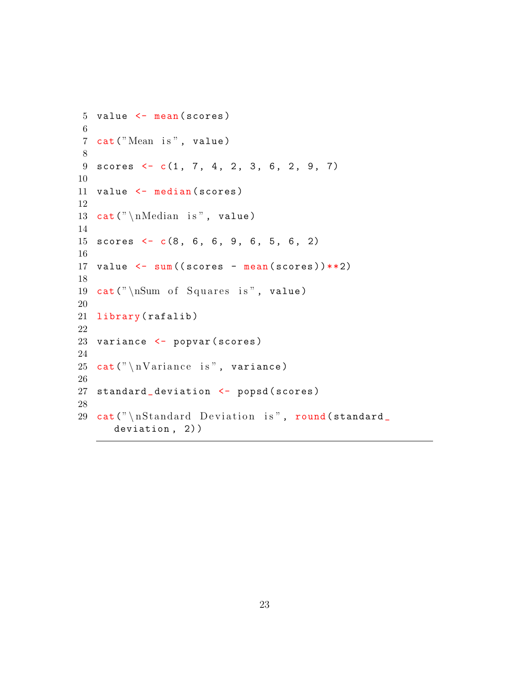```
5 value \leq mean (scores)
6
7 cat ("Mean is", value)
8
9 scores lt- c(1, 7, 4, 2, 3, 6, 2, 9, 7)10
11 value \leq median (scores)
12
13 cat (" \nMedian is", value)14
15 scores \leq c(8, 6, 6, 9, 6, 5, 6, 2)16
17 value \leftarrow sum ((scores - mean (scores)) ** 2)
18
19 cat ("\sum_{i=1}^{n} of Squares is", value)
20
21 library (rafalib)
22
23 variance <- popvar (scores)
24
25 cat (" \n\times x ariance is", variance)
26
27 standard_deviation <- popsd (scores)
28
29 cat (" \n\lambda x] cat (" \n\lambda x] and \lambda x deviation is", round (standard
       deviation, 2))
```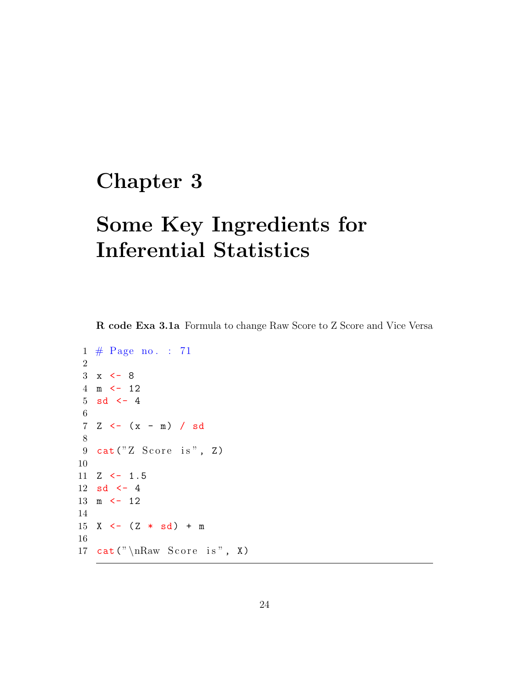## <span id="page-24-0"></span>Chapter 3

## Some Key Ingredients for Inferential Statistics

<span id="page-24-1"></span>R code Exa 3.1a Formula to change Raw Score to Z Score and Vice Versa

```
1 \# \text{Page no. : } 712
3 \times < -84 m <- 12
5 sd \leftarrow 4
 6
7 \times - (x - m) / sd8
9 cat ("Z Score is", Z)
10
11 Z \leftarrow 1.5
12 sd \leftarrow 413 \text{ m} \leftarrow 1214
15 X <- (Z * sd) + m16
17 cat (" \nRaw Score is", X)
```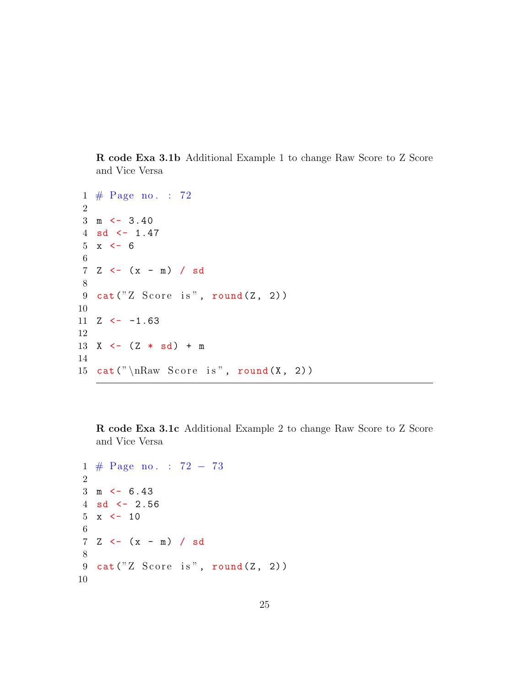<span id="page-25-0"></span>R code Exa 3.1b Additional Example 1 to change Raw Score to Z Score and Vice Versa

```
1 \# \text{Page no. : } 722
3 \text{ m} \leftarrow 3.404 sd \leftarrow 1.47
5 \times < -66
7 \, Z \leftarrow (x - m) / sd8
9 cat ("Z Score is", round (Z, 2))
10
11 \, Z \leftarrow -1.6312
13 X <- (Z * sd) + m14
15 cat (" \nRaw Score is", round(X, 2))
```
<span id="page-25-1"></span>R code Exa 3.1c Additional Example 2 to change Raw Score to Z Score and Vice Versa

```
1 # Page no . : 72 − 73
 2
3 \text{ m} \leftarrow 6.434 sd \leftarrow 2.56
 5 \times < -106
 7 \, Z \leftarrow (x - m) / sd8
9 cat ("Z Score is", round (Z, 2))
10
```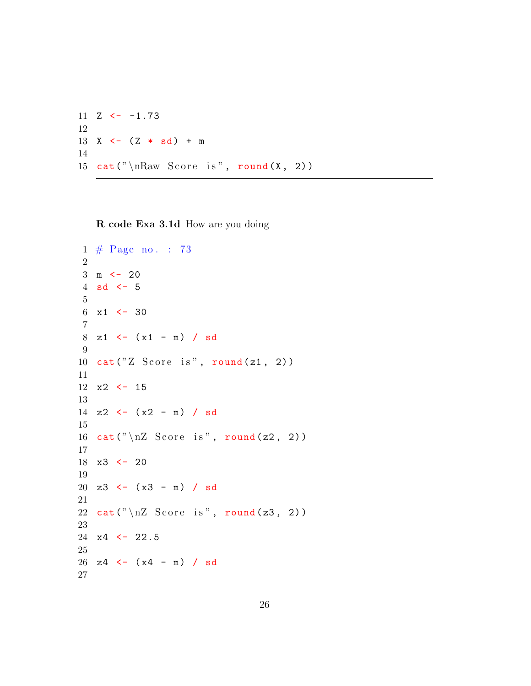$11 \, Z \leftarrow -1.73$  X <-  $(Z * sd) + m$  15 cat  $("\nRaw Score is", round(X, 2))$ 

<span id="page-26-0"></span>R code Exa 3.1d How are you doing

```
1 \# \text{Page no. : } 732
 3 \text{ m} \leftarrow 20
4 sd \leftarrow 5
 5
6 \times 1 \leftarrow 307
8 z1 <- (x1 - m) / sd
9
10 cat("Z Score is", round(z1, 2))11
12 x2 <- 15
13
14 z2 \leftarrow (x2 - m) / sd
15
16 cat ("\n\angle nZ Score is", round (z2, 2))
17
18 x3 <- 20
19
20 \text{ z3} \leftarrow (x3 - m) / sd21
22 cat ("\n\angle nZ Score is", round (z3, 2))
23
24 \times 4 \leftarrow 22.525
26 z4 <- (x4 - m) / sd
27
```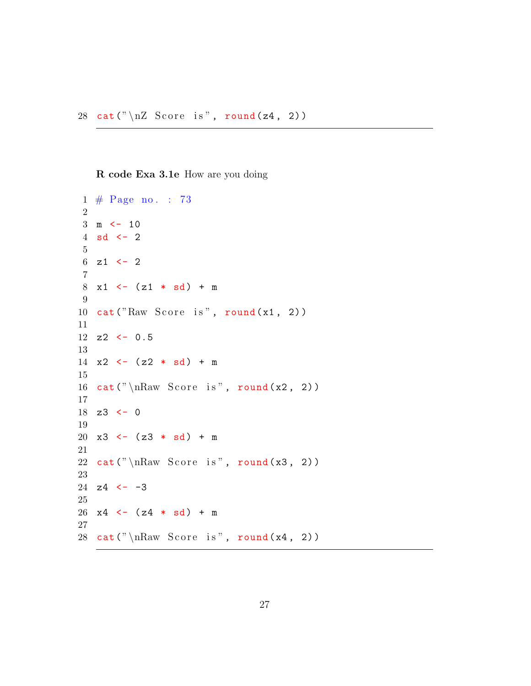<span id="page-27-0"></span>R code Exa 3.1e How are you doing

```
1 \# \text{Page no. : } 732
 3 \text{ m} \leftarrow 104 sd \leftarrow 2
 5
 6 z1 \leftarrow 2
 7
 8 \times 1 \leftarrow (z1 * sd) + m9
10 cat("Raw Score is", round(x1, 2))11
12 z2 \leftarrow 0.5
13
14 \times 2 \leftarrow (z2 * sd) + m15
16 cat ("nRaw Score is", round (x2, 2))
17
18 z3 \leftarrow 019
20 \times 3 \leftarrow (z3 * sd) + m21
22 cat ("nRaw Score is", round (x3, 2))
23
24 z4 <- -3
25
26 \text{ x4} \leftarrow (\text{z4} \cdot \text{sd}) + \text{m}27
28 cat ("nRaw Score is", round (x4, 2))
```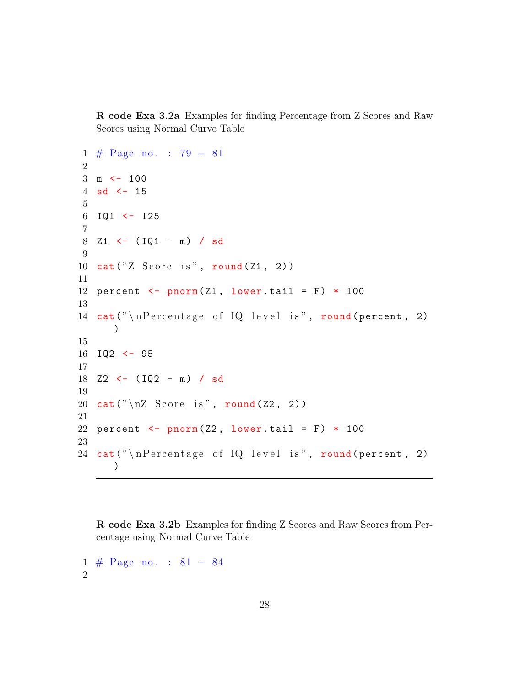R code Exa 3.2a Examples for finding Percentage from Z Scores and Raw Scores using Normal Curve Table

```
1 # Page no . : 79 − 81
2
3 \text{ m} \leftarrow 100
4 sd <-155
6 IQ1 \leftarrow 125
7
8 Z1 <- (IQ1 - m) / sd
9
10 cat("Z Score is", round(Z1, 2))11
12 percent \leq pnorm (Z1, lower tail = F) * 100
13
14 cat ("\nPercentage of IQ level is", round (percent, 2)
      )
15
16 IQ2 <- 95
17
18 Z2 <- (IQ2 - m) / sd
19
20 cat ("\n\angle nZ Score is", round (Z2, 2))
21
22 percent \leq pnorm (Z2, lower tail = F) * 100
23
24 cat ("\nPercentage of IQ level is", round (percent, 2)
      )
```
<span id="page-28-0"></span>R code Exa 3.2b Examples for finding Z Scores and Raw Scores from Percentage using Normal Curve Table

```
1 # Page no . : 81 − 84
2
```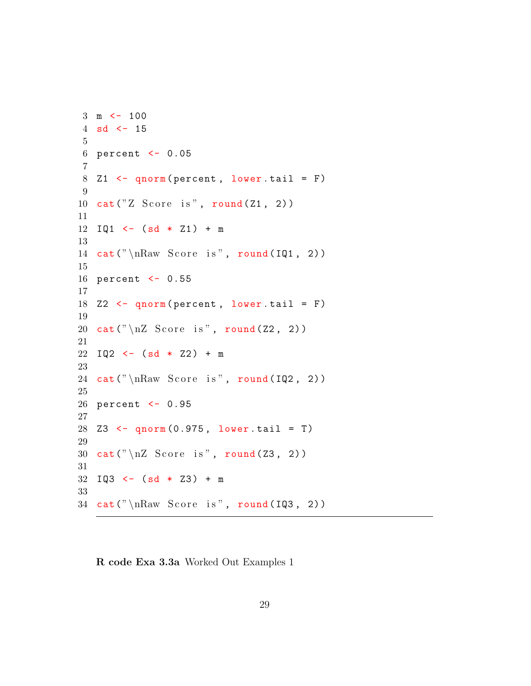```
3 \text{ m} \leftarrow 100
 4 sd <-155
6 percent <- 0.05
 7
8 Z1 \leftarrow qnorm (percent, lower . tail = F)
9
10 cat("Z Score is", round(Z1, 2))11
12 IQ1 \leftarrow (sd * Z1) + m
13
14 cat ("nRaw Score is", round (IQ1, 2))
15
16 percent <- 0.55
17
18 Z2 \leq qnorm (percent, lower tail = F)
19
20 cat ("\n\angle nZ Score is", round (Z2, 2))
21
22 \text{ I} \mathbb{Q}2 \leftarrow (\text{sd} * 22) + \text{m}23
24 cat ("\nRaw Score is", round(IQ2, 2))25
26 percent <- 0.95
27
28 Z3 <- qnorm(0.975, lower.tail = T)29
30 cat ("\n\angle nZ Score is", round (23, 2))
31
32 IQ3 \leftarrow (sd * Z3) + m
33
34 cat ("\nRaw Score is", round(IQ3, 2))
```
<span id="page-29-0"></span>R code Exa 3.3a Worked Out Examples 1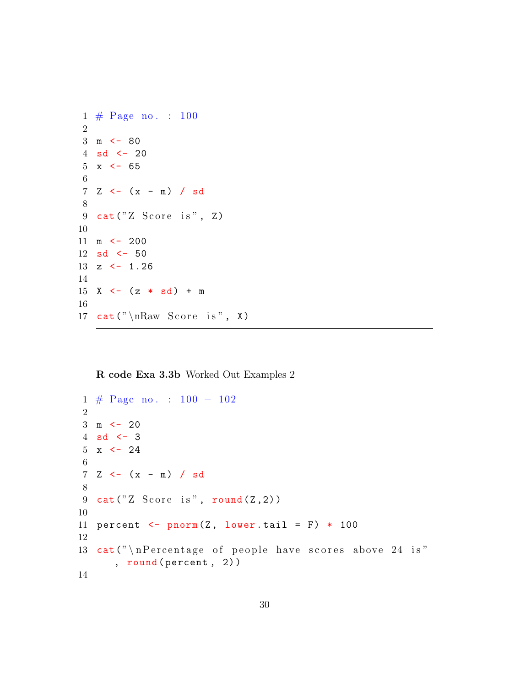```
1 \# \text{Page no. : } 1002
3 \text{ m} <- 80
4 sd <-205 \times < -656
7 \, Z \leftarrow (x - m) / sd8
9 cat ("Z Score is", Z)
10
11 m <- 200
12 sd <- 50
13 z \leftarrow 1.26
14
15 X \leftarrow (z * sd) + m
16
17 cat (" \nRaw Score is", X)
```
<span id="page-30-0"></span>R code Exa 3.3b Worked Out Examples 2

```
1 # Page no . : 100 − 102
2
3 \text{ m} <- 20
4 sd \leftarrow 3
5 \times < -246
7 \, Z \leftarrow (x - m) / sd8
9 cat ("Z Score is", round(Z,2))10
11 percent \leq pnorm (Z, lower.tail = F) * 10012
13 cat ("\nPercentage of people have scores above 24 is"
       , round ( percent , 2) )
14
```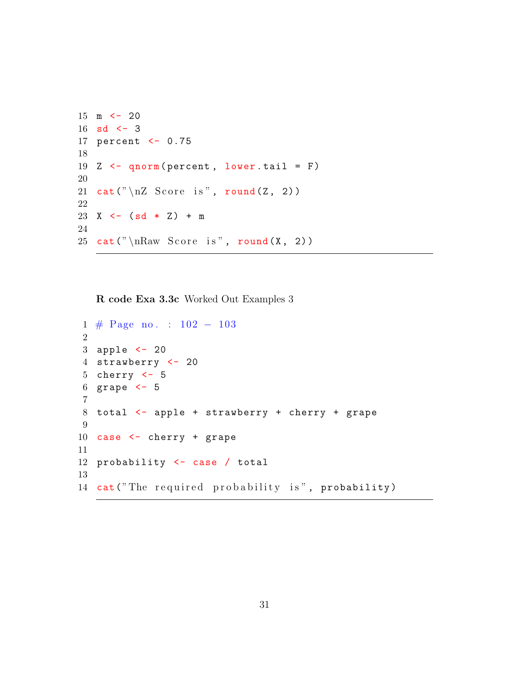```
15 m \le - 20
16 sd \leftarrow 3
17 percent <- 0.75
18
19 Z \leq qnorm (percent, lower . tail = F)
20
21 cat ("\n\angle nZ Score is", round (Z, 2))
22
23 X <- (sd * Z) + m
24
25 cat ("nRaw Score is", round (X, 2))
```
<span id="page-31-0"></span>R code Exa 3.3c Worked Out Examples 3

```
1 # Page no . : 102 − 103
2
3 apple <- 20
4 strawberry <- 20
5 cherry \leftarrow 5
6 grape <- 5
7
8 total <- apple + strawberry + cherry + grape
9
10 case <- cherry + grape
11
12 probability <- case / total
13
14 cat ("The required probability is", probability)
```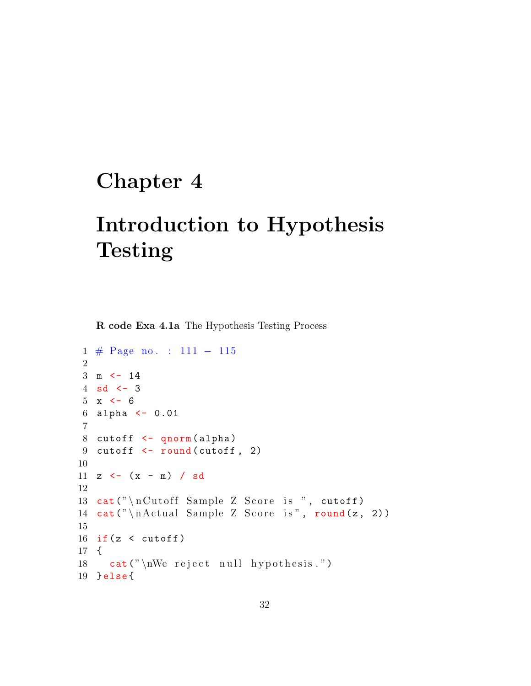## <span id="page-32-0"></span>Chapter 4

## Introduction to Hypothesis Testing

<span id="page-32-1"></span>R code Exa 4.1a The Hypothesis Testing Process

```
1 # Page no . : 111 − 115
2
3 \text{ m} \leftarrow 144 sd \leftarrow 3
5 \times < -66 alpha <- 0.01
7
8 cutoff <- qnorm ( alpha )
9 cutoff \le round (cutoff, 2)
10
11 z \leftarrow (x - m) / sd
12
13 cat ("nCutoff Sample Z Score is ", cutoff)
14 cat ("\nActual Sample Z Score is", round (z, 2))
15
16 if (z < cutoff)
17 {
18 cat ("\text{W}\text{e} reject null hypothesis.")
19 } else {
```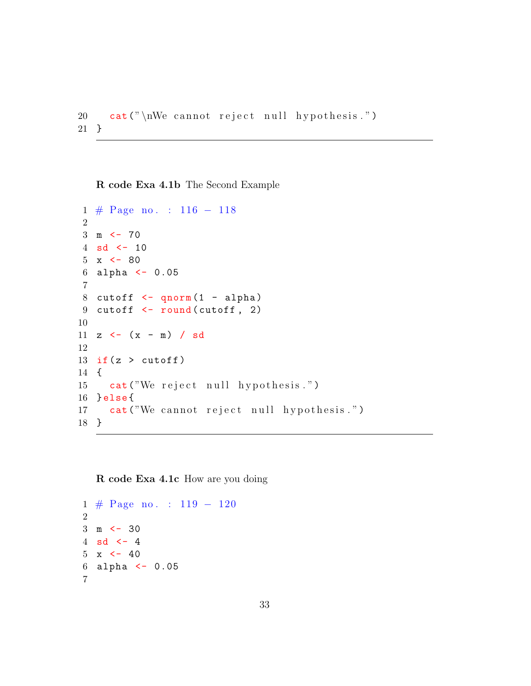```
20 cat ("\nWe cannot reject null hypothesis.")
21 }
```
<span id="page-33-0"></span>R code Exa 4.1b The Second Example

```
1 # Page no . : 116 − 118
\mathcal{D}_{\mathcal{L}}3 \text{ m} \leftarrow 70
4 sd <-105 \times < -806 alpha <- 0.05
7
8 cutoff \leq qnorm (1 - \alpha)9 cutoff \le round (cutoff, 2)
10
11 z \leftarrow (x - m) / sd
12
13 if (z > cutoff)14 {
15 cat ("We reject null hypothesis.")
16 } else {
17 cat ("We cannot reject null hypothesis.")
18 }
```
<span id="page-33-1"></span>R code Exa 4.1c How are you doing

```
1 # Page no . : 119 − 120
2
3 \text{ m} \leq -304 sd <-45 \times < -406 alpha <- 0.05
7
```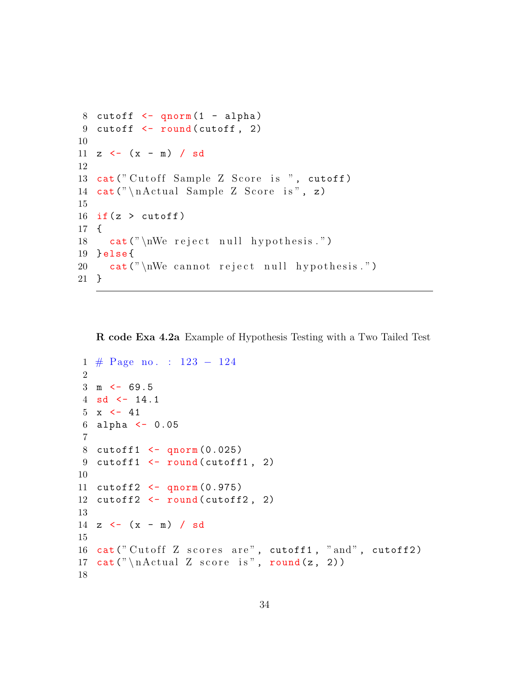```
8 cutoff \leq qnorm(1 - \alpha)9 cutoff \le round (cutoff, 2)
10
11 z \leftarrow (x - m) / sd
12
13 cat ("Cutoff Sample Z Score is ", cutoff)
14 cat ("\nActual Sample Z Score is", z)
15
16 if (z > cutoff)17 {
18 cat (" \n\we\ reject\ null\ hypothesis." )19 } else {
20 cat ("\nWe cannot reject null hypothesis.")
21 }
```
<span id="page-34-0"></span>R code Exa 4.2a Example of Hypothesis Testing with a Two Tailed Test

```
1 # Page no . : 123 − 124
 2
3 \text{ m} \leftarrow 69.54 sd \leftarrow 14.1
5 \times \leftarrow 416 alpha <- 0.05
7
8 cutoff1 \leftarrow qnorm (0.025)9 cutoff1\leftarrow round (cutoff1, 2)
10
11 cutoff2 <- qnorm (0.975)
12 cutoff2 <- round(cutoff2, 2)13
14 z \leftarrow (x - m) / sd
15
16 cat ("Cutoff Z scores are", cutoff1, "and", cutoff2)
17 cat (" \n \hat{Z} score is", round(z, 2))18
```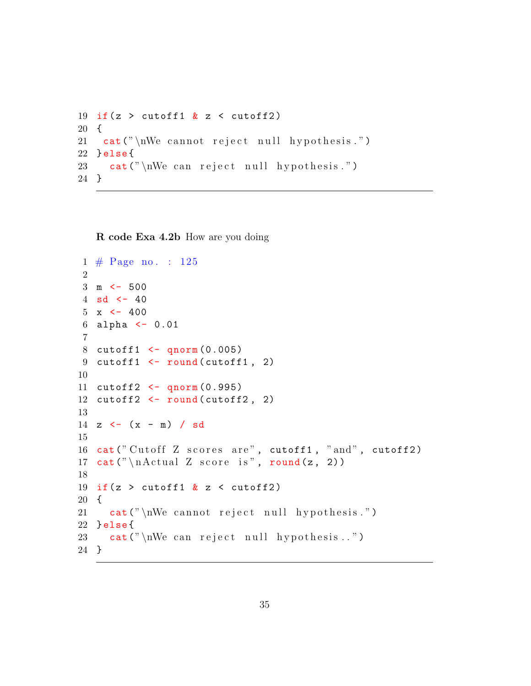```
19 if(z > cutoff1 & z < cutoff2)
20 {
21 cat ("\nWe cannot reject null hypothesis.")
22 } else {
23 cat ("\nWe can reject null hypothesis.")
24 }
```
<span id="page-35-0"></span>R code Exa 4.2b How are you doing

```
1 \# \text{Page no. : } 1252
3 \text{ m} \leftarrow 500
4 sd <-405 \times < -4006 alpha <- 0.01
7
8 cutoff1 \leftarrow qnorm (0.005)9 cutoff1 <- round (cutoff1, 2)
10
11 cutoff2 <- qnorm (0.995)
12 cutoff2 <- round(cutoff2, 2)13
14 z \leftarrow (x - m) / sd
15
16 cat ("Cutoff Z scores are", cutoff1, "and", cutoff2)
17 cat (" \n \hat{Z} score is", round(z, 2))18
19 if(z > cutoff1 & z < cutoff2)
20 {
21 cat ("\nWe cannot reject null hypothesis.")
22 } else {
23 cat ("\text{W} can reject null hypothesis..")
24 }
```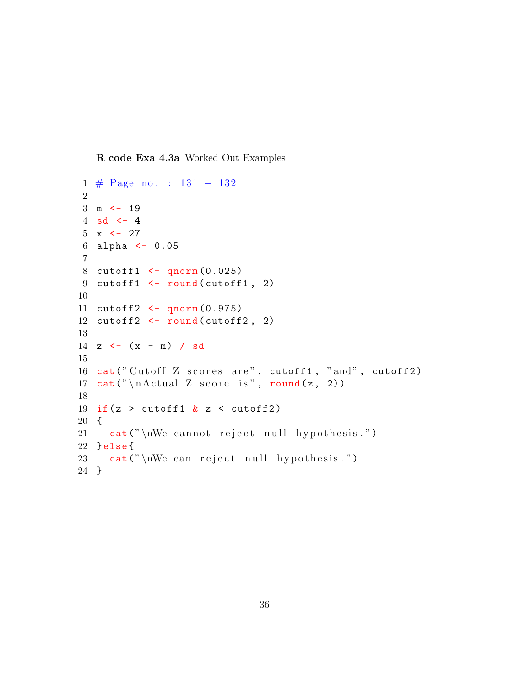R code Exa 4.3a Worked Out Examples

```
1 # Page no . : 131 − 132
\mathfrak{D}3 \text{ m} \leftarrow 19
4 sd \leftarrow 4
5 \times < -276 alpha <- 0.05
7
8 cutoff1 <- qnorm (0.025)
9 cutoff1 <- round (cutoff1, 2)
10
11 cutoff2 <- qnorm (0.975)
12 cutoff2 \leftarrow round(cutoff2, 2)13
14 z \leftarrow (x - m) / sd
15
16 cat ("Cutoff Z scores are", cutoff1, "and", cutoff2)
17 cat (" \n \alpha L Z score is", round(z, 2))18
19 if (z > cutoff1 \& z < cutoff2)20 {
21 cat ("\nWe cannot reject null hypothesis.")
22 } else {
23 cat ("\nWe can reject null hypothesis.")
24 }
```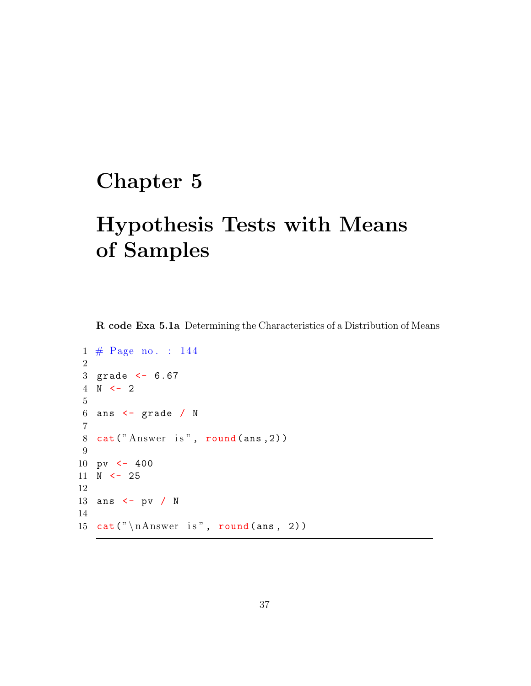### Chapter 5

# Hypothesis Tests with Means of Samples

R code Exa 5.1a Determining the Characteristics of a Distribution of Means

```
1 \# \text{Page no. : } 1442
 3 grade <- 6.67
 4 \text{ N} \leftarrow 25
 6 ans \leftarrow grade / N
 7
8 cat ("Answer is", round (ans, 2))
 9
10 pv \leftarrow 400
11 \text{ N} \leftarrow 2512
13 ans <- pv / N
14
15 cat (" \n \lambda nswer is", round (ans, 2))
```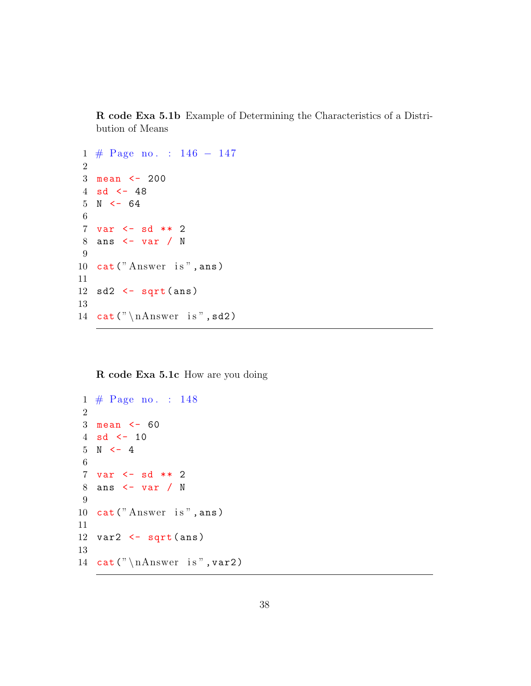R code Exa 5.1b Example of Determining the Characteristics of a Distribution of Means

```
1 # Page no . : 146 − 147
2
3 mean <- 200
4 sd <-485 N < - 646
7 var <- sd ** 2
8 ans <- var / N
9
10 cat ("Answer is", ans)
11
12 sd2 \leftarrow sqrt{\text{sqrt}}13
14 cat (\sqrt[n]{n} haswer is ", sd2)
```
R code Exa 5.1c How are you doing

```
1 \# \text{Page no. : } 1482
 3 mean <- 60
4 sd \lt - 10
5 N < -46
7 var <- sd ** 2
8 ans <- var / N
9
10 cat ("Answer is", ans)
11
12 var2 <- sqrt(ans)
13
14 cat (" \nh\text{-} n\text{-} n\text{-} s", \text{var2})
```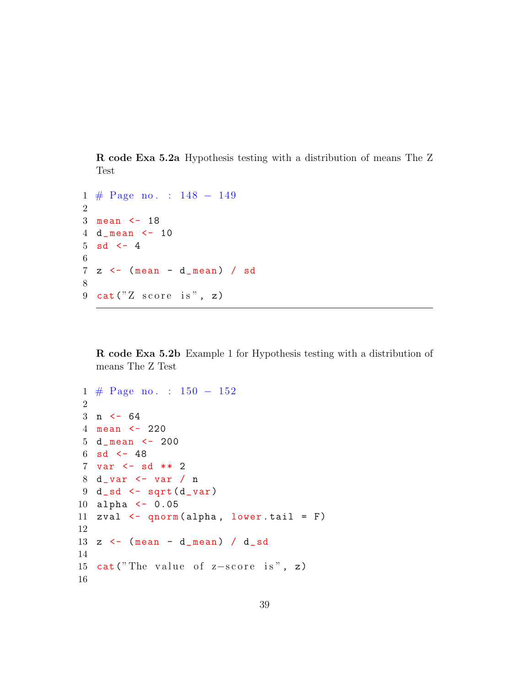R code Exa 5.2a Hypothesis testing with a distribution of means The Z Test

```
1 # Page no . : 148 − 149
2
3 mean <- 18
4 d_ mean <- 10
5 sd \leftarrow 4
6
7 z <- ( mean - d_ mean ) / sd
8
9 cat ("Z score is", z)
```
R code Exa 5.2b Example 1 for Hypothesis testing with a distribution of means The Z Test

```
1 # Page no . : 150 − 152
2
3 n < - 644 mean <- 220
5 d_ mean <- 200
6 sd <-487 var <- sd ** 2
8 d_ var <- var / n
9 \ d<sub>-</sub>sd \leftarrow sqrt(d<sub>-</sub>var)
10 alpha <- 0.05
11 zval \leq qnorm (alpha, lower . tail = F)
12
13 z \leftarrow (mean - d_mean) / d_sd
14
15 cat("The value of z-score is", z)16
```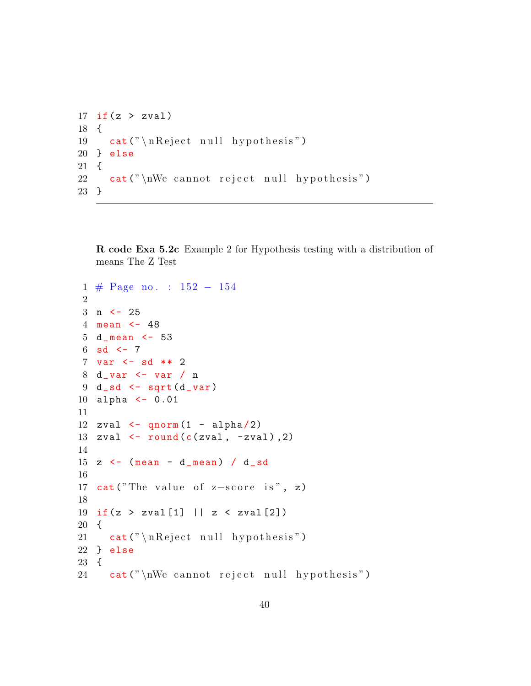```
17 if (z > zval)18 {
19 cat (" \n\rightharpoonup \n\rightharpoonup \n\rightharpoonup \n\rightharpoonup \nightharpoonup \nightharpoonup \nightharpoonup \nightharpoonup \nightharpoonup \nightharpoonup \nightharpoonup \nightharpoonup \nightharpoonup \nightharpoonup \nightharpoonup \nightharpoonup \nightharpoonup \nightharpoonup \nightharpoonup \nightharpoonup \nightharpoonup \nightharpoonup \nightharpoonup \nightharpoonup \nightharpoonup \nightharpoonup \nightharpoonup \nightharpoonup \nightharpoonup \nightharpoonup \nightharpoonup \nightharpoonup \nightharpoonup \nightharpoonup \nighthar20 } else
21 {
22 cat ("\text{W} cannot reject null hypothesis")
23 }
```
R code Exa 5.2c Example 2 for Hypothesis testing with a distribution of means The Z Test

```
1 # Page no . : 152 − 154
2
3 \text{ n} < -254 mean <- 48
5 d_ mean <- 53
6 sd \leftarrow 7
7 var <- sd ** 2
8 d_ var <- var / n
9 d_s d \leftarrow sqrt(d_var)10 alpha <- 0.01
11
12 zval \leq qnorm (1 - \alpha)13 zval \leftarrow round (c(zval, -zval), 2)14
15 z \leftarrow (mean - d_mean) / d_sd
16
17 cat("The value of z-score is", z)18
19 if (z > zval[1] || z < zval[2])20 {
21 cat (" \n\neq\n" n Reject null hypothesis")
22 } else
23 {
24 cat ("\nWe cannot reject null hypothesis")
```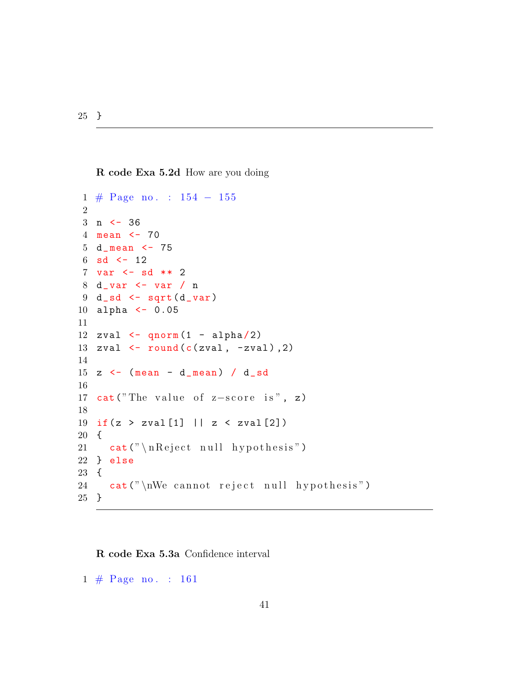}

R code Exa 5.2d How are you doing

```
1 # Page no . : 154 − 155
2
3 n <- 36
4 mean <- 70
5 d_ mean <- 75
6 sd <-127 var <- sd ** 2
8 d_ var <- var / n
9 \ d<sub>-</sub>sd \leftarrow sqrt(d-var)
10 alpha <- 0.05
11
12 zval \leq qnorm (1 - \alpha)13 zval \leftarrow round (c(zval, -zval), 2)14
15 z \leftarrow (mean - d_mean) / d_sd
16
17 cat("The value of z-score is", z)18
19 if (z > zval[1] || z < zval[2])20 {
21 cat (" \n\rangle n Reject null hypothesis")
22 } else
23 {
24 cat ("\text{N} cannot reject null hypothesis")
25 }
```
R code Exa 5.3a Confidence interval

 $1 \# \text{Page no. : } 161$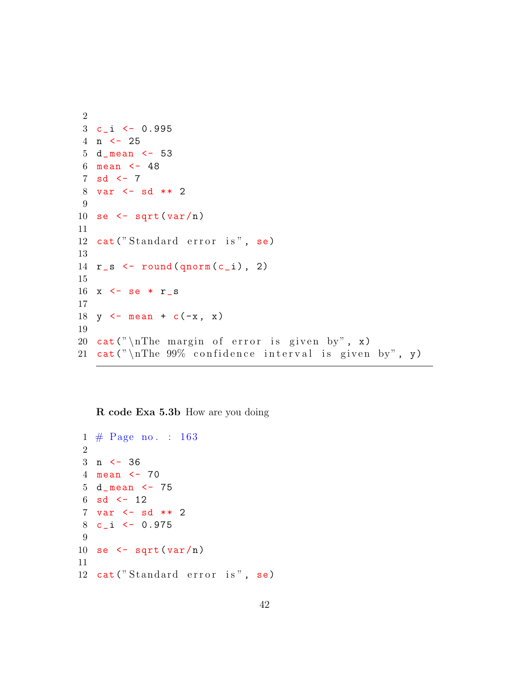```
2
3 c_i <- 0.995
4 n <- 25
5 d_ mean <- 53
6 mean <- 48
7 sd \leftarrow 7
8 var <- sd ** 2
9
10 se \leq sqrt (var/n)
11
12 cat ("Standard error is", se)
13
14 r_s \leftarrow \text{round}(q \text{norm}(c_i), 2)
15
16 x \leq se * r_s
17
18 y \le - mean + c(-x, x)19
20 cat ("\nThe margin of error is given by", x)
21 cat ("\nThe 99% confidence interval is given by", y)
```
R code Exa 5.3b How are you doing

```
1 \# \text{Page no. : } 1632
3 n <- 36
4 mean <- 70
5 d_ mean <- 75
6 sd <-127 var <- sd ** 2
8 c_i <- 0.975
9
10 se \leq sqrt (var/n)
11
12 cat ("Standard error is", se)
```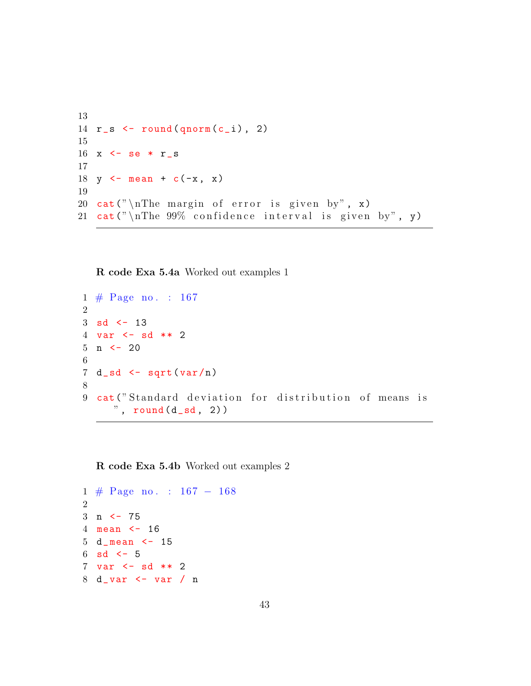```
13
14 r_s \leftarrow \text{round}(\text{qnorm}(c_i), 2)15
16 x \leftarrow se * r_s
17
18 y \leftarrow \text{mean} + c(-x, x)19
20 cat ("\nThe margin of error is given by", x)
21 cat ("\nThe 99% confidence interval is given by", y)
```

```
R code Exa 5.4a Worked out examples 1
```

```
1 \# \text{Page no. : } 1672
3 sd <-134 var <- sd ** 2
5 n \leq -206
7 d_s d \leq s dr t (var/n)8
9 cat ("Standard deviation for distribution of means is
     ", round (d_s, 2)
```
R code Exa 5.4b Worked out examples 2

```
1 # Page no . : 167 − 168
2
3 n <- 75
4 mean <- 16
5 d_ mean <- 15
6 sd \lt 5
7 var <- sd ** 2
8 d_ var <- var / n
```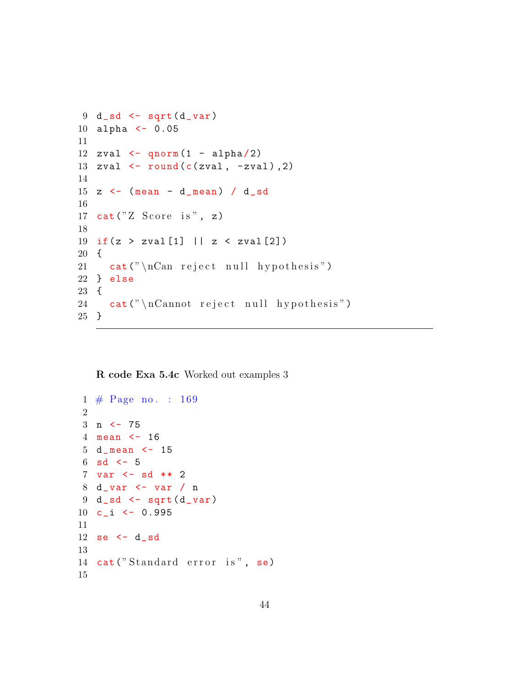```
9 \ d sd \leftarrow sqrt(d var)
10 alpha <- 0.05
11
12 zval \leq qnorm (1 - \alpha)13 zval \leftarrow round (c(zval, -zval), 2)14
15 z \leftarrow (mean - d_mean) / d_sd
16
17 cat("Z Score is", z)18
19 if (z > zval[1] || z < zval[2])20 {
21 cat ("\n\alpha\ reject null hypothesis")
22 } else
23 {
24 cat ("\nCannot reject null hypothesis")
25 }
```
R code Exa 5.4c Worked out examples 3

```
1 \# \text{Page no. : } 169\mathfrak{D}3 n <- 75
4 mean <- 16
5 d_ mean <- 15
6 sd \leftarrow 5
7 var <- sd ** 2
8 d_ var <- var / n
9 \ d<sub>-</sub>sd \leftarrow sqrt(d<sub>-</sub>var)
10 c_i <- 0.995
11
12 se \leftarrow d_sd
13
14 cat ("Standard error is", se)
15
```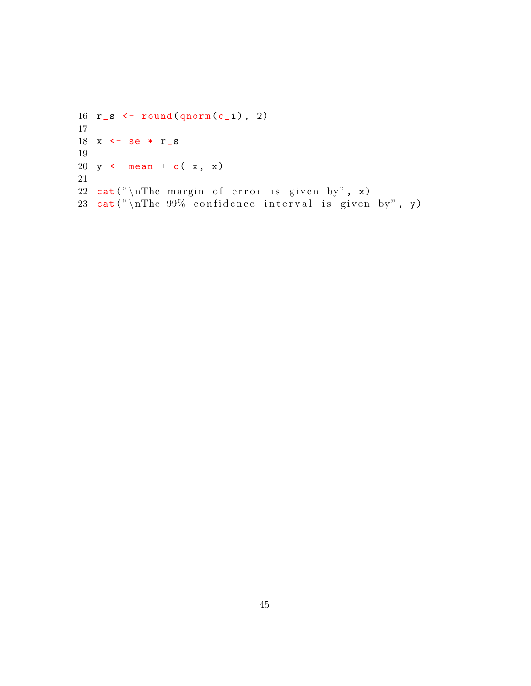```
16 r_s \leftarrow \text{round}(q \text{norm}(c_i), 2)
17
18 x \leftarrow se * r\_s19
20 y \leftarrow mean + c(-x, x)21
22 cat ("\nThe margin of error is given by", x)
23 cat ("\nabla n The 99% confidence interval is given by", y)
```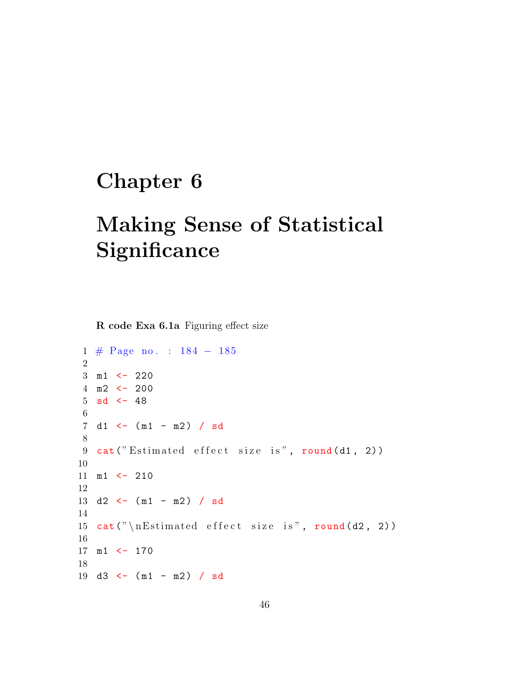## Chapter 6

# Making Sense of Statistical **Significance**

R code Exa 6.1a Figuring effect size

```
1 # Page no . : 184 − 185
2
3 m1 <- 220
4 m2 <- 200
5 sd <-486
7 \text{ d1 } < - \text{ (m1 - m2) } / sd
8
9 cat ("Estimated effect size is", round (d1, 2))
10
11 m1 <- 210
12
13 d2 \leftarrow (m1 - m2) / sd
14
15 cat (" \n\mathcal{E} stimated effect size is", round (d2, 2))
16
17 m1 <- 170
18
19 d3 <- (m1 - m2) / sd
```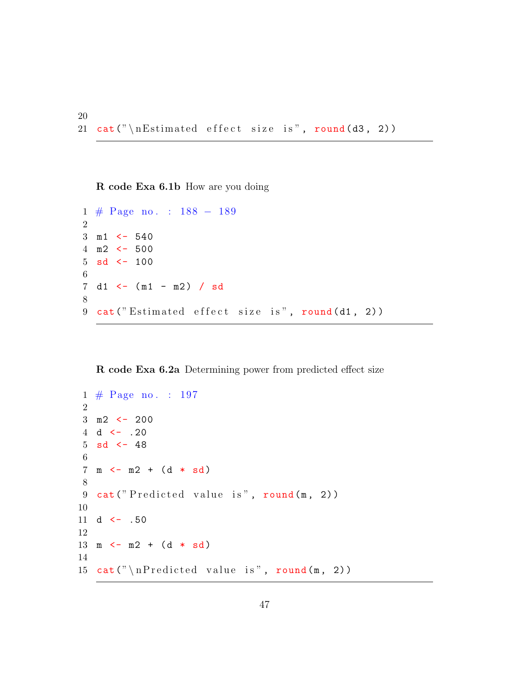R code Exa 6.1b How are you doing

```
1 # Page no . : 188 − 189
2
3 m1 <- 540
4 \, \text{m2} \leftarrow 5005 sd \leftarrow 100
6
7 \text{ d1 } < - \text{ (m1 - m2) } / sd
8
9 cat ("Estimated effect size is", round (d1, 2))
```
#### R code Exa 6.2a Determining power from predicted effect size

```
1 # Page no . : 197
 2
 3 \text{ m2} <- 200
 4 d \leftarrow .20
 5 sd <-486
 7 \text{ m} < - \text{ m2 } + (\text{d} * \text{ sd})8
9 cat ("Predicted value is", round (m, 2))
10
11 d \leftarrow .5012
13 \text{ m} \leftarrow \text{m2} + (\text{d} * \text{sd})14
15 cat (" \n\rightharpoonup n \nPredicted value is", round(m, 2))
```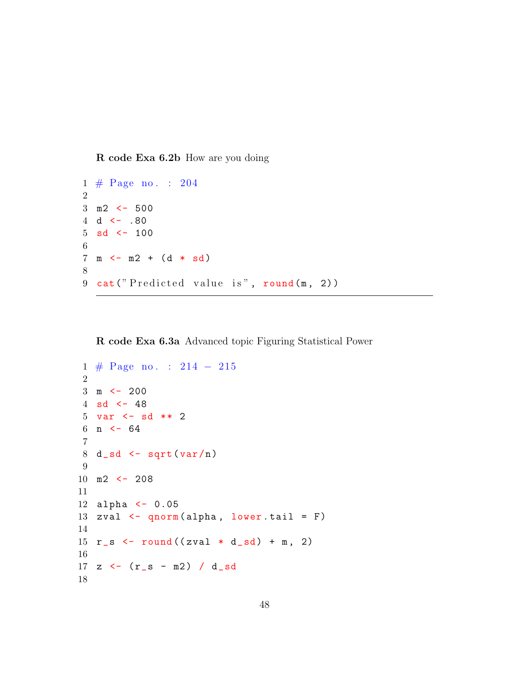R code Exa 6.2b How are you doing

```
1 \# \text{Page no. : } 2042
3 m2 <- 500
4 d \leftarrow .80
5 sd <-1006
7 \text{ m} < - \text{ m2 } + (d * sd)8
9 cat ("Predicted value is", round (m, 2))
```
R code Exa 6.3a Advanced topic Figuring Statistical Power

```
1 # Page no . : 214 − 215
 \mathfrak{D}3 \text{ m} <- 200
4 sd <-485 var <- sd ** 2
6 n \leq -647
8 d_s d <- sqrt(var/n)9
10 m2 <- 208
11
12 alpha <- 0.05
13 zval \leq qnorm (alpha, lower . tail = F)
14
15 r_s \leftarrow round ((zval * d<sub>-</sub>sd) + m, 2)
16
17 z \leftarrow (r_s - m2) / d_s18
```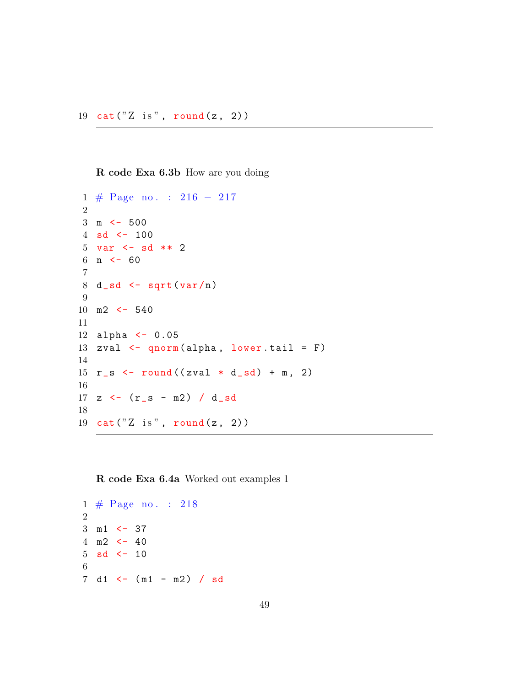R code Exa 6.3b How are you doing

```
1 # Page no . : 216 − 217
2
3 \text{ m} <- 500
4 sd <-1005 var <- sd ** 2
6 n \leq -607
8 d_s d <- sqrt(var/n)9
10 m2 <- 540
11
12 alpha <- 0.05
13 zval \leq qnorm (alpha, lower . tail = F)
14
15 r_s <- round ((zval * d_sd) + m, 2)
16
17 z \leftarrow (r_s - m2) / d_s18
19 cat("Z is", round(z, 2))
```
R code Exa 6.4a Worked out examples 1

```
1 \# \text{Page no. : } 2182
3 \text{ m1} <- 37
4 \, \text{m2} \, \text{<-} \, 405 sd <-106
7 \text{ d1 } \leftarrow (\text{m1 - m2}) / \text{sd}
```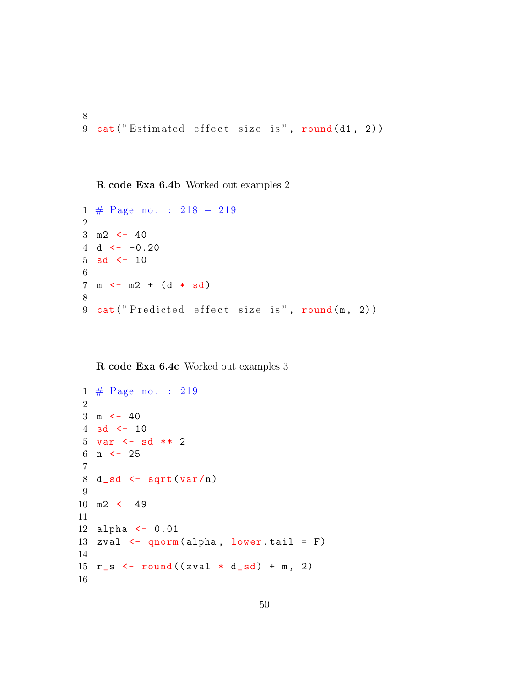R code Exa 6.4b Worked out examples 2

8

```
1 # Page no . : 218 − 219
\mathfrak{D}3 \text{ m2} <- 40
4 d \leftarrow -0.205 sd <-106
7 \text{ m} \leftarrow \text{ m2 } + (\text{d} * \text{ sd})8
9 cat ("Predicted effect size is", round (m, 2))
```
#### R code Exa 6.4c Worked out examples 3

```
1 \# \text{Page no. : } 2192
3 \text{ m} \leftarrow 404 sd <-105 var <- sd ** 2
6 n \leq -257
8 d_s d <- sqrt(var/n)9
10 m2 <- 49
11
12 alpha \leq -0.0113 zval \leq qnorm (alpha, lower tail = F)
14
15 r_s <- round ((zval * d_sd) + m, 2)
16
```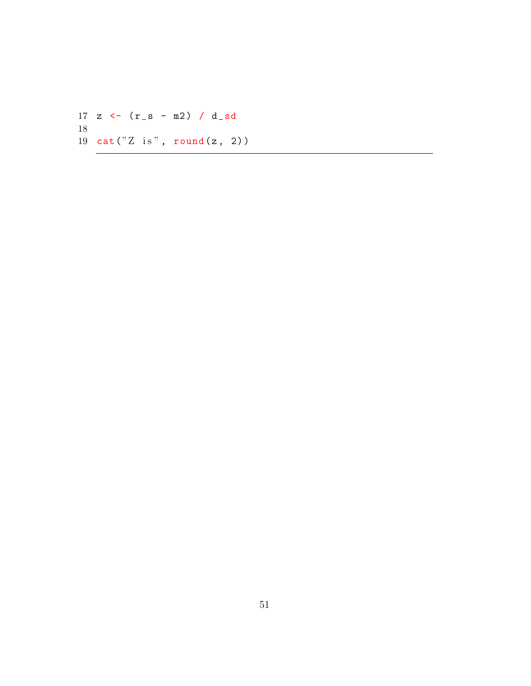17 z  $\leftarrow$  ( $r_s - m2$ ) / d\_sd 18 19  $cat("Z is", round(z, 2))$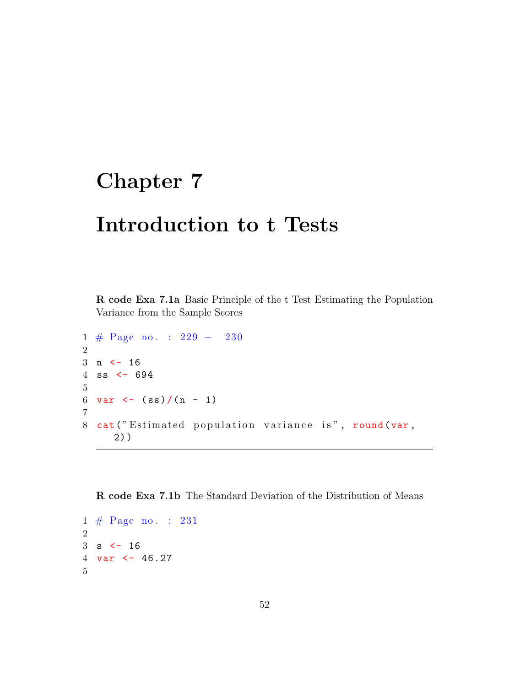### Chapter 7

### Introduction to t Tests

R code Exa 7.1a Basic Principle of the t Test Estimating the Population Variance from the Sample Scores

```
1 # Page no . : 229 − 230
2
3 n < - 164 ss <- 694
5
6 var \leftarrow (ss)/(n - 1)
7
8 cat ("Estimated population variance is", round (var,
     2) )
```
R code Exa 7.1b The Standard Deviation of the Distribution of Means

```
1 \# \text{Page no. : } 2312
3 s < - 164 var <- 46.27
5
```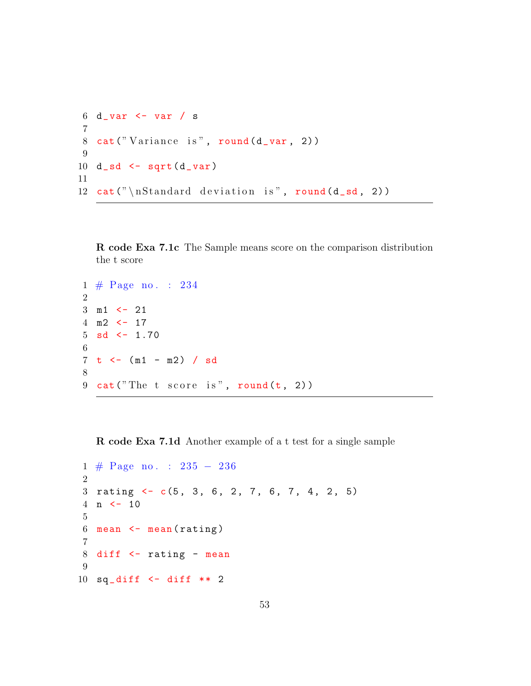```
6 d_ var <- var / s
   7
  8 cat ("Variance is", round (d_{var}, 2))
  9
10 d_s = s + s + d_s11
12 cat (" \n\times \mathbb{S} \cdot \mathbb{S} \cdot \mathbb{S} \cdot \mathbb{S} \cdot \mathbb{S} \cdot \mathbb{S} \cdot \mathbb{S} \cdot \mathbb{S} \cdot \mathbb{S} \cdot \mathbb{S} \cdot \mathbb{S} \cdot \mathbb{S} \cdot \mathbb{S} \cdot \mathbb{S} \cdot \mathbb{S} \cdot \mathbb{S} \cdot \mathbb{S} \cdot \mathbb{S} \cdot \mathbb{S} \cdot \mathbb{S} \cdot \mathbb{S} \cdot \mathbb{S} \cdot \mathbb{S} \cdot \mathbb{S} \cdot \mathbb{S} \cdot \mathbb{S} \cdot
```
R code Exa 7.1c The Sample means score on the comparison distribution the t score

```
1 # Page no . : 234
2
3 m1 <- 21
4 \text{ m2} \leftarrow 17
5 sd \leq -1.706
7 \t - (- \t m1 - m2) / sd8
9 cat ("The t score is", round (t, 2))
```
R code Exa 7.1d Another example of a t test for a single sample

```
1 # Page no . : 235 − 236
2
3 rating \leftarrow c(5, 3, 6, 2, 7, 6, 7, 4, 2, 5)
4 n <- 10
5
6 mean \leq mean (rating)
7
8 diff <- rating - mean
9
10 sq\_diff <- diff ** 2
```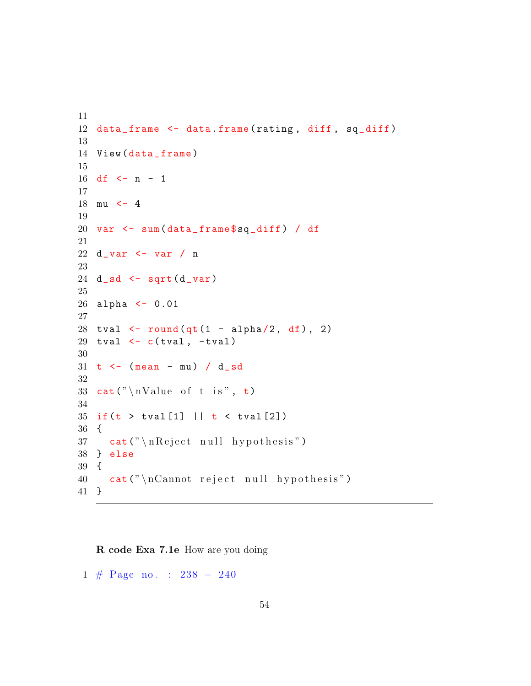```
11
12 data_frame <- data.frame(rating, diff, sq_diff)
13
14 View (data_frame)
15
16 df \leftarrow n - 1
17
18 mu <- 4
19
20 var <- sum ( data _ frame $sq_ diff ) / df
21
22 d_ var <- var / n
23
24 d<sub>-</sub>sd <- sqrt(d<sub>-var)</sub>
25
26 alpha <- 0.01
27
28 tval \le round (qt(1 - alpha/2, df), 2)29 tval \leftarrow c(tval, -tval)
30
31 t \leftarrow (mean - mu) / d_sd
32
33 cat (" \n\alpha\) of t is", t)
34
35 if (t > tval[1] || t < tval[2])36 {
37 cat ("\n Reject null hypothesis")
38 } else
39 {
40 cat(" \nCannot reject null hypothesis")41 }
```
R code Exa 7.1e How are you doing

# Page no . : 238 − 240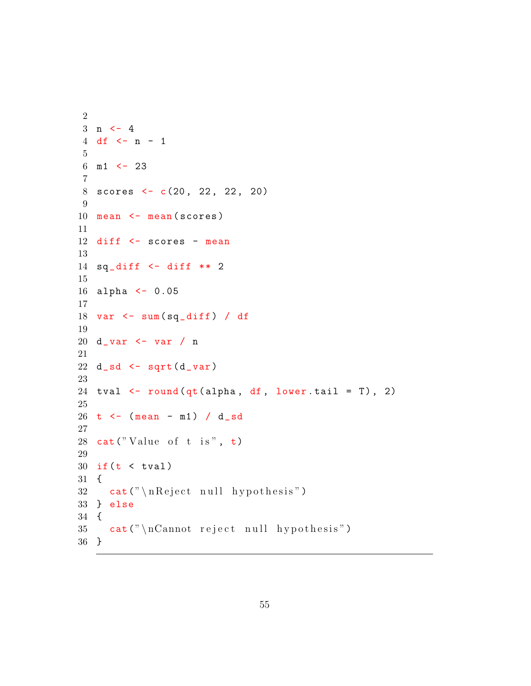```
2
3 n \leftarrow 4
4 df \leftarrow n - 1
5
6 \text{ m1} <- 23
7
8 scores <- c(20, 22, 22, 20)
9
10 mean <- mean (scores)
11
12 diff <- scores - mean
13
14 sq\_diff <- diff ** 2
15
16 alpha <- 0.05
17
18 var \leq sum \frac{sq\_diff}{} / df
19
20 d_ var <- var / n
21
22 d_s = s d_s - s q r t ( d_v u)23
24 tval \leftarrow round (qt (alpha, df, lower . tail = T), 2)
25
26 t <- (mean - m1) / d_sd
27
28 cat("Value of t is", t)29
30 if (t < tva1)31 {
32 cat ("\n R eject null hypothesis")
33 } else
34 {
35 cat ("\nCannot reject null hypothesis")
36 }
```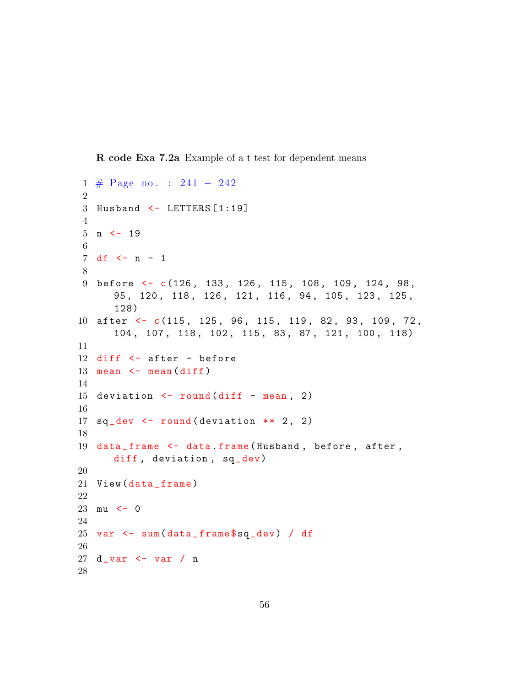R code Exa 7.2a Example of a t test for dependent means

```
1 # Page no . : 241 − 242
 2
3 Husband <- LETTERS [1:19]
4
5 n \leq -196
7 \text{ df} \leq -n - 18
9 before <- c(126, 133, 126, 115, 108, 109, 124, 98,
      95 , 120 , 118 , 126 , 121 , 116 , 94 , 105 , 123 , 125 ,
      128)
10 after \leftarrow c(115, 125, 96, 115, 119, 82, 93, 109, 72,
      104 , 107 , 118 , 102 , 115 , 83 , 87 , 121 , 100 , 118)
11
12 diff <- after - before
13 mean \leq mean \text{(diff)}14
15 deviation \le round (diff - mean, 2)
16
17 sq\_dev <- round (deviation ** 2, 2)
18
19 data_frame <- data.frame (Husband, before, after,
      diff, deviation, sq_dev)
20
21 View (data_frame)
22
23 mu \leftarrow 0
24
25 var <- sum ( data _ frame $sq_ dev ) / df
26
27 d_ var <- var / n
28
```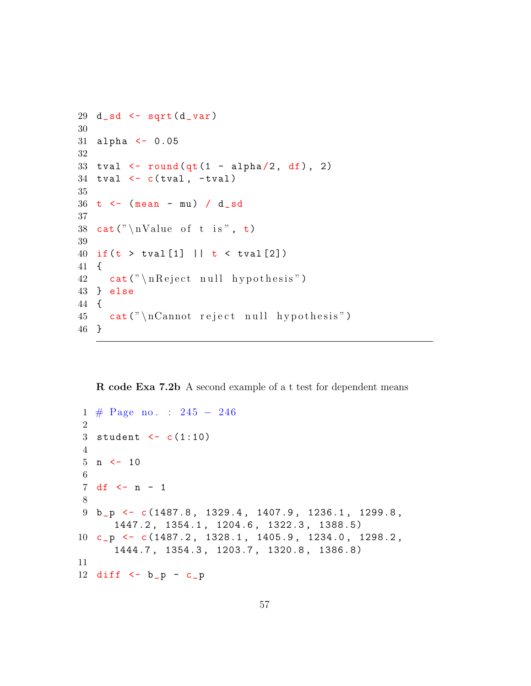```
29 d<sub>-</sub>sd \leftarrow sqrt(d<sub>-</sub>var)
30
31 alpha <- 0.05
32
33 tval \le round \left( qt(1 - alpha/2, df), 2 \right)34 tval \leftarrow c(tval, -tval)
35
36 t \leftarrow (mean - mu) / d_sd
37
38 cat ("\nValue of t is", t)
39
40 if (t > tval[1] || t < tval[2])41 {
42 cat (" \n\rangle n Reject null hypothesis")
43 } else
44 {
45 cat (" \n\rceilcannot reject null hypothesis")
46 }
```
R code Exa 7.2b A second example of a t test for dependent means

```
1 # Page no . : 245 − 246
2
3 student <-c(1:10)4
5 n \leq -106
7 \text{ df} \le -n - 18
9 b_p <- c (1487.8 , 1329.4 , 1407.9 , 1236.1 , 1299.8 ,
      1447.2 , 1354.1 , 1204.6 , 1322.3 , 1388.5)
10 c_p <- c (1487.2 , 1328.1 , 1405.9 , 1234.0 , 1298.2 ,
      1444.7 , 1354.3 , 1203.7 , 1320.8 , 1386.8)
11
12 diff \leftarrow b_p - c_p
```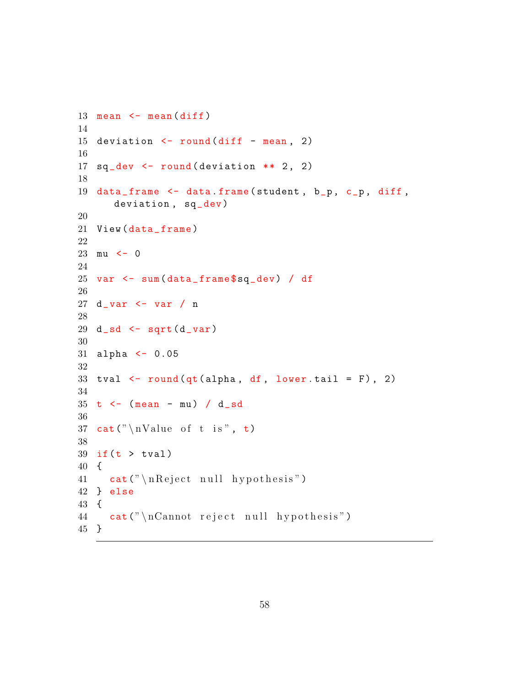```
13 mean \leq mean \text{(diff)}14
15 deviation \le round (diff - mean, 2)
16
17 sq\_dev \leftarrow round(devision ** 2, 2)18
19 data_frame <- data.frame(student, b_p, c_p, diff,
       deviation, sq_dev)
20
21 View (data_frame)
22
23 mu \leftarrow 0
24
25 var <- sum ( data _ frame $sq_ dev ) / df
26
27 d_ var <- var / n
28
29 d<sub>-</sub>sd \leftarrow sqrt(d<sub>-</sub>var)
30
31 alpha <- 0.05
32
33 tval \leftarrow round (qt (alpha, df, lower . tail = F), 2)
34
35 t \leftarrow (mean - mu) / d_sd
36
37 cat ("\nValue of t is", t)
38
39 if (t > tva1)40 {
41 cat (" \n\{n \} \neq " null \nhypothesis")42 } else
43 {
44 cat ("\nCannot reject null hypothesis")
45 }
```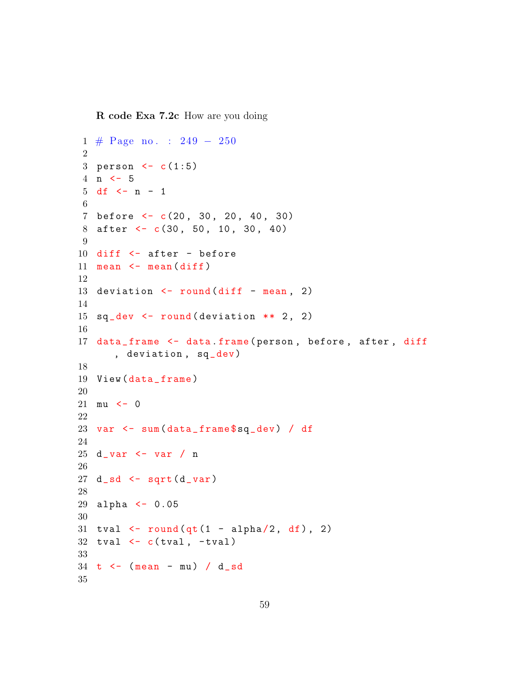R code Exa 7.2c How are you doing

```
1 # Page no . : 249 − 250
2
3 person <-c(1:5)4 n <- 5
5 df <- n - 1
6
7 before <- c(20 , 30 , 20 , 40 , 30)
8 after <- c(30, 50, 10, 30, 40)
9
10 diff <- after - before
11 mean \leq mean \text{(diff)}12
13 deviation \le round (diff - mean, 2)
14
15 sq\_dev \leftarrow round(deviation ** 2, 2)16
17 data_frame <- data.frame(person, before, after, diff
       , deviation, sq_dev)
18
19 View (data_frame)
20
21 mu \leftarrow 0
22
23 var <- sum ( data _ frame $sq_ dev ) / df
24
25 d_ var <- var / n
26
27 d sd \leftarrow sqrt(d var)
28
29 alpha <- 0.05
30
31 tval \leftarrow round (qt (1 - alpha/2, df), 2)
32 tval \leftarrow c(tval, \leftarrow tval)
33
34 t \leftarrow (mean - mu) / d_sd
35
```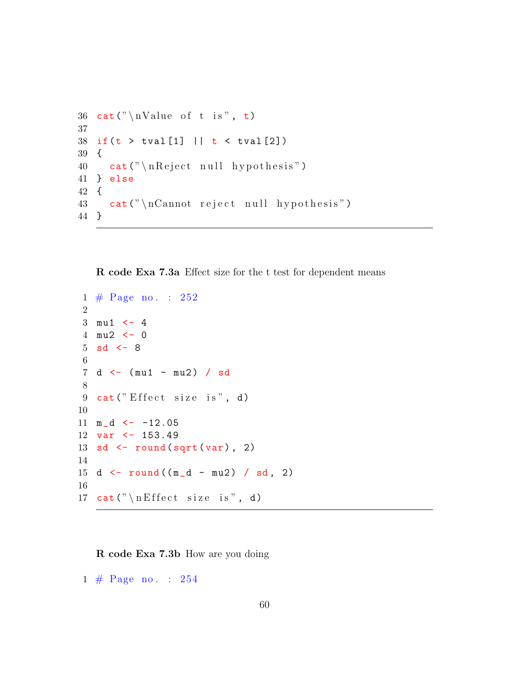```
36 cat (" \n\alpha\) of t is", t)
37
38 if (t > tval[1] || t < tval[2])39 {
40 cat (" \n\rightharpoonup \nR \neq 0 hypothesis")
41 } else
42 {
43 cat (" \n\rceilcannot reject null hypothesis")
44 }
```
R code Exa 7.3a Effect size for the t test for dependent means

```
1 \# \text{Page no. : } 2522
3 \text{ mu1} <-44 mu2 <- 0
5 sd \leftarrow 8
 6
7 d <- (mu1 - mu2) / sd
8
9 cat("Effect size is", d)10
11 \text{ m}_d < -12.0512 var <- 153.49
13 sd \leftarrow round (sqrt (var), 2)
14
15 d \leftarrow round ((m_d - mu2) / sd, 2)
16
17 cat (" \n\mathcal{E} ffect size is", d)
```
R code Exa 7.3b How are you doing

1 # Page no . : 254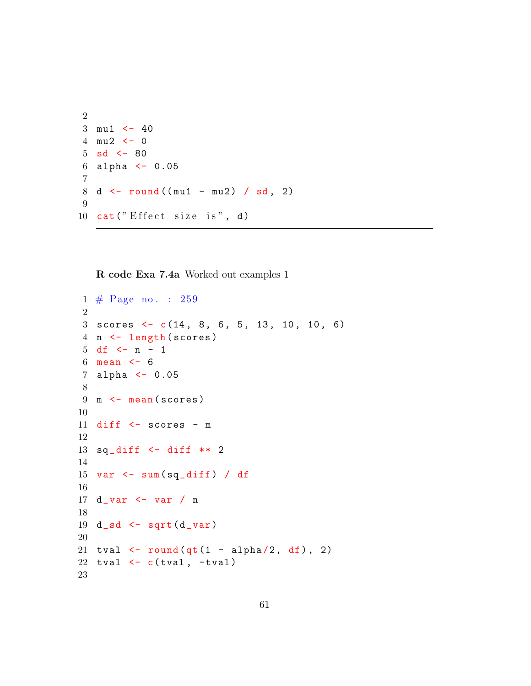```
2
3 \text{ mu1} \leftarrow 404 mu2 <- 0
5 sd \leq -806 alpha <- 0.05
7
8 d \le round ((mu1 - mu2) / sd, 2)
9
10 cat("Effect size is", d)
```
R code Exa 7.4a Worked out examples 1

```
1 # Page no . : 259
2
3 scores \leftarrow c(14, 8, 6, 5, 13, 10, 10, 6)
4 n <- length ( scores )
5 df \leq n - 1
6 mean <-67 alpha <- 0.05
8
9 m \leftarrow mean (scores)
10
11 diff <- scores - m
12
13 sq\_diff <- diff ** 2
14
15 var \leq sum \frac{sq\_diff}{} / df
16
17 d_ var <- var / n
18
19 d_s = s d_s - s qrt (d_var)20
21 tval \le round (qt(1 - alpha/2, df), 2)22 tval \leftarrow c(tval, \leftarrowtval)
23
```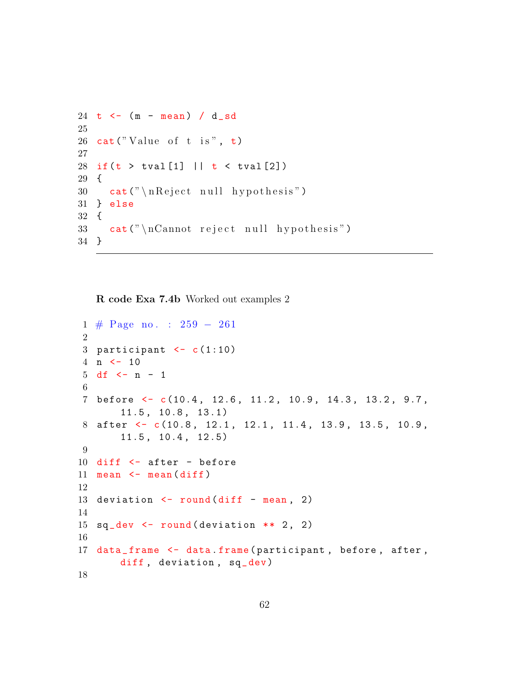```
24 t \leftarrow (m - mean) / d_sd
25
26 cat ("Value of t is", t)
27
28 if (t > tval[1] || t < tval[2])29 {
30 cat (" \n\rangle_{\text{nReject null hypothesis}}")31 } else
32 {
33 cat (" \n\rceilcannot reject null hypothesis")
34 }
```
R code Exa 7.4b Worked out examples 2

```
1 # Page no . : 259 − 261
2
3 participant \leq c(1:10)
4 n \leq -105 df <- n - 1
6
7 before <- c (10.4 , 12.6 , 11.2 , 10.9 , 14.3 , 13.2 , 9.7 ,
       11.5 , 10.8 , 13.1)
8 after <- c(10.8, 12.1, 12.1, 11.4, 13.9, 13.5, 10.9,
       11.5 , 10.4 , 12.5)
9
10 diff <- after - before
11 mean \leq mean \text{(diff)}12
13 deviation \le round (diff - mean, 2)
14
15 sq\_dev <- round (deviation ** 2, 2)
16
17 data_frame <- data.frame(participant, before, after,
       diff, deviation, sq_dev)
18
```
62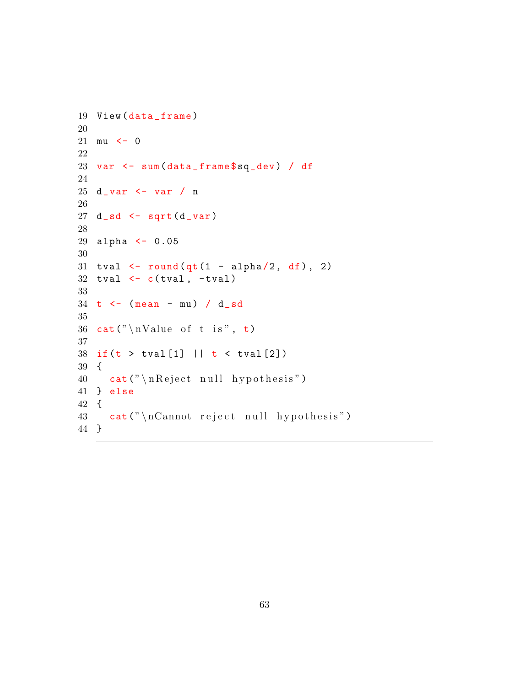```
19 View (data_frame)
20
21 mu <-022
23 var <- sum ( data _ frame $sq_ dev ) / df
24
25 d_ var <- var / n
26
27 d_s = s - sqrt(d_s = var)28
29 alpha <- 0.05
30
31 tval \le round (qt(1 - alpha/2, df), 2)32 tval \leftarrow c(tval, \leftarrowtval)
33
34 t \leftarrow (mean - mu) / d_sd
35
36 cat ("\nValue of t is", t)
37
38 if (t > tval[1] || t < tval[2])39 {
40 cat("\n\leq cct) n Reject null hypothesis")
41 } else
42 {
43 cat ("\nCannot reject null hypothesis")
44 }
```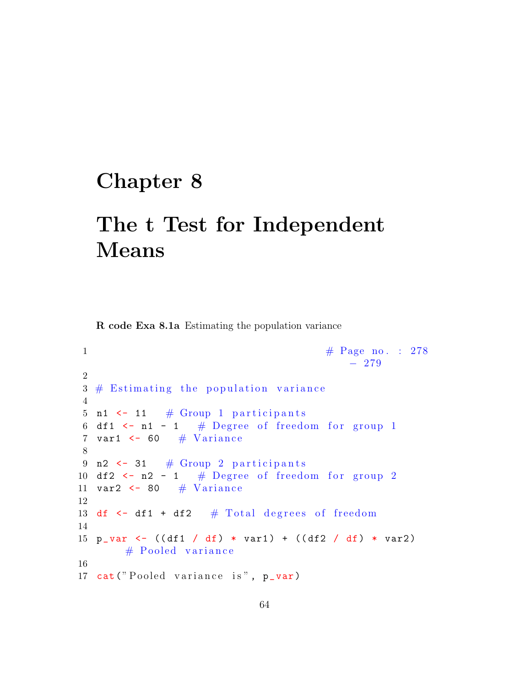### Chapter 8

## The t Test for Independent Means

R code Exa 8.1a Estimating the population variance

```
1 \#\text{ Page no. : } 278− 279
2
3 \# Estimating the population variance
4
5 n1 \leftarrow 11 # Group 1 participants
6 df1 \leftarrow n1 - 1 # Degree of freedom for group 1
7 var1 \leftarrow 60 \# Variance
8
9 n2 \leftarrow 31 # Group 2 participants
10 df2 \leftarrow n2 - 1 # Degree of freedom for group 2
11 var2 \leftarrow 80 \# Variance
12
13 df \leftarrow df1 + df2 \# Total degrees of freedom
14
15 p_var <- ((df1 / df) * var1) + ((df2 / df) * var2)# Pooled variance
16
17 cat ("Pooled variance is", p_var)
```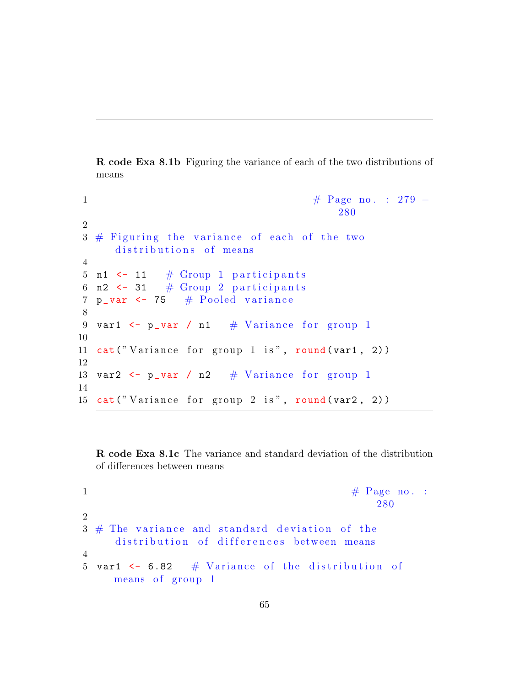R code Exa 8.1b Figuring the variance of each of the two distributions of means

```
1 \#\text{ Page no. : } 279 -280
2
3 \# Figuring the variance of each of the two
      distributions of means
4
5 n1 \leftarrow 11 \# Group 1 participants
6 n2 \leftarrow 31 # Group 2 participants
7 p_var \leq 75 # Pooled variance
8
9 var1 \leftarrow p_var / n1 \# Variance for group 1
10
11 cat ("Variance for group 1 is", round (var1, 2))
12
13 var2 \leftarrow p_var / n2 # Variance for group 1
14
15 cat ("Variance for group 2 is", round (var2, 2))
```
R code Exa 8.1c The variance and standard deviation of the distribution of differences between means

```
1 \# \text{ Page no. :}280
2
3 \# The variance and standard deviation of the
    distribution of differences between means
4
5 var1 \leq 6.82 # Variance of the distribution of
    means of group 1
```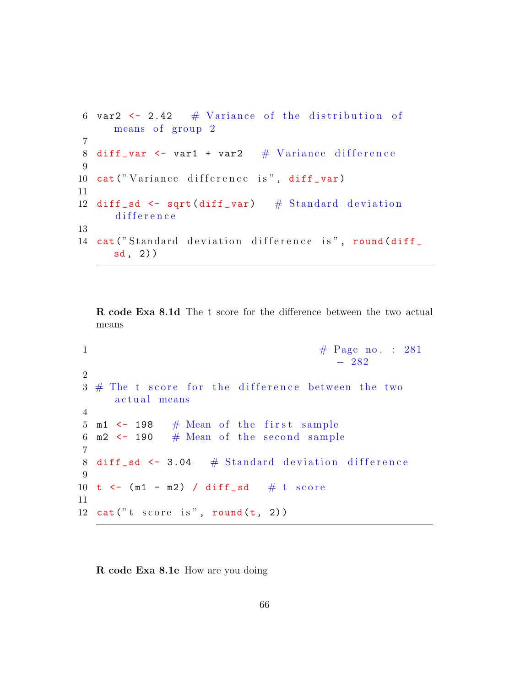```
6 var2 \leftarrow 2.42 # Variance of the distribution of
      means of group 2
7
8 diff _var <- var1 + var2 \# Variance difference
9
10 cat ("Variance difference is", diff_var)
11
12 diff sd \leftarrow sqrt(diff\_var) # Standard deviation
      difference
13
14 cat ("Standard deviation difference is", round (diff
     sd, 2)
```
R code Exa 8.1d The t score for the difference between the two actual means

```
1 \#\text{ Page no. : } 281− 282
2
3 \# The t score for the difference between the two
     actual means
4
5 \text{ m1} \leftarrow 198 # Mean of the first sample
6 m2 \leftarrow 190 \# Mean of the second sample
7
8 diff sd < -3.04 # Standard deviation difference
9
10 t \leftarrow (m1 - m2) / diff sd # t score
11
12 cat("t score is", round(t, 2))
```
R code Exa 8.1e How are you doing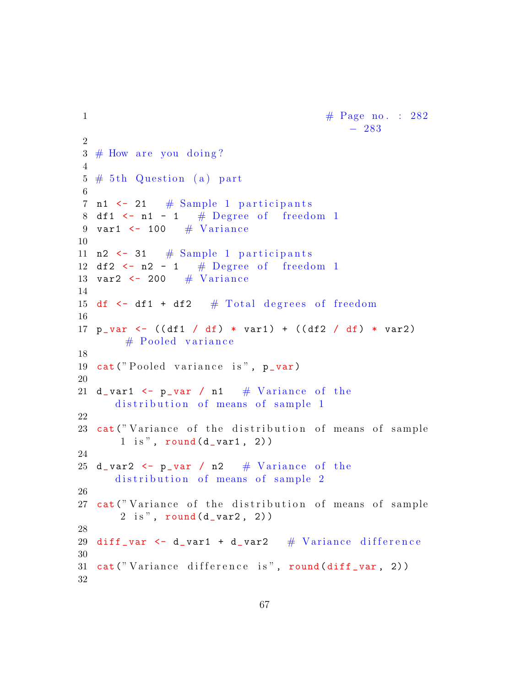```
1 \# \text{ Page no. : } 282− 283
2
3 \# How are you doing?
4
5 \# 5th Question (a) part
6
7 n1 \leftarrow 21 \# Sample 1 participants
8 df1 \leftarrow n1 - 1 # Degree of freedom 1
9 var1 \leq 100 \# Variance
10
11 n2 \leq 31 # Sample 1 participants
12 df2 \leftarrow n2 - 1 # Degree of freedom 1
13 var2 \leftarrow 200 \# Variance
14
15 df \le df1 + df2 \# Total degrees of freedom
16
17 p_{var} < - ((df1 / df) * var1) + ((df2 / df) * var2)
        # Pooled variance
18
19 cat ("Pooled variance is", p_var)
20
21 d_var1 \leq p_var / n1 \# Variance of the
      distribution of means of sample 1
22
23 cat ("Variance of the distribution of means of sample
       1 is", round (d<sub>-</sub>var1, 2) )24
25 d_var2 \leftarrow p_var / n2 \# Variance of the
      distribution of means of sample 2
26
27 cat ("Variance of the distribution of means of sample
       2 \text{ is "}, \text{round}(d_{var}2, 2)28
29 diff var \le d var1 + d var2 \# Variance difference
30
31 cat ("Variance difference is", round (diff_var, 2))
32
```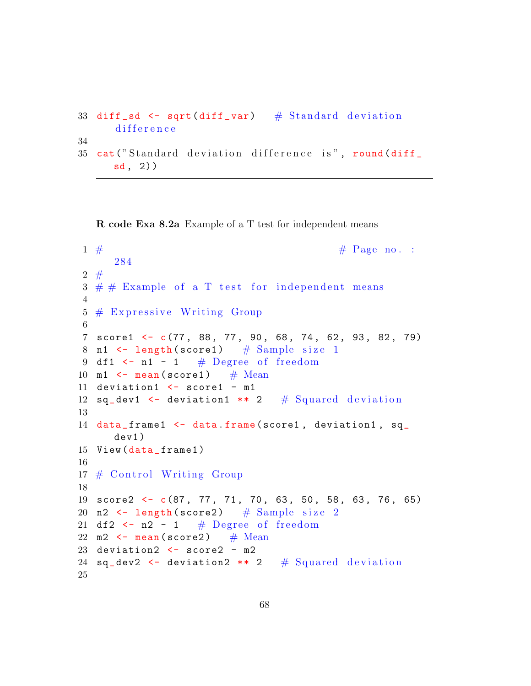```
33 diff sd \leftarrow sqrt(diff \text{var}) # Standard deviation
      difference
34
35 cat ("Standard deviation difference is", round (diff
      sd, 2)
```
R code Exa 8.2a Example of a T test for independent means

```
1 \# Page no. :
     284
2 \neq3 \# \# Example of a T test for independent means
4
5 \# Expressive Writing Group
6
7 score1 <- c(77 , 88 , 77 , 90 , 68 , 74 , 62 , 93 , 82 , 79)
8 n1 \leftarrow length (score1) # Sample size 1
9 df1 \leftarrow n1 - 1 # Degree of freedom
10 m1 \leftarrow mean (score1) # Mean
11 deviation1 <- score1 - m1
12 sq\_dev1 <- deviation1 ** 2 # Squared deviation
13
14 data_frame1 <- data.frame(score1, deviation1, sq_
     dev1 )
15 View (data_frame1)
16
17 \# Control Writing Group
18
19 score2 <- c(87, 77, 71, 70, 63, 50, 58, 63, 76, 65)
20 n2 \leftarrow length (score2) # Sample size 2
21 df2 \leftarrow n2 - 1 # Degree of freedom
22 m2 \leftarrow mean (score2) # Mean
23 deviation2 <- score2 - m2
24 sq_dev2 \leftarrow deviation2 ** 2 # Squared deviation
25
```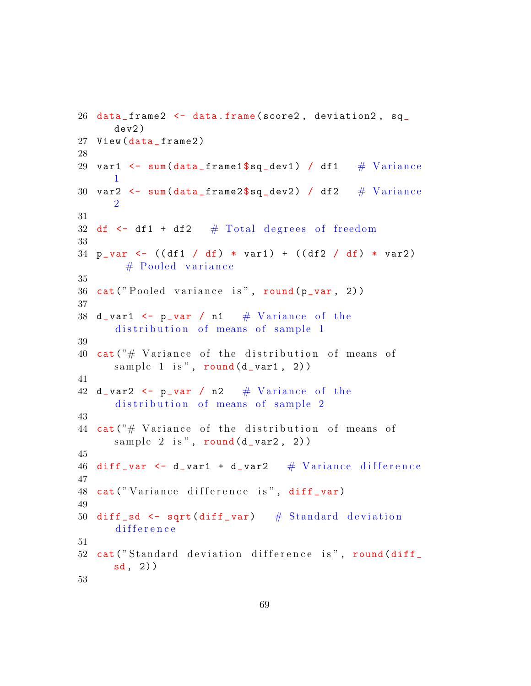```
26 data_frame2 <- data.frame(score2, deviation2, sq_
      dev2 )
27 View (data_frame2)
28
29 var1 \leq sum(data_frame1$sq_dev1) / df1 \# Variance
      1
30 var2 \leq sum(data_frame2$sq_dev2) / df2 \# Variance
      2
31
32 df \leftarrow df1 + df2 \# Total degrees of freedom
33
34 p_var <- ((df1 / df) * var1) + ((df2 / df) * var2)
        # Pooled variance
35
36 cat ("Pooled variance is", round (p_{var}, 2))
37
38 d_var1 \leq p_var / n1 \# Variance of the
      distribution of means of sample 1
39
40 cat ("# Variance of the distribution of means of
      sample 1 is", round (d_{var1}, 2))
41
42 d_var2 \leftarrow p_var / n2 \# Variance of the
      distribution of means of sample 2
43
44 cat ("# Variance of the distribution of means of
      sample 2 is", round (d_{var}2, 2)45
46 diff var \leq d var1 + d var2 \# Variance difference
47
48 cat ("Variance difference is", diff_var)
49
50 diff sd \leftarrow sqrt(diff var) # Standard deviation
      difference
51
52 cat ("Standard deviation difference is", round (diff
      sd , 2) )
53
```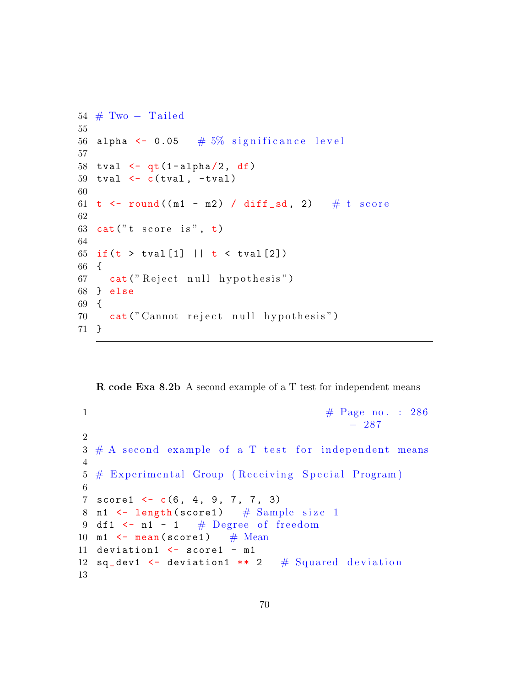```
54 \# Two - Tailed55
56 alpha \leq 0.05 \# 5% significance level
57
58 tval \leq -qt(1-\alpha) alpha(2, df)59 tval \leftarrow c(tval, -tval)
60
61 t \le round ((m1 - m2) / diff _sd, 2) # t score
62
63 cat ("t score is", t)
64
65 if (t > tval[1] || t < tval[2])66 {
67 cat ("Reject null hypothesis")
68 } else
69 {
70 cat (" Cannot reject null hypothesis")
71 }
```
R code Exa 8.2b A second example of a T test for independent means

```
1 \#\text{ Page no : } 286− 287
2
3 \# A second example of a T test for independent means
4
5 # Experimental Group (Receiving Special Program)
6
7 score1 <- c(6, 4, 9, 7, 7, 3)
8 n1 \leftarrow length (score1) # Sample size 1
9 df1 \leftarrow n1 - 1 # Degree of freedom
10 m1 \leftarrow mean (score1) # Mean
11 deviation1 <- score1 - m1
12 sq_dev1 \leq deviation1 ** 2 # Squared deviation
13
```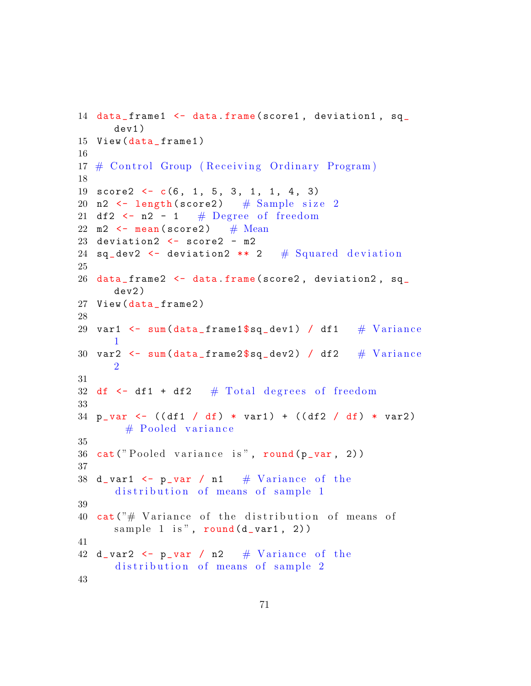```
14 data_frame1 <- data.frame(score1, deviation1, sq_
      dev1 )
15 View (data_frame1)
16
17 # Control Group (Receiving Ordinary Program)
18
19 score2 \leftarrow c(6, 1, 5, 3, 1, 1, 4, 3)20 n2 \leftarrow length (score2) # Sample size 2
21 df2 \leftarrow n2 - 1 # Degree of freedom
22 m2 \leftarrow mean (score2) # Mean
23 deviation2 \leq score2 - m2
24 sq_dev2 \leq deviation2 ** 2 # Squared deviation
25
26 data_frame2 <- data.frame(score2, deviation2, sq_
      dev2 )
27 View (data_frame2)
28
29 var1 \le sum(data_frame1$sq_dev1) / df1 \# Variance
      1
30 var2 \leq sum(data_frame2$sq_dev2) / df2 \# Variance
      2
31
32 df \leq df \pm df2 \# Total degrees of freedom
33
34 p_var <- ((df1 / df) * var1) + ((df2 / df) * var2)# Pooled variance
35
36 cat ("Pooled variance is", round (p_{var}, 2))
37
38 d_var1 \leq p_var / n1 \# Variance of the
      distribution of means of sample 1
39
40 cat ("# Variance of the distribution of means of
      sample 1 is", round (d_{var1}, 2))
41
42 d_var2 \leq p_var / n2 \# Variance of the
      distribution of means of sample 2
43
```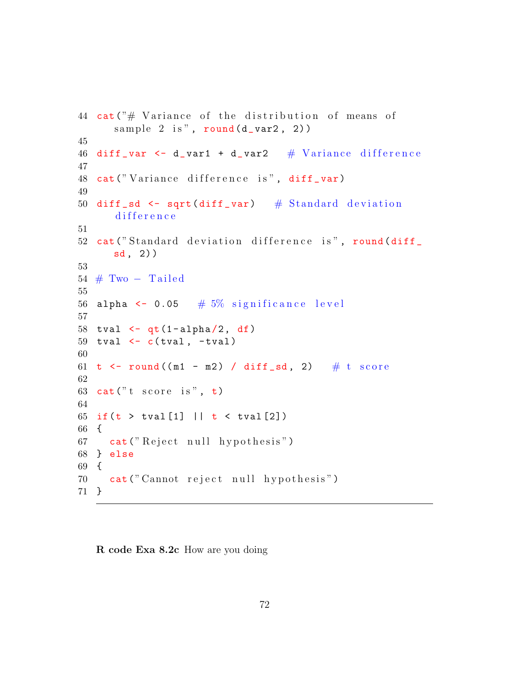```
44 cat (\n\begin{array}{c}\n\star \\
\star\n\end{array}) Variance of the distribution of means of
      sample 2 is", round (d_{var}2, 2)45
46 diff var \leftarrow d var1 + d var2 \# Variance difference
47
48 cat ("Variance difference is", diff_var)
49
50 diff sd \leftarrow sqrt(diff\_var) # Standard deviation
      difference
51
52 cat ("Standard deviation difference is", round (diff
      sd, 2)53
54 \# Two - Tailed55
56 alpha \leq 0.05 \# 5% significance level
57
58 tval \leq -qt(1-a1pha/2, df)59 tval \leftarrow c(tval, -tval)
60
61 t \le round ((m1 - m2) / diff _sd, 2) # t score
62
63 cat ("t score is", t)
64
65 if (t > tval[1] || t < tval[2])66 {
67 cat ("Reject null hypothesis")
68 } else
69 {
70 cat (" Cannot reject null hypothesis")
71 }
```
R code Exa 8.2c How are you doing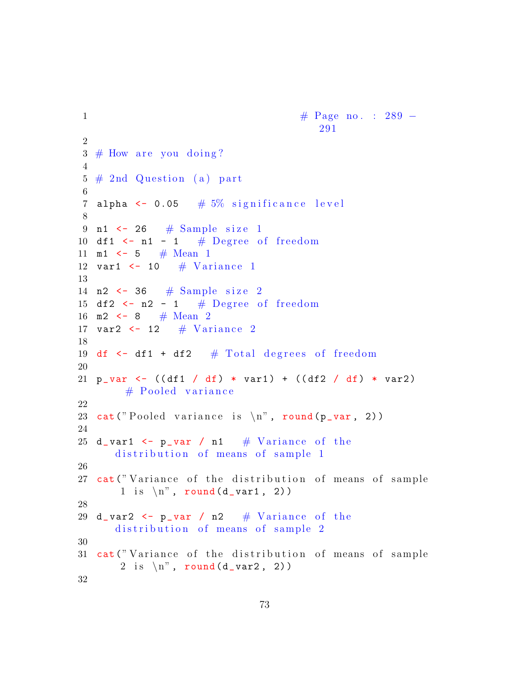```
1 \text{Page no. : } 289 -291
2
3 \# How are you doing?
4
5 \# 2nd Question (a) part
6
7 alpha \leq 0.05 # 5\% significance level
8
9 n1 \leftarrow 26 # Sample size 1
10 df1 \leftarrow n1 - 1 # Degree of freedom
11 m1 \leftarrow 5 # Mean 1
12 var1 \leftarrow 10 \# Variance 1
13
14 n2 \leftarrow 36 \# Sample size 2
15 df2 \leftarrow n2 - 1 # Degree of freedom
16 m2 \lt - 8 # Mean 2
17 var2 \leftarrow 12 \# Variance 2
18
19 df \leftarrow df1 + df2 \# Total degrees of freedom
20
21 p_var <- ((df1 / df) * var1) + ((df2 / df) * var2)# Pooled variance
22
23 cat ("Pooled variance is \langle n'', round (p_var, 2))
24
25 d_var1 \leq p_var / n1 \# Variance of the
      distribution of means of sample 1
26
27 cat ("Variance of the distribution of means of sample
       1 is \langle n'', round (d_{var1}, 2)28
29 d_var2 \leftarrow p_var / n2 \# Variance of the
      distribution of means of sample 2
30
31 cat ("Variance of the distribution of means of sample
       2 is \langle n'', round (d_{var2}, 2)32
```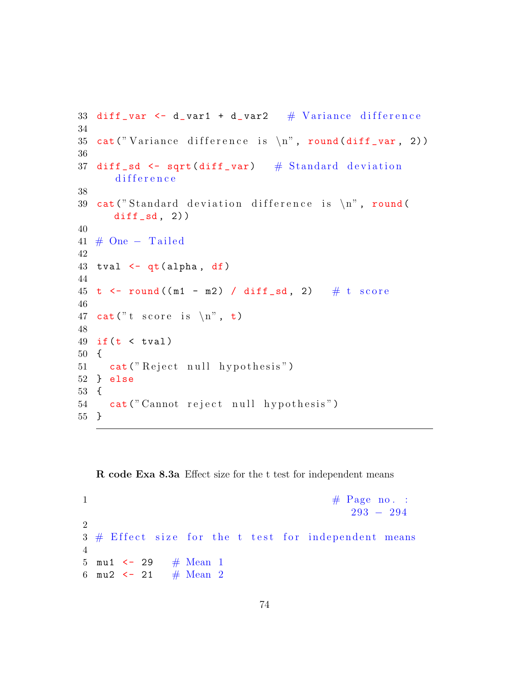```
33 diff _var <- d _var1 + d _var2 # Variance difference
34
35 cat ("Variance difference is \langle n", round (diff _var, 2))
36
37 diff sd \leftarrow sqrt(diff var) # Standard deviation
       difference
38
39 cat ("Standard deviation difference is \langle n", round (
      diff_s, 2)40
41 \# One – Tailed
42
43 tval \leftarrow qt(alpha, df)
44
45 t \leftarrow round ((m1 - m2) / diff \_sd, 2) \# t score
46
47 cat ("t score is \langle n", t)
48
49 if (t \lt t \text{val})50 {
51 cat ("Reject null hypothesis")
52 } else
53 {
54 cat (" Cannot reject null hypothesis")
55 }
```
R code Exa 8.3a Effect size for the t test for independent means

```
1 \# \text{Page no. :}293 − 294
2
3 \# Effect size for the t test for independent means
4
5 mu1 \leftarrow 29 # Mean 1
6 mu2 \lt 21 # Mean 2
```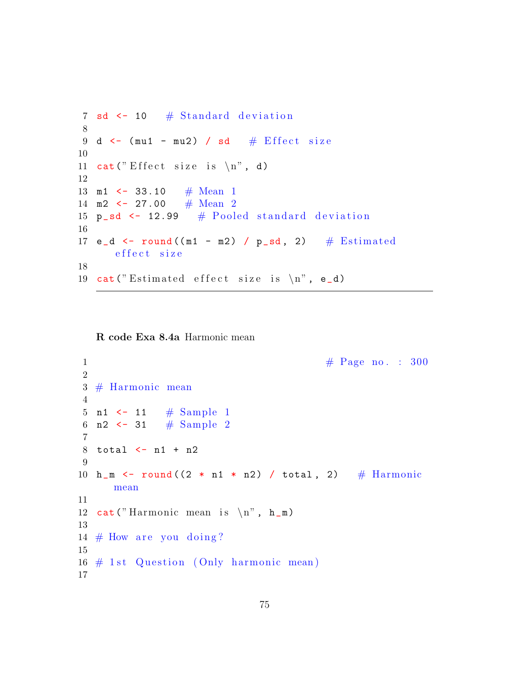```
7 sd \leftarrow 10 # Standard deviation
8
9 d \le (mu1 - mu2) / sd # Effect size
10
11 cat (" Effect size is \langle n", d)
12
13 m1 <- 33.10 # Mean 1
14 m2 \leftarrow 27.00 # Mean 2
15 p_s d \leftarrow 12.99 # Pooled standard deviation
16
17 e_d \le round ((m1 - m2) / p_sd, 2) # Estimated
      e f f e c t s i z e
18
19 cat ("Estimated effect size is \langle n", e_d)
```
R code Exa 8.4a Harmonic mean

```
1 \#\text{ Page no. : } 3002
3 # Harmonic mean
4
5 n1 \leftarrow 11 # Sample 1
6 n2 <- 31 # Sample 2
7
8 total <- n1 + n2
9
10 h_m <- round ((2 * n1 * n2) / total, 2) # Harmonic
     mean
11
12 cat ("Harmonic mean is \langle n", h_m)
13
14 # How are you doing?
15
16 \# 1st Question (Only harmonic mean)
17
```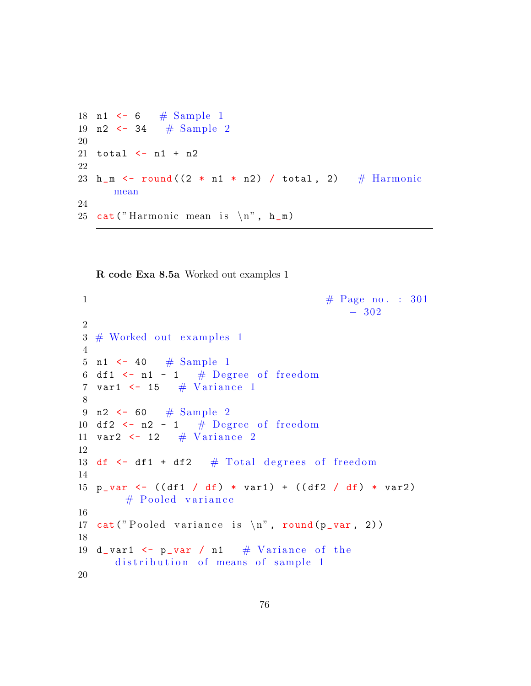18 n1 <- 6 #  $Sample 1$ 19 n2 <- 34  $#$  Sample 2 20 21 total <- n1 + n2 22 23 h\_m <- round  $((2 * n1 * n2) / total, 2)$  # Harmonic mean 24 25 cat ("Harmonic mean is  $\langle n"$ ,  $h_m$ )

R code Exa 8.5a Worked out examples 1

```
1 \# \text{Page no. : } 301− 302
2
3 \# Worked out examples 1
4
5 n1 <- 40 \# Sample 1
6 df1 \leftarrow n1 - 1 # Degree of freedom
7 var1 \leftarrow 15 # Variance 1
8
9 n2 <- 60 # Sample 2
10 df2 \leftarrow n2 - 1 # Degree of freedom
11 var2 \leftarrow 12 # Variance 2
12
13 df \leftarrow df1 + df2 \# Total degrees of freedom
14
15 p_var <- ((df1 / df) * var1) + ((df2 / df) * var2)# Pooled variance
16
17 cat ("Pooled variance is \langle n'', round (p_var, 2))
18
19 d_var1 \leq p_var / n1 \# Variance of the
      distribution of means of sample 1
20
```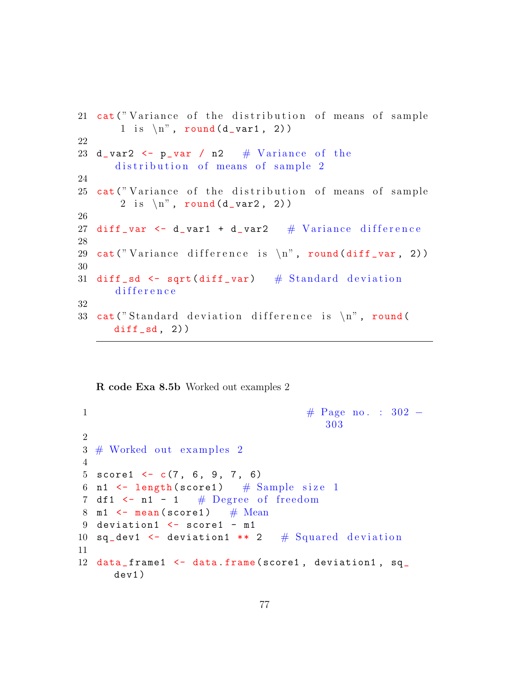```
21 cat ("Variance of the distribution of means of sample
       1 is \langle n'', round (d_{var1}, 2)22
23 d_var2 \leq p_var / n2 \# Variance of the
      distribution of means of sample 2
24
25 cat ("Variance of the distribution of means of sample
       2 is \langle n'', round (d_{var2}, 2)26
27 diff var \le d var1 + d var2 \# V ariance difference
28
29 cat ("Variance difference is \langle n", round (diff _var, 2))
30
31 diff \_sd \leftarrow sqrt(diff \_var) \# Standard deviation
      difference
32
33 cat ("Standard deviation difference is \langle n", round (
      diff_s, 2)
```
R code Exa 8.5b Worked out examples 2

```
1 \text{H} \text{ Page no. : } 302 -303
2
3 \# Worked out examples 2
4
5 score1 \leq \leq (7, 6, 9, 7, 6)6 n1 \leftarrow length (score1) # Sample size 1
7 df1 \leftarrow n1 - 1 # Degree of freedom
8 m1 \leftarrow mean (score1) # Mean
9 deviation1 <- score1 - m1
10 sq_dev1 \leq deviation1 ** 2 # Squared deviation
11
12 data_frame1 <- data.frame(score1, deviation1, sq_
     dev1 )
```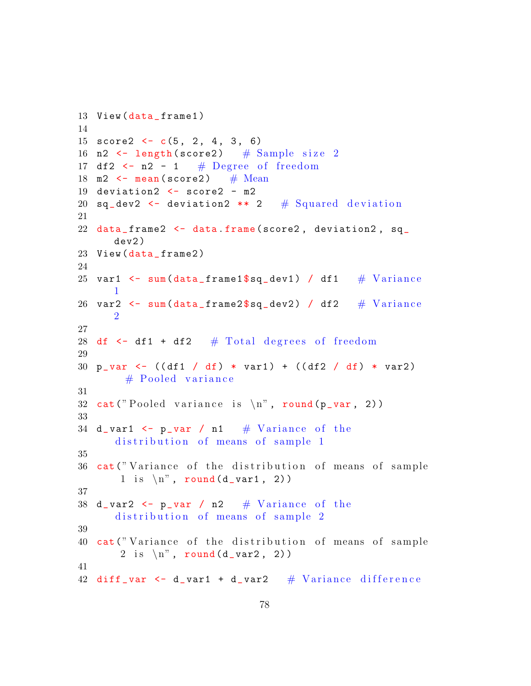```
13 View (data_frame1)
14
15 score2 \leq c(5, 2, 4, 3, 6)16 n2 \leftarrow length (score2) # Sample size 2
17 df2 \leftarrow n2 - 1 # Degree of freedom
18 m2 \leftarrow mean (score2) # Mean
19 deviation2 <- score2 - m2
20 sq_dev2 <- deviation2 ** 2 # Squared deviation
21
22 data_frame2 \leq data.frame(score2, deviation2, sq_
      dev2 )
23 View (data_frame2)
24
25 var1 \le sum(data_frame1$sq_dev1) / df1 \# Variance
      1
26 var2 \leq sum(data_frame2$sq_dev2) / df2 \# Variance
      2
27
28 df \leq df1 + df2 \# Total degrees of freedom
29
30 p_var <- ((df1 / df) * var1) + ((df2 / df) * var2)# Pooled variance
31
32 cat ("Pooled variance is \langle n'', round (p_var, 2))
33
34 d_var1 \leq p_var / n1 \# Variance of the
      distribution of means of sample 1
35
36 cat ("Variance of the distribution of means of sample
       1 is \langle n'', round (d_{var1}, 2)37
38 d_var2 \leq p_var / n2 \# Variance of the
      distribution of means of sample 2
39
40 cat ("Variance of the distribution of means of sample
       2 is \langle n'', round (d_{var2}, 2)41
42 diff var \le d var1 + d var2 \# Variance difference
```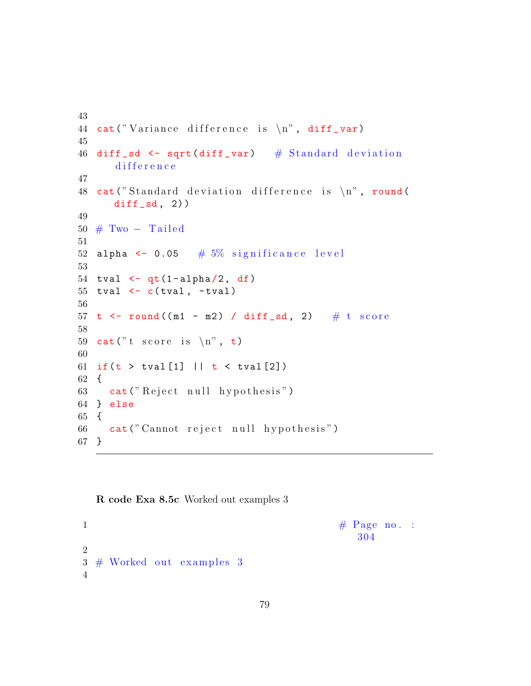```
43
44 cat ("Variance difference is \langle n'', diff _var)
45
46 diff sd \leftarrow sqrt(diff\_var) # Standard deviation
       difference
47
48 cat ("Standard deviation difference is \langle n", round (
      diff_s, 2)49
50 \# Two – Tailed
51
52 alpha \leq 0.05 # 5% significance level
53
54 tval \leftarrow qt(1-\alpha)pha\left(2, df\right)55 tval \leftarrow c(tval, -tval)
56
57 t \leftarrow round ((m1 - m2) / diff _sd, 2) # t score
58
59 cat ("t score is \langle n", t)
60
61 if (t > tval[1] || t < tval[2])62 {
63 cat ("Reject null hypothesis")
64 } else
65 {
66 cat (" Cannot reject null hypothesis")
67 }
```
## R code Exa 8.5c Worked out examples 3

 $\# \text{ Page no. :}$ 304 2  $3 \#$  Worked out examples 3 4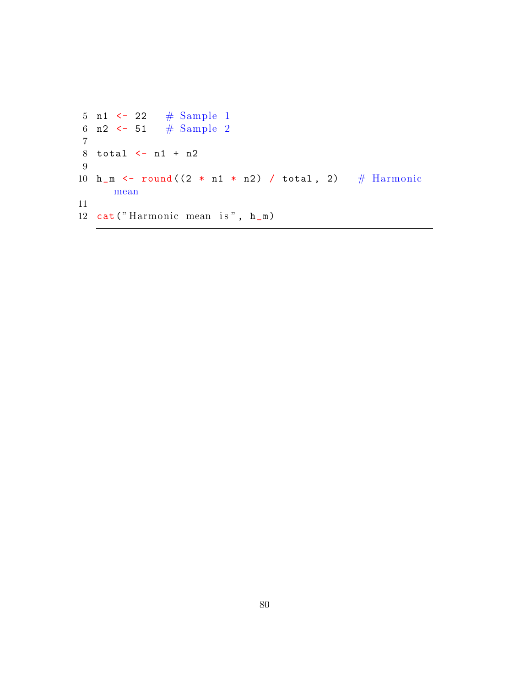```
5 n1 <- 22 \# Sample 1
 6 n2 <- 51 \# Sample 2
7
8 total <- n1 + n2
9
10 h_m <- round ((2 * n1 * n2) / total, 2) # Harmonic
     mean
11
12 cat ("Harmonic mean is", h_m)
```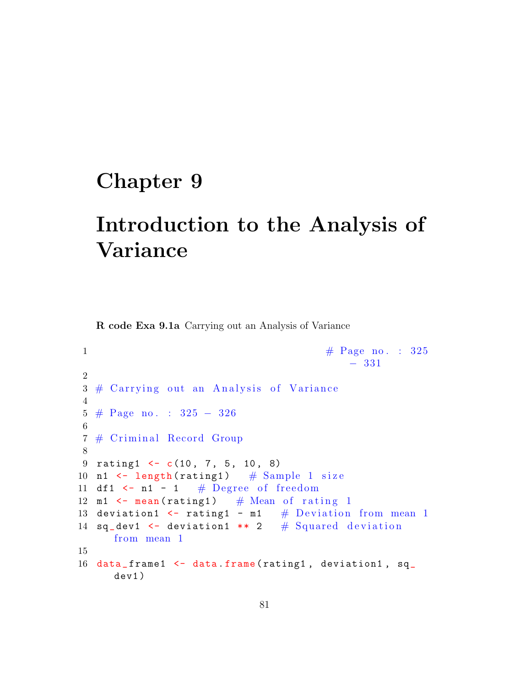## Chapter 9

## Introduction to the Analysis of Variance

R code Exa 9.1a Carrying out an Analysis of Variance

```
1 \# \text{Page no. : } 325− 331
2
3 \# Carrying out an Analysis of Variance
4
5 # Page no . : 325 − 326
6
7 # Criminal Record Group
8
9 rating1 \leftarrow c(10, 7, 5, 10, 8)10 n1 \leftarrow length (rating1) # Sample 1 size
11 df1 \leftarrow n1 - 1 # Degree of freedom
12 m1 \leftarrow mean (rating1) # Mean of rating 1
13 deviation1 \le rating1 - m1 \# Deviation from mean 1
14 sq\_dev1 <- deviation1 ** 2 # Squared deviation
     from mean 1
15
16 data_frame1 <- data.frame(rating1, deviation1, sq_
     dev1 )
```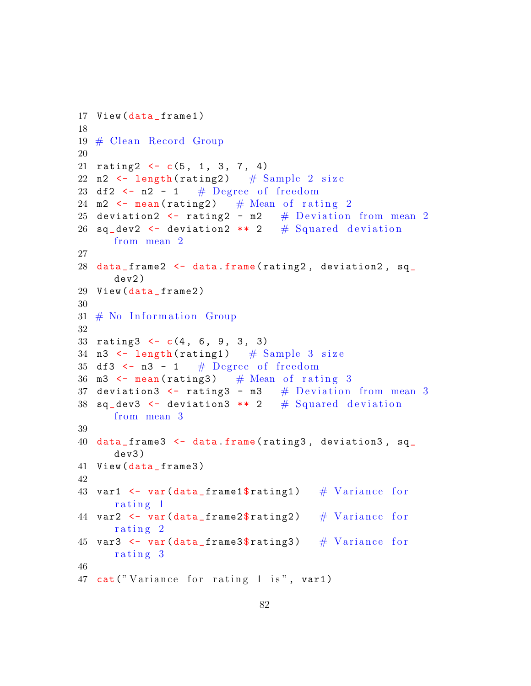```
17 View (data_frame1)
18
19 \# Clean Record Group
20
21 rating 2 \leftarrow c(5, 1, 3, 7, 4)22 n2 \leftarrow length (rating2) \# Sample 2 size
23 df2 \leftarrow n2 - 1 # Degree of freedom
24 m2 \leftarrow mean (rating2) # Mean of rating 2
25 deviation2 \leftarrow rating2 - m2 \# Deviation from mean 2
26 sq_dev2 \leq deviation2 ** 2 # Squared deviation
      from mean 2
27
28 data_frame2 <- data.frame(rating2, deviation2, sq_
      dev2 )
29 View (data_frame2)
30
31 \# No Information Group
32
33 rating 3 \leftarrow c(4, 6, 9, 3, 3)34 n3 \leftarrow length (rating1) # Sample 3 size
35 df3 <- n3 - 1 # Degree of freedom
36 m3 \leftarrow mean (rating3) # Mean of rating 3
37 deviation3 \le rating3 - m3 \# Deviation from mean 3
38 sq\_dev3 <- deviation3 ** 2 # Squared deviation
      from mean 3
39
40 data _ frame3 <- data . frame ( rating3 , deviation3 , sq_
      dev3 )
41 View (data_frame3)
42
43 var1 \leq var(data_frame1$rating1) # Variance for
      rating 1
44 var2 \leq var(data_frame2$rating2) \# Variance for
      rating 2
45 var3 <- var(data_frame3$rating3) \# Variance for
      rating 3
46
47 cat ("Variance for rating 1 is", var1)
```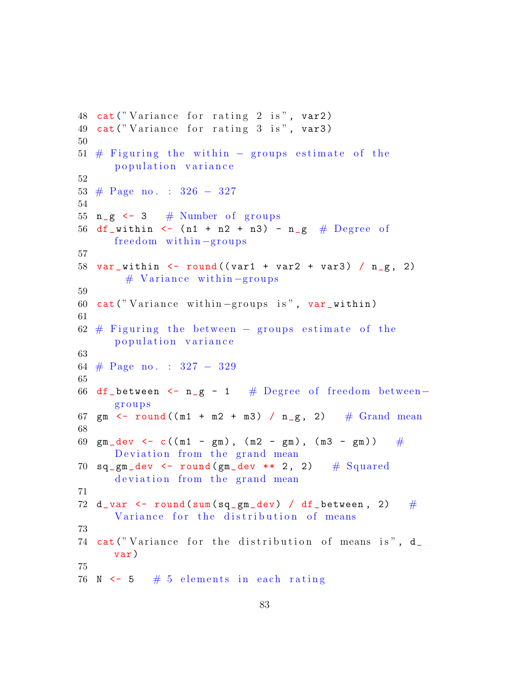```
48 cat ("Variance for rating 2 is", var2)
49 cat ("Variance for rating 3 is", var3)
50
51 # Figuring the within - groups estimate of the
      p o pulation variance
52
53 # Page no . : 326 − 327
54
55 n_g \leq -3 # Number of groups
56 df_within \leq (n1 + n2 + n3) - n_g # Degree of
      freedom within -groups57
58 var_within \le round ((var1 + var2 + var3) / n_g, 2)
       # Variance within-groups
59
60 cat ("Variance within-groups is", var_within)
61
62 # Figuring the between – groups estimate of the
      p o pulation variance
63
64 # Page no . : 327 − 329
65
66 df_between \leq n_g - 1 # Degree of freedom between-
      g r o u p s
67 gm \leftarrow round ((m1 + m2 + m3) / n_g, 2) # Grand mean
68
69 gm_dev <- c((m1 - gm), (m2 - gm), (m3 - gm)) \#Deviation from the grand mean
70 sq_gm_dev \leftarrow round(gm_dev \ast \ast 2, 2) # Squareddeviation from the grand mean
71
72 d_var \le round (sum (sq_gm_dev) / df_between, 2) \#Variance for the distribution of means
73
74 cat ("Variance for the distribution of means is", d_
      var )
75
76 N \leq 5 \# 5 elements in each rating
```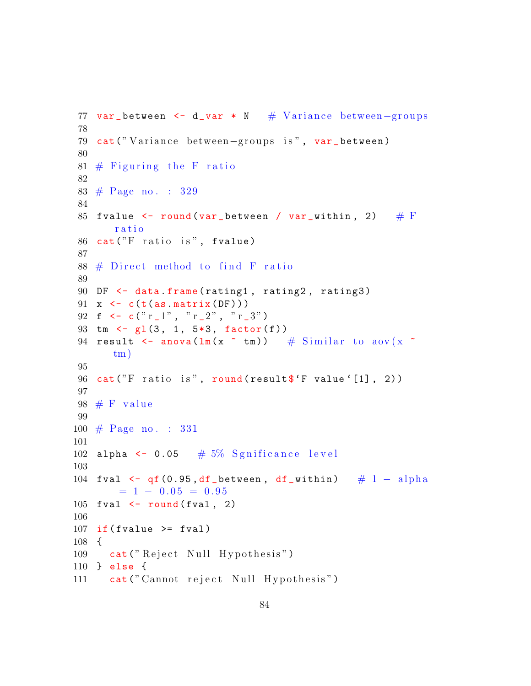```
77 var_between <- d_var * N # Variance between-groups
78
79 cat (" Variance between-groups is", var_between)
80
81 # Figuring the F ratio
82
83 # Page no . : 329
84
85 fvalue \le round (var_between / var_within, 2) \# F
       ratio
86 cat ("F ratio is", fvalue)
87
88 # Direct method to find F ratio
89
90 DF <- data . frame ( rating1 , rating2 , rating3 )
91 x \leftarrow c(t(as.matrix(DF)))92 f \leq c(" r _1", " r _2", " r _3")
93 tm \leftarrow gl(3, 1, 5*3, factor(f))
94 result \leq anova (\ln(x \times \tan)) # Similar to aov (x \timestm)
95
96 cat ("F ratio is", round (result f"F value '[1], 2))
97
98 # F value
99
100 # Page no . : 331
101
102 alpha \leq 0.05 # 5% Sgnificance level
103
104 fval \leftarrow qf (0.95, df_between, df_within) \# 1 - alpha
        = 1 - 0.05 = 0.95105 fval \leftarrow round (fval, 2)
106
107 if (fvalue \geq fval)108 {
109 cat ("Reject Null Hypothesis")
110 } else {
111 cat (" Cannot reject Null Hypothesis")
```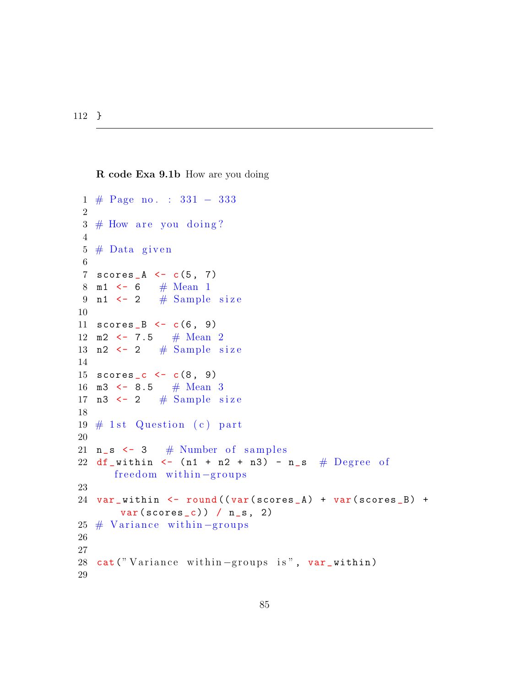112 }

```
R code Exa 9.1b How are you doing
```

```
1 # Page no . : 331 − 333
2
3 \# How are you doing?
4
5 \# Data given
6
7 scores_A \leftarrow c(5, 7)8 m1 \leftarrow 6 # Mean 1
9 n1 \leftarrow 2 # Sample size
10
11 \text{scores}_B \leftarrow c(6, 9)12 m2 \leftarrow 7.5 # Mean 2
13 n2 \leftarrow 2 # Sample size
14
15 \text{scores}_c \leftarrow c(8, 9)16 m3 <- 8.5 # Mean 3
17 n3 \leq 2 # Sample size
18
19 \# 1st Question (c) part
20
21 n_s < -3 # Number of samples
22 df_within \leftarrow (n1 + n2 + n3) - n_s # Degree of
      freedom within-groups
23
24 var_within <- round ((var (scores_A) + var (scores_B) +
       var(scores_c)) / n_s, 2)25 # Variance within-groups
26
27
28 cat ("Variance within-groups is", var_within)
29
```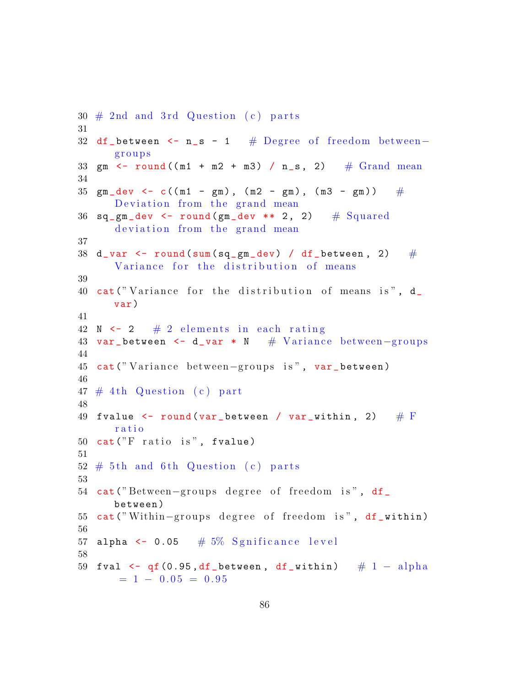```
30 \# 2nd and 3rd Question (c) parts
31
32 df_between <- n_s - 1 # Degree of freedom between-
      g r o u p s
33 gm \le round ((m1 + m2 + m3) / n_s, 2) # Grand mean
34
35 \text{ gm\_dev} \leftarrow c((m1 - gm), (m2 - gm), (m3 - gm)) #
      Deviation from the grand mean
36 sq_gm_dev \leftarrow round(gm_dev \ast * 2, 2) # Squared
      deviation from the grand mean
37
38 d_var <- round (sum (sq_gm_dev) / df_between, 2) \#Variance for the distribution of means
39
40 cat ("Variance for the distribution of means is", d_
      var )
41
42 N \leftarrow 2 \# 2 elements in each rating
43 var_between <- d_var * N # Variance between-groups
44
45 cat ("Variance between-groups is", var_between)
46
47 \# 4th Question (c) part
48
49 fvalue \le- round(var_between / var_within, 2) \# \mathrm Fr a t i o
50 cat("F ratio is", fvalue)51
52 \# 5th and 6th Question (c) parts
53
54 cat ("Between-groups degree of freedom is", df_
      between )
55 cat ("Within–groups degree of freedom is", df_within)
56
57 alpha \leq 0.05 \# 5% Sgnificance level
58
59 fval \leq qf (0.95, df_between, df_within) # 1 - alpha
      = 1 - 0.05 = 0.95
```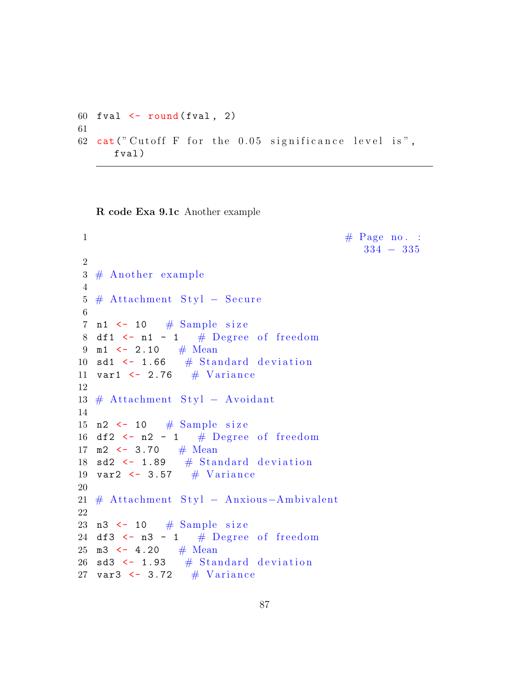```
60 fval \leftarrow round (fval, 2)
61
62 cat (" Cutoff F for the 0.05 significance level is",
      fval )
```
R code Exa 9.1c Another example

```
\# \text{ Page no. :}334 − 335
2
3 \# Another example
4
5 \# Attachment Styl – Secure
6
7 n1 \leftarrow 10 \# Sample size
8 df1 \leftarrow n1 - 1 # Degree of freedom
9 m1 <- 2.10 # Mean
10 sd1 \leftarrow 1.66 # Standard deviation
11 var1 \leftarrow 2.76 \# Variance
12
13 # Attachment Styl − Avoidant
14
15 n2 \leftarrow 10 \# Sample size
16 df2 \leftarrow n2 - 1 # Degree of freedom
17 m2 \leftarrow 3.70 # Mean
18 sd2 \leftarrow 1.89 # Standard deviation
19 var2 \leftarrow 3.57 \# Variance
20
21 # Attachment Styl − Anxious-Ambivalent
22
23 n3 \leftarrow 10 \# Sample size
24 df3 <- n3 - 1 # Degree of freedom
25 m3 \leftarrow 4.20 # Mean
26 sd3 \leftarrow 1.93 # Standard deviation
27 var3 \leftarrow 3.72 \# Variance
```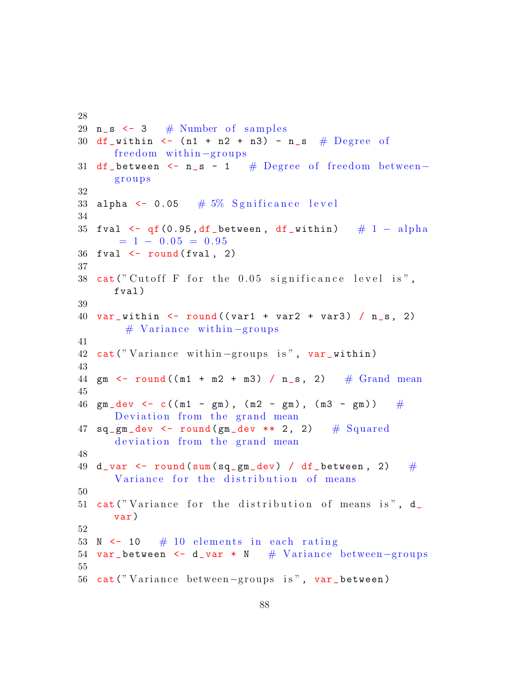```
29 n_s < -3 # Number of samples
30 df_within \leftarrow (n1 + n2 + n3) - n_s # Degree of
      freedom within -groups31 df_between <- n_s - 1 # Degree of freedom between-
      g r o u p s
32
33 alpha \leq 0.05 # 5% Sgnificance level
34
35 fval \leftarrow qf (0.95, df_between, df_within) # 1 - alpha
      = 1 - 0.05 = 0.9536 fval \leftarrow round (fval, 2)
37
38 cat ("Cutoff F for the 0.05 significance level is",
      fval )
39
40 var_within \le round ((var1 + var2 + var3) / n_s, 2)
        # Variance within-groups
41
42 cat ("Variance within-groups is", var_within)
43
44 gm \le round ((m1 + m2 + m3) / n_s, 2) # Grand mean
45
46 gm_dev <- c((m1 - gm), (m2 - gm), (m3 - gm)) \#Deviation from the grand mean
47 sq_gm_dev \leftarrow round(gm_dev \ast * 2, 2) # Squared
      deviation from the grand mean
48
49 d_var <- round(sum(sq_gm_dev) / df_between, 2) \#Variance for the distribution of means
50
51 cat ("Variance for the distribution of means is", d_var )
52
53 N \leftarrow 10 \# 10 elements in each rating
54 var_between <- d_var * N # Variance between-groups
55
56 cat ("Variance between-groups is", var_between)
```
28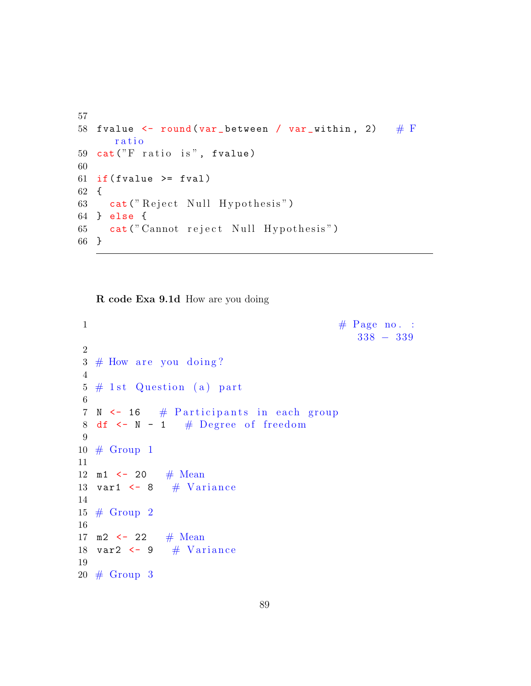```
57
58 fvalue \le round (var_between / var_within, 2) \# F
      r a t i o
59 cat ("F ratio is", fvalue)
60
61 if (fvalue \geq fval)62 {
63 cat ("Reject Null Hypothesis")
64 } else {
65 cat (" Cannot reject Null Hypothesis")
66 }
```
R code Exa 9.1d How are you doing

```
1 \# \text{ Page no. :}338 − 339
2
3 \# How are you doing?
4
5 \# 1st Question (a) part
6
7 N \leftarrow 16 # Participants in each group
8 df \leftarrow N - 1 # Degree of freedom
9
10 # Group 1
11
12 m1 \leftarrow 20 # Mean
13 var1 \leq 8 # Variance
14
15 \# Group 2
16
17 m2 \leftarrow 22 # Mean
18 var2 \leftarrow 9 # Variance
19
20 \# Group 3
```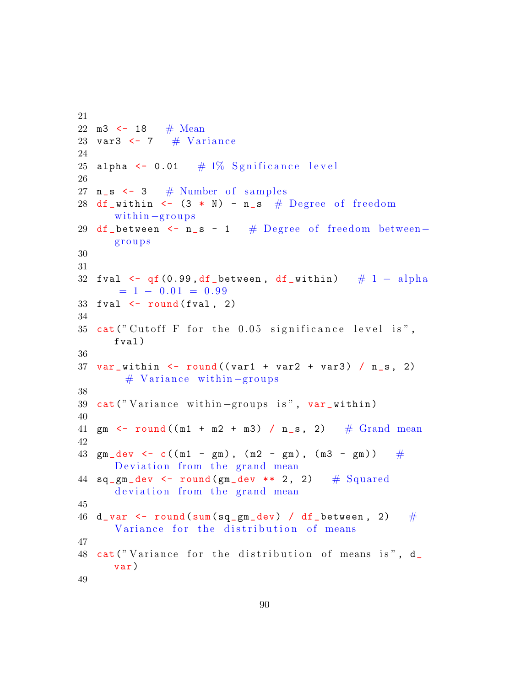```
21
22 m3 \leftarrow 18 # Mean
23 var3 \leftarrow 7 # Variance
24
25 alpha \leq 0.01 # 1% Sgnificance level
26
27 n_s \leftarrow 3 \# Number of samples
28 df_within \leq - (3 * N) - n_s # Degree of freedom
      within -groups29 df_between <- n_s - 1 # Degree of freedom between-
      g r o u p s
30
31
32 fval \leq qf(0.99, df_between, df_within) \# 1 - alpha
       = 1 - 0.01 = 0.9933 fval \leftarrow round (fval, 2)
34
35 cat ("Cutoff F for the 0.05 significance level is",
      fval )
36
37 \text{ var}_widthin \leftarrow \text{round}((\text{var1} + \text{var2} + \text{var3}) / n_s, 2)# Variance within-groups
38
39 cat ("Variance within-groups is", var_within)
40
41 gm \leftarrow round ((m1 + m2 + m3) / n_s, 2) # Grand mean
42
43 gm_dev <- c((m1 - gm), (m2 - gm), (m3 - gm)) \#Deviation from the grand mean
44 sq\_gm\_dev \leftarrow round(gm\_dev \leftarrow x 2, 2) # Squared
      deviation from the grand mean
45
46 d_var \le round (sum (sq_gm_dev) / df_between, 2) \#Variance for the distribution of means
47
48 cat ("Variance for the distribution of means is", d_
      var )
49
```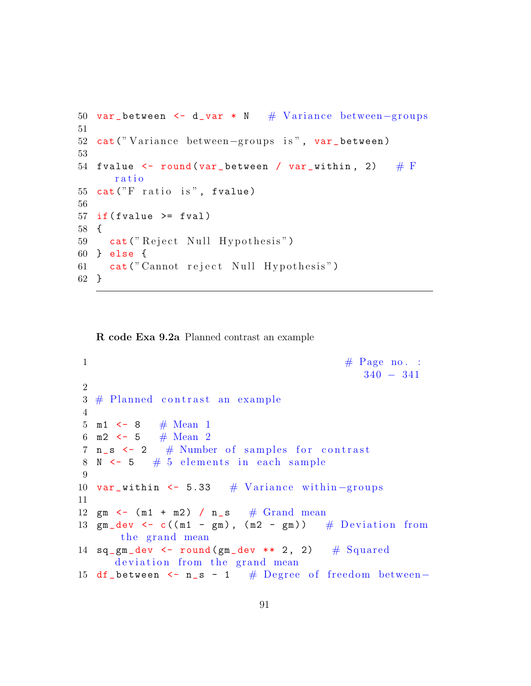```
50 var_between <- d_var * N # Variance between-groups
51
52 cat ("Variance between-groups is", var_between)
53
54 fvalue \leq round (var_between / var_within, 2) \# F
      r a t i o
55 cat("F ratio is", fralue)56
57 if (fvalue \geq fval)58 {
59 cat ("Reject Null Hypothesis")
60 } else {
61 cat (" Cannot reject Null Hypothesis")
62 }
```
R code Exa 9.2a Planned contrast an example

```
1 \# \text{Page no. :}340 − 341
2
3 \# Planned contrast an example
4
5 m1 \leftarrow 8 # Mean 1
6 m2 \lt 5 # Mean 2
7 \text{ n}_s \leftarrow 2 # Number of samples for contrast
8 N \leftarrow 5 \# 5 elements in each sample
9
10 var_within \leq 5.33 # Variance within -groups
11
12 gm \leftarrow (m1 + m2) / n_s # Grand mean
13 gm_dev \leq c((m1 - gm), (m2 - gm)) # Deviation from
      the grand mean
14 sq\_gm\_dev \leftarrow round(gm\_dev \leftarrow x \leftarrow 2, 2) # Squared
      deviation from the grand mean
15 df_between \leq n_s - 1 # Degree of freedom between-
```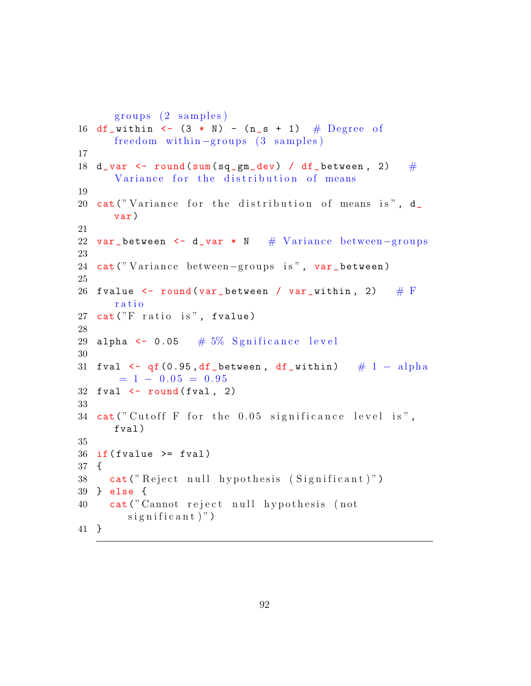```
groups (2 samples)16 df_within \leftarrow (3 * N) - (n_s + 1) # Degree of
      freedom within -groups (3 samples)
17
18 d_var \le round (sum (sq_gm_dev) / df_between, 2) \#Variance for the distribution of means
19
20 cat ("Variance for the distribution of means is", d_
      var )
21
22 var_between <- d_var * N # Variance between-groups
23
24 cat ("Variance between-groups is", var_between)
25
26 fvalue \leq round (var_between / var_within, 2) \# F
      ratio
27 cat("F ratio is", fvalue)28
29 alpha \leq 0.05 # 5% Sgnificance level
30
31 fval \leftarrow qf (0.95, df_between, df_within) \# 1 - alpha
      = 1 - 0.05 = 0.9532 fval \leftarrow round (fval, 2)
33
34 cat ("Cutoff F for the 0.05 significance level is",
      fval )
35
36 if (fvalue >= fval)
37 {
38 cat ("Reject null hypothesis (Significant)")
39 } else {
40 cat (" Cannot reject null hypothesis (not
        significant)")
41 }
```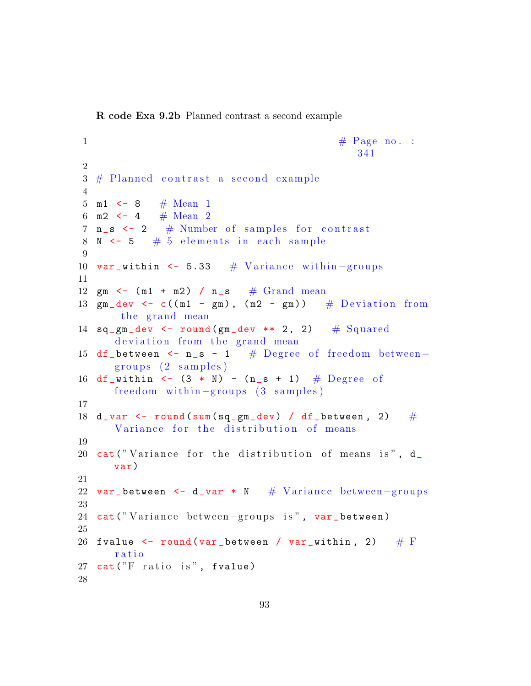R code Exa 9.2b Planned contrast a second example

```
1 \# \text{Page no. :}341
2
3 \# Planned contrast a second example
4
5 m1 \leftarrow 8 # Mean 1
6 m2 \leftarrow 4 # Mean 2
7 n_s \leftarrow 2 # Number of samples for contrast
8 N \leftarrow 5 \# 5 elements in each sample
9
10 var_within <- 5.33 # Variance within -groups
11
12 gm \leftarrow (m1 + m2) / n_s \# Grand mean
13 gm_dev \leq c((m1 - gm), (m2 - gm)) # Deviation from
      the grand mean
14 sq_gm_dev \leftarrow round(gm_dev \ast Q, 2) # Squareddeviation from the grand mean
15 df_between <- n_s - 1 # Degree of freedom between-
     groups (2 samples)16 df_within <- (3 * N) - (n_s + 1) # Degree of
     freedom within -groups (3 samples)
17
18 d_var \leq round (sum (sq_gm_dev) / df_between, 2) \#Variance for the distribution of means
19
20 cat ("Variance for the distribution of means is", d_
     var )
21
22 var_between <- d_var * N # Variance between-groups
23
24 cat ("Variance between-groups is", var_between)
25
26 fvalue \le round(var_between / var_within, 2) \# \mathrm{F}ratio
27 cat ("F ratio is", fvalue)
28
```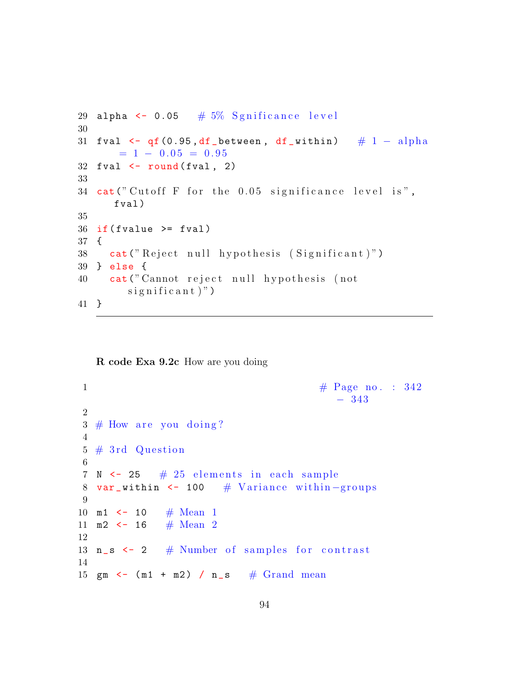```
29 alpha \leq 0.05 \# 5% Sgnificance level
30
31 fval \leftarrow qf (0.95, df_between, df_within) \# 1 - alpha
      = 1 - 0.05 = 0.9532 fval \leftarrow round (fval, 2)
33
34 cat ("Cutoff F for the 0.05 significance level is",
      fval )
35
36 if (fvalue >= fval)
37 {
38 cat ("Reject null hypothesis (Significant)")
39 } else {
40 cat (" Cannot reject null hypothesis (not
        significant)")
41 }
```
R code Exa 9.2c How are you doing

```
1 \# \text{Page no. : } 342− 343
2
3 \# How are you doing?
4
5 \# 3rd Question
6
7 \text{ N} \leq 25 \neq 25 \text{ elements in each sample}8 var_within <- 100 \# Variance within -groups
9
10 m1 <- 10 \# Mean 1
11 m2 \lt - 16 # Mean 2
12
13 n_s <- 2 # Number of samples for contrast
14
15 gm \leftarrow (m1 + m2) / n_s \# Grand mean
```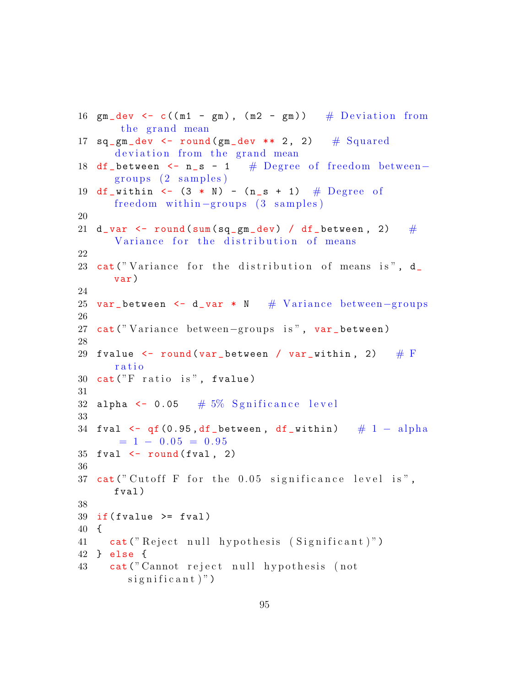```
16 gm\_dev \leq c((m1 - gm), (m2 - gm)) # Deviation from
      the grand mean
17 sq_gm_dev \leftarrow round(gm_dev \ast * 2, 2) # Squared
      deviation from the grand mean
18 df_between <- n_s - 1 # Degree of freedom between-
      groups (2 samples)19 df_within \leq (3 * N) - (n_s + 1) # Degree of
     freedom within -groups (3 samples)
20
21 d_var \leq round (sum (sq_gm_dev) / df_between, 2) \#Variance for the distribution of means
22
23 cat ("Variance for the distribution of means is", d_
     var )
24
25 var_between <- d_var * N # Variance between-groups
26
27 cat ("Variance between-groups is", var_between)
28
29 fvalue \leq round (var_between / var_within, 2) \# F
      ratio
30 cat ("F ratio is", fvalue)
31
32 alpha \leq 0.05 # 5\% Sgnificance level
33
34 fval \leq qf (0.95, df_between, df_within) \# 1 - alpha
      = 1 - 0.05 = 0.9535 fval \leftarrow round (fval, 2)
36
37 cat ("Cutoff F for the 0.05 significance level is",
      fval )
38
39 if (fvalue >= fval)
40 {
41 cat ("Reject null hypothesis (Significant)")
42 } else {
43 cat (" Cannot reject null hypothesis (not
        significant)")
```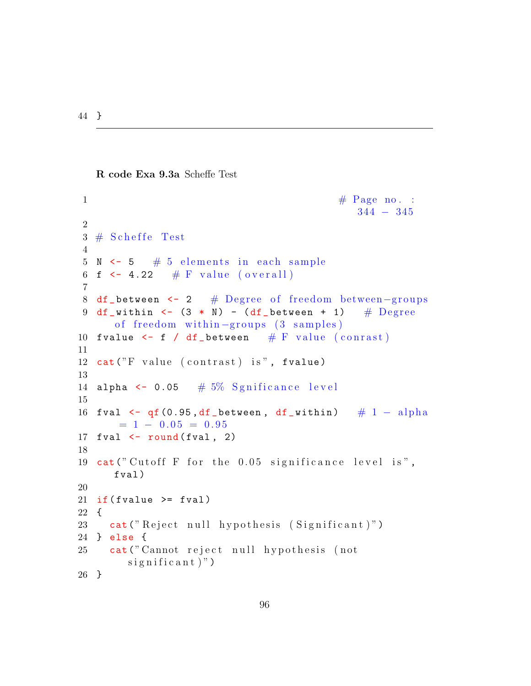44 }

R code Exa 9.3a Scheffe Test

```
\# \text{ Page no. :}344 − 345
2
3 \# Scheffe Test
4
5 N < -5 # 5 elements in each sample
6 f \leftarrow 4.22 # F value (overall)
7
8 df_between <- 2 # Degree of freedom between-groups
9 df_within <- (3 * N) - (df_between + 1) # Degree
     of freedom within -groups (3 samples)
10 fvalue \leftarrow f / df_between # F value (conrast)
11
12 cat("F value (contrast) is", fvalue)13
14 alpha \leq 0.05 # 5% Sgnificance level
15
16 fval \leftarrow qf (0.95, df_between, df_within) \# 1 - alpha
      = 1 - 0.05 = 0.9517 fval \leftarrow round (fval, 2)
18
19 cat (" Cutoff F for the 0.05 significance level is",
     fval )
20
21 if (fvalue \geq fval)22 {
23 cat (" Reject null hypothesis (Significant)")
24 } else {
25 cat ("Cannot reject null hypothesis (not
       significant)")
26 }
```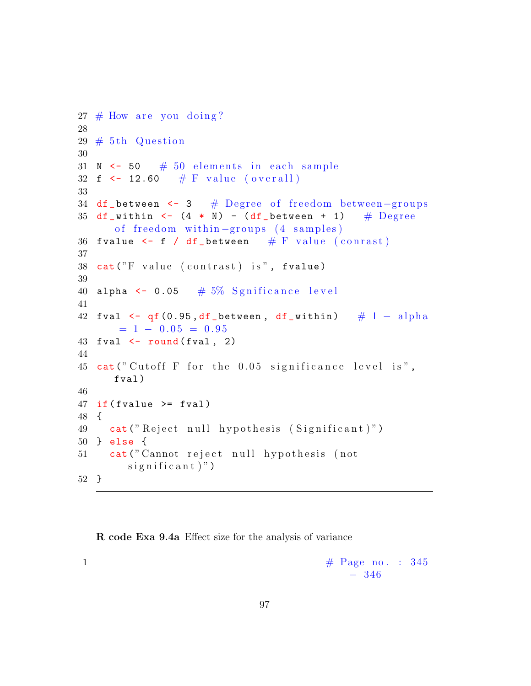```
27 \# How are you doing?
28
29 \# 5th Question
30
31 N \leftarrow 50 \# 50 elements in each sample
32 f <- 12.60 # F value (overall)
33
34 df_between <- 3 # Degree of freedom between-groups
35 df_within <- (4 * N) - (df_between + 1) # Degree
      of freedom within -groups (4 samples)
36 fvalue \leq f / df_between # F value (conrast)
37
38 cat("F value (contrast) is", fralue)39
40 alpha \leq 0.05 # 5\% Sgnificance level
41
42 fval \leq qf(0.95, df_between, df_within) \# 1 - alpha
      = 1 - 0.05 = 0.9543 fval \leftarrow round (fval, 2)
44
45 cat ("Cutoff F for the 0.05 significance level is",
      fval )
46
47 if (fvalue >= fval)
48 {
49 cat ("Reject null hypothesis (Significant)")
50 } else {
51 cat (" Cannot reject null hypothesis (not
        significant)")
52 }
```
R code Exa 9.4a Effect size for the analysis of variance

```
1 \# \text{Page no. : } 345− 346
```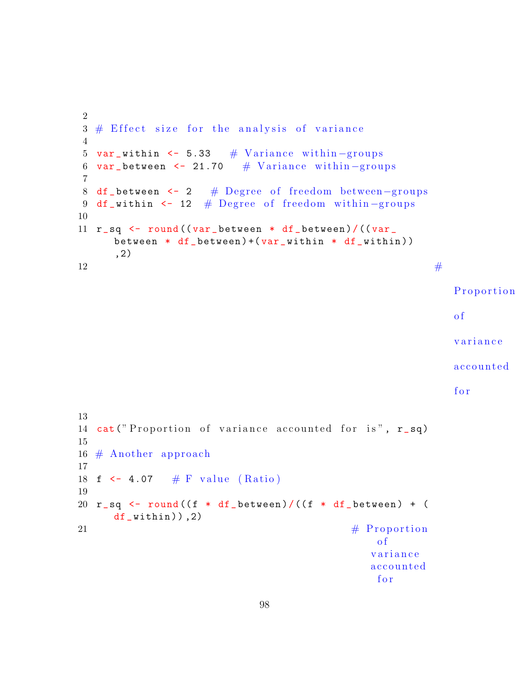```
2
3 \# Effect size for the analysis of variance
4
5 var_within <- 5.33 \# Variance within -groups
6 var_between <- 21.70 \# Variance within -groups
7
8 df_between <- 2 # Degree of freedom between-groups
9 df_within <- 12 # Degree of freedom within-groups
10
11 r<sub>sq</sub> \leftarrow round ((var between * df between)/((var
     between * df_b between ) + (var_within * df_within )),2)
12 \#Proportion
                                                         of
                                                         variance
                                                         a c c o u n t e d
                                                         for
13
14 cat ("Proportion of variance accounted for is", r_sp)
15
16 \# Another approach
17
18 f \leftarrow 4.07 # F value (Ratio)
19
20 r_sq <- round ((f * df_between) /((f * df_between) + (
     df_within), 2)
\text{21} \text{4} Proportion
                                             of
```
*variance* a c c o u n t e d

f o r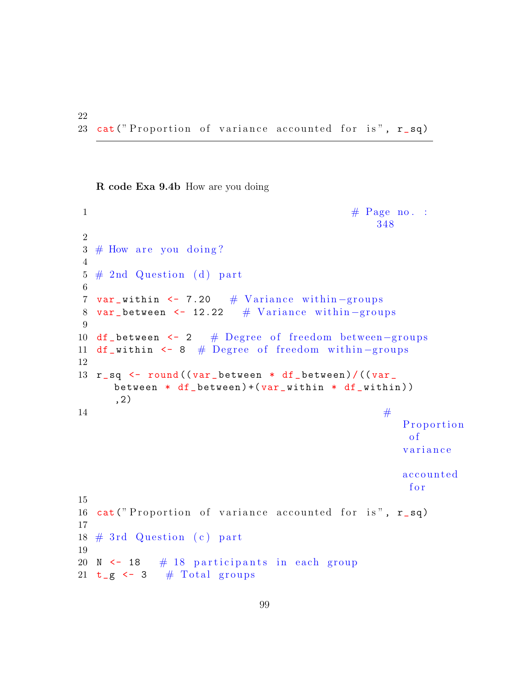R code Exa 9.4b How are you doing

22

```
\frac{1}{1} \frac{1}{1} Page no. :
                                              348
2
3 \# How are you doing?
4
5 \# 2nd Question (d) part
6
7 var_within <- 7.20 \# Variance within -groups
8 var_between <- 12.22 # Variance within -groups
9
10 df_between <- 2 # Degree of freedom between-groups
11 df_within <- 8 # Degree of freedom within-groups
12
13 r_sq <- round ((var_between * df_between)/((var_
     between * df_b between ) + (var_within * df_within )),2)
14Proportion
                                                  of
                                                  variance
                                                  a c c o u n t e d
                                                   f o r
15
16 cat ("Proportion of variance accounted for is", r<sub>-</sub>sq)
17
18 \# 3rd Question (c) part
19
20 N \leq 18 \# 18 participants in each group
21 t_g \leftarrow 3 # Total groups
```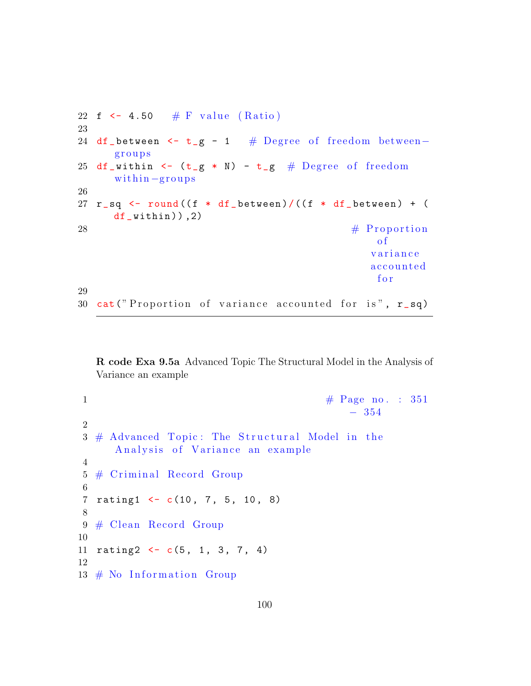```
22 f <- 4.50 # F value (Ratio)
23
24 df_between <- t_g - 1 # Degree of freedom between-
     g r o u p s
25 df_within <- (t-g * N) - t_g # Degree of freedom
     within -groups26
27 r_sq <- round ((f * df_between) / ((f * df_between) + (
     df_within), 2)
\text{28} \text{4} Proportion
                                                of
                                               v a r i a n c e
                                               a c c o u n t e d
                                                f o r
29
30 cat ("Proportion of variance accounted for is", r_sq)
```
R code Exa 9.5a Advanced Topic The Structural Model in the Analysis of Variance an example

```
1 \# \text{Page no. : } 351− 354
2
3 \# Advanced Topic: The Structural Model in the
     Analysis of Variance an example
4
5 # Criminal Record Group
6
7 rating1 \leftarrow c(10, 7, 5, 10, 8)
8
9 \# Clean Record Group
10
11 rating 2 \leftarrow c(5, 1, 3, 7, 4)12
13 # No Information Group
```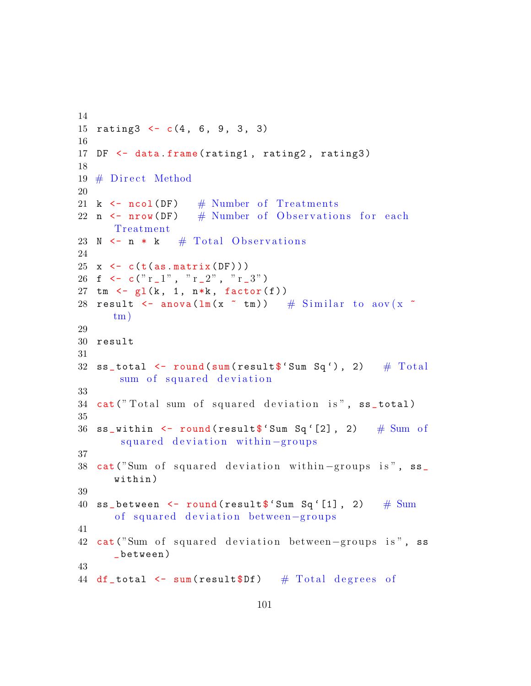```
14
15 rating 3 \leftarrow c(4, 6, 9, 3, 3)16
17 DF \leq data frame (rating1, rating2, rating3)
18
19 \# Direct Method
20
21 k \leftarrow ncol (DF) # Number of Treatments
22 n \le nrow (DF) # Number of Observations for each
      Treatment
23 N \leq n \ast k \# Total Observations
24
25 x \leftarrow c(t(as.matrix(DF)))26 f \leq c(" r_1", " r_2", " r_3")
27 tm \leftarrow gl(k, 1, n*k, factor(f))28 result \leq anova (\ln(x \text{ cm})) # Similar to aov (x \text{ cm})tm)
29
30 result
31
32 ss_total \le round (sum (result \ 'Sum Sq'), 2) # Total
       sum of squared deviation
33
34 cat ("Total sum of squared deviation is", ss_total)
35
36 ss_within \le round (result \frac{1}{2} Sum Sq'[2], 2) # Sum of
       squared deviation within-groups
37
38 cat ("Sum of squared deviation within -groups is", ss_
      within )
39
40 ss_between \leq round (result \frac{1}{2} Sum Sq'[1], 2) \# Sum
      of squared deviation between-groups
41
42 cat ("Sum of squared deviation between-groups is", ss
      _ between )
43
44 df_total \leq sum (result$Df) # Total degrees of
```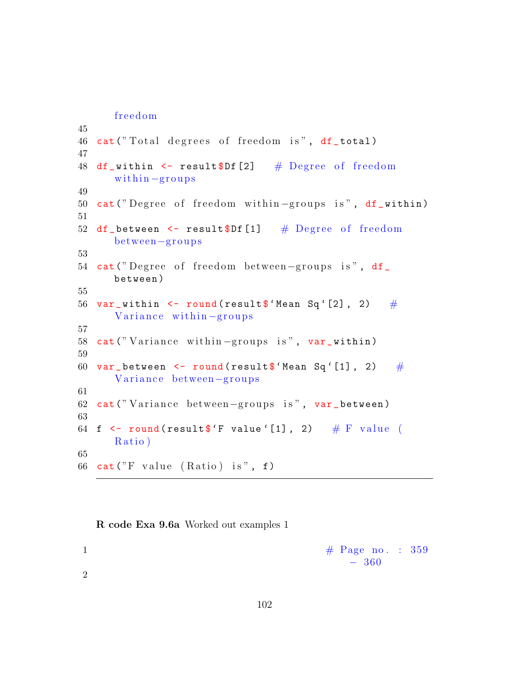freedom

```
45
46 cat ("Total degrees of freedom is", df_total)
47
48 df_within \le result$Df [2] # Degree of freedom
      within -groups49
50 cat ("Degree of freedom within-groups is", df_within)
51
52 df_between \leq result$Df [1] # Degree of freedom
      between−g r o u p s
53
54 cat ("Degree of freedom between-groups is", df_
      between )
55
56 var_within \leq round (result \frac{1}{2} Mean Sq'[2], 2) #
      Variance within-groups
57
58 cat ("Variance within-groups is", var_within)
59
60 var_between <- round (result \frac{1}{2} Mean Sq'[1], 2) #
      Variance between−groups
61
62 cat ("Variance between-groups is", var_between)
63
64 f \le round (result f F value '[1], 2) # F value (
      Ratio)
65
66 cat ("F value (Ratio) is", f)
```
R code Exa 9.6a Worked out examples 1

$$
\begin{array}{c}\n 1 \text{ } \\
 -360 \text{ } \\
 \end{array}
$$

2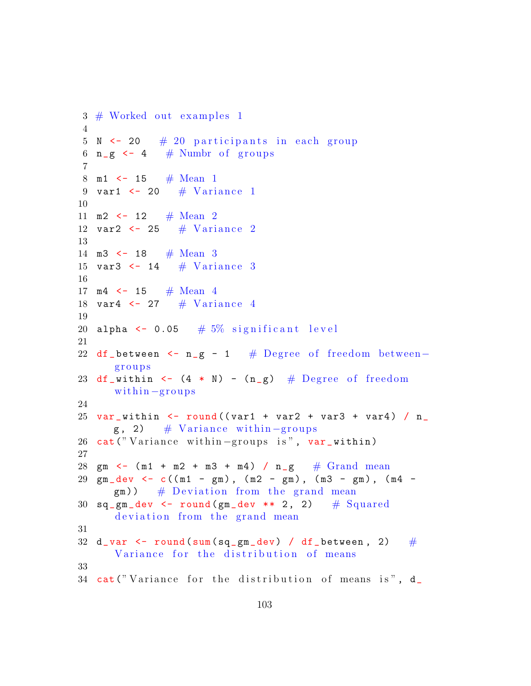```
3 \# Worked out examples 1
4
5 \text{ N} <- 20 \# 20 participants in each group
6 n-g \leq -4 # Numbr of groups
7
8 m1 \leftarrow 15 # Mean 1
9 var1 \leftarrow 20 \# Variance 1
10
11 m2 \leftarrow 12 # Mean 2
12 var2 \leftarrow 25 # Variance 2
13
14 m3 \lt 18 # Mean 3
15 var3 \leftarrow 14 \# Variance 3
16
17 m4 \leftarrow 15 # Mean 4
18 var4 <- 27 \# Variance 4
19
20 alpha \leq 0.05 # 5\% significant level
21
22 df_between \leq n_g - 1 # Degree of freedom between-
      g r o u p s
23 df_within \leftarrow (4 \ast N) - (n_g) # Degree of freedom
      within -groups24
25 var_within \le round ((var1 + var2 + var3 + var4) / n_
      g, 2) \# Variance within –groups
26 cat ("Variance within -groups is", var_within)
27
28 gm \leftarrow (m1 + m2 + m3 + m4) / n_g # Grand mean
29 gm_dev <- c((m1 - gm), (m2 - gm), (m3 - gm), (m4 -
      (g_m)) \# Deviation from the grand mean
30 sq\_gm\_dev <- round (gm\_dev ** 2, 2) # Squared
      deviation from the grand mean
31
32 d_var \le round (sum (sq_gm_dev) / df_between, 2) \#Variance for the distribution of means
33
34 cat ("Variance for the distribution of means is", d_
```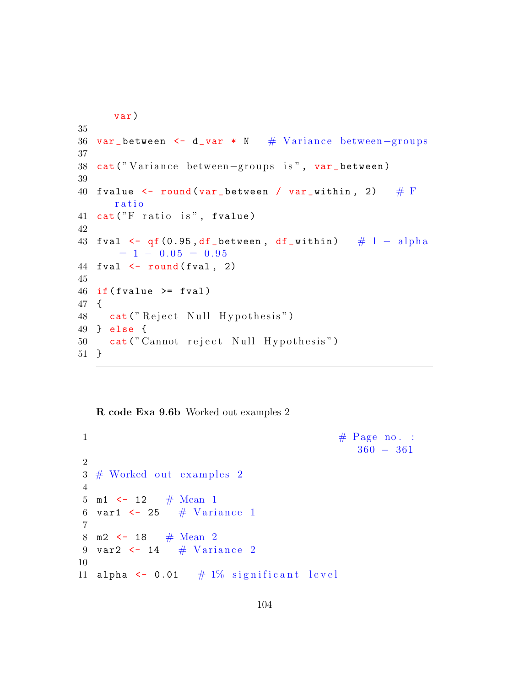```
var )
35
36 var_between <- d_var * N # Variance between-groups
37
38 cat ("Variance between-groups is", var_between)
39
40 fvalue \le round (var_between / var_within, 2) \# F
      r a t i o
41 cat ("F ratio is", fvalue)
42
43 fval \leftarrow qf (0.95, df_between, df_within) # 1 - alpha
      = 1 - 0.05 = 0.9544 fval \leftarrow round (fval, 2)
45
46 if (fvalue >= fval)
47 {
48 cat ("Reject Null Hypothesis")
49 } else {
50 cat (" Cannot reject Null Hypothesis")
51 }
```
R code Exa 9.6b Worked out examples 2

```
\# \text{ Page no. :}360 − 361
2
3 \# Worked out examples 2
4
5 m1 \leftarrow 12 # Mean 1
6 var1 \leftarrow 25 # Variance 1
7
8 m2 <- 18 # Mean 2
9 var2 \leftarrow 14 # Variance 2
10
11 alpha \leq 0.01 # 1% significant level
```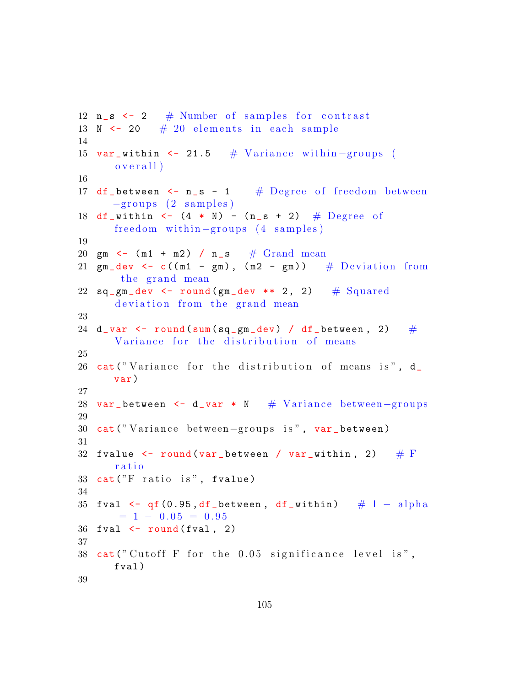```
12 n_s \leftarrow 2 # Number of samples for contrast
13 N \leftarrow 20 \# 20 elements in each sample
14
15 var_within \leq 21.5 # Variance within -groups (
      over all)16
17 df_between \leq n_s - 1 # Degree of freedom between
     -grows (2 samples)18 df_within <- (4 * N) - (n_s + 2) # Degree of
      freedom within -groups (4 \text{ samples})19
20 gm \leftarrow (m1 + m2) / n_s \# Grand mean
21 gm_dev \leq c((m1 - gm), (m2 - gm)) # Deviation from
       the grand mean
22 sq\_gm\_dev <- round (gm\_dev ** 2, 2) \# Squared
      deviation from the grand mean
23
24 d_var \leq round (sum (sq_gm_dev) / df_between, 2) \#Variance for the distribution of means
25
26 cat ("Variance for the distribution of means is", d_
     var )
27
28 var_between <- d_var * N # Variance between-groups
29
30 cat ("Variance between-groups is", var_between)
31
32 fvalue \le round (var_between / var_within, 2) \# F
      ratio
33 cat ("F ratio is", fvalue)
34
35 fval \leq qf(0.95, df_between, df_within) \# 1 – alpha
      = 1 - 0.05 = 0.9536 fval \leftarrow round (fval, 2)
37
38 cat ("Cutoff F for the 0.05 significance level is",
      fval )
39
```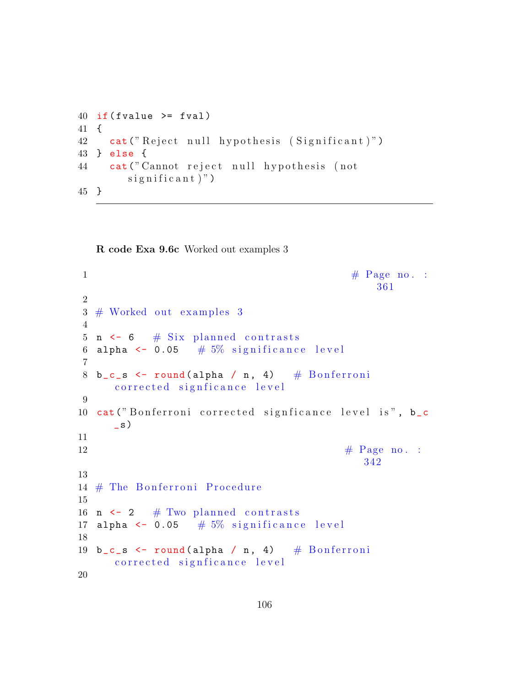```
40 if (fvalue \geq fval)41 {
42 cat ("Reject null hypothesis (Significant)")
43 } else {
44 cat (" Cannot reject null hypothesis (not
        significant)")
45 }
```
R code Exa 9.6c Worked out examples 3

```
\# \text{ Page no. :}361
2
3 \# Worked out examples 3
4
5 n \leq 6 # Six planned contrasts
6 alpha \leq 0.05 # 5\% significance level
7
8 b_c_s \leftarrow round (alpha / n, 4) # Bonferroni
     corrected signficance level
9
10 cat ("Bonferroni corrected signficance level is", b_c
     \mathsf{S})
11
12 \qquad \qquad \# \text{ Page no. :}342
13
14 \# The Bonferroni Procedure
15
16 n \leq 2 # Two planned contrasts
17 alpha \leq 0.05 # 5\% significance level
18
19 b_c_s \leftarrow round (alpha / n, 4) # Bonferroni
     corrected signficance level
20
```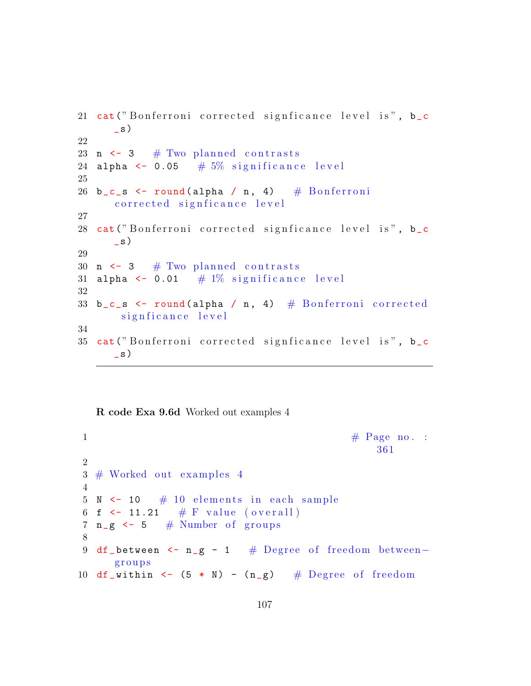```
21 cat ("Bonferroni corrected signficance level is", b_c
      \mathsf{S})
22
23 n \leftarrow 3 # Two planned contrasts
24 alpha \leq 0.05 \# 5% significance level
25
26 b_c_s \leftarrow round (alpha / n, 4) \# Bonferroni
      corrected signficance level
27
28 cat ("Bonferroni corrected signficance level is", b_c
      \left\lfloor s \right\rfloor29
30 n \leq 3 # Two planned contrasts
31 alpha \leq 0.01 # 1% significance level
32
33 b_c_s \le round (alpha / n, 4) \# Bonferroni corrected
       signficance level
34
35 cat ("Bonferroni corrected signficance level is", b_c
      \lfloor s \rfloor
```
R code Exa 9.6d Worked out examples 4

```
\frac{1}{1} \frac{1}{1} Page no. :
                                             361
2
3 \# Worked out examples 4
4
5 N < -10 # 10 elements in each sample
6 f \leftarrow 11.21 # F value (overall)
7 n_g < -5 # Number of groups
8
9 df_between <- n_g - 1 # Degree of freedom between−
     g r o u p s
10 df_within \leq (5 * N) - (n_g) # Degree of freedom
```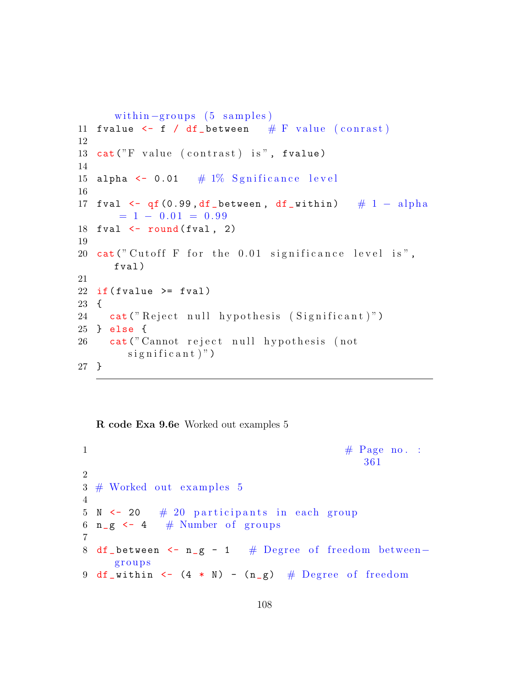```
within -groups (5 samples)
11 fvalue \leq f / df_between # F value (conrast)
12
13 cat("F value (contrast) is", fvalue)14
15 alpha \leq 0.01 \# 1\% Sgnificance level
16
17 fval \leftarrow qf (0.99, df_between, df_within) \# 1 - alpha
      = 1 - 0.01 = 0.9918 fval \leftarrow round (fval, 2)
19
20 cat ("Cutoff F for the 0.01 significance level is",
      fval )
21
22 if (fvalue \ge fval)23 {
24 cat ("Reject null hypothesis (Significant)")
25 } else {
26 cat ("Cannot reject null hypothesis (not
        significant)")
27 }
```
R code Exa 9.6e Worked out examples 5

```
1 \# \text{Page no. :}361
2
3 \# Worked out examples 54
5 N \leq 20 \# 20 participants in each group
6 n-g \leq 4 # Number of groups
7
8 df_between <- n_g - 1 # Degree of freedom between-
    g r o u p s
9 df_within <- (4 * N) - (n_g) # Degree of freedom
```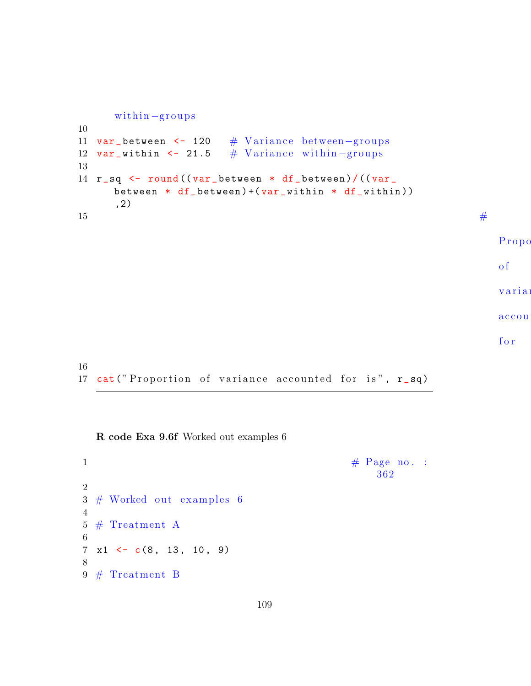```
within-groups10
11 var_between <- 120 # Variance between-groups
12 var_within <- 21.5 \# Variance within -groups
13
14 r_sq <- round ((var_between * df_between)/((var_
    between * df_b between ) + (var_w within * df_w ithin ),2)
15 \#Propo
                                                         of
                                                         varia:
                                                         accou
                                                         f o r
```
17 cat ("Proportion of variance accounted for is",  $r$ \_sq)

R code Exa 9.6f Worked out examples 6

16

 $\frac{4}{3}$  Page no. : 362 2  $3 \#$  Worked out examples 6 4  $5 \#$  Treatment A 6  $7 \times 1 \leftarrow c(8, 13, 10, 9)$ 8  $9 \#$  Treatment B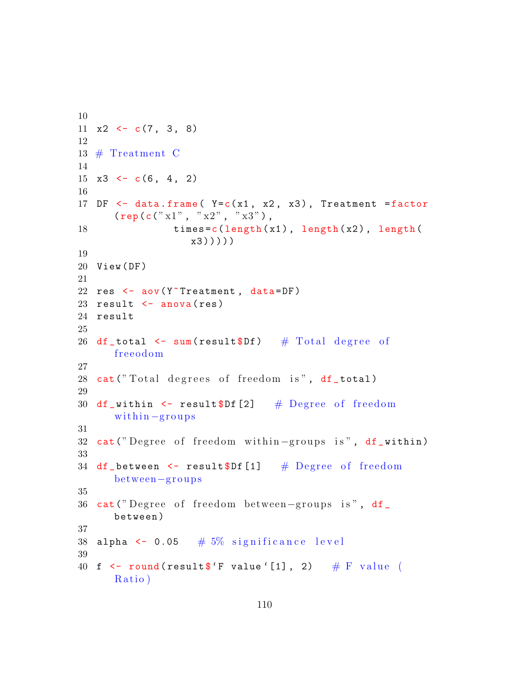```
10
11 x2 \leftarrow c(7, 3, 8)12
13 # Treatment C
14
15 x3 \leftarrow c(6, 4, 2)16
17 DF \leq data . frame (Y=c(x1, x2, x3), Treatment = factor
      (\text{rep}(\text{c}(" x1", " x2", " x3")),
18 times=c(length(x1), length(x2), length(
                   x3)))))
19
20 View ( DF )
21
22 res \leq aov (Y<sup>-</sup>Treatment, data=DF)
23 result \leq anova (res)
24 result
25
26 df_total \leq sum(result$Df) # Total degree of
      freeodom
27
28 cat ("Total degrees of freedom is", df_total)
29
30 df_within \leq result$Df [2] # Degree of freedom
      within -groups31
32 cat ("Degree of freedom within-groups is", df_within)
33
34 df_between \leq result$Df [1] # Degree of freedom
      between−g r o u p s
35
36 cat ("Degree of freedom between-groups is", df_
      between )
37
38 alpha \leq 0.05 \#5\% significance level
39
40 f \le round (result f F value '[1], 2) # F value (
      Ratio)
```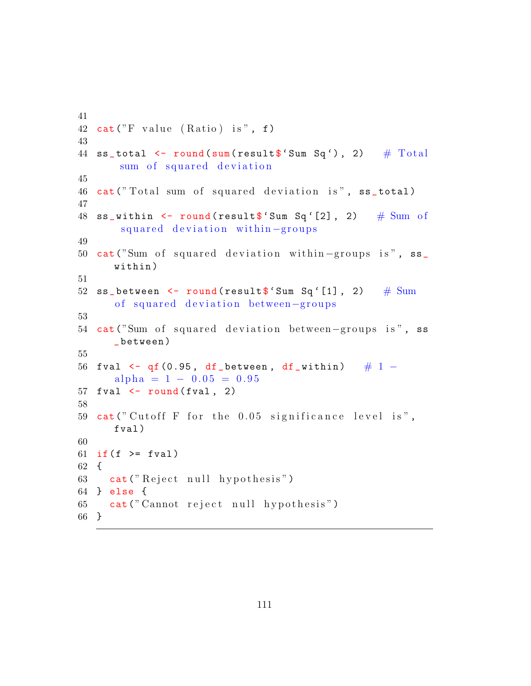```
41
42 cat("F value (Ratio) is", f)43
44 ss_total \le round (sum (result \ 'Sum Sq'), 2) # Total
       sum of squared deviation
45
46 cat ("Total sum of squared deviation is", ss_total)
47
48 ss_within \leq round (result \frac{1}{2} Sum Sq'[2], 2) # Sum of
       squared deviation within-groups
49
50 cat ("Sum of squared deviation within –groups is", ss_
      within )
51
52 ss_between \leq round (result \ 'Sum Sq '[1], 2) # Sum
      of squared deviation between-groups
53
54 cat ("Sum of squared deviation between-groups is", ss
      _ between )
55
56 fval \leftarrow qf (0.95, df_between, df_within) # 1 -
      alpha = 1 - 0.05 = 0.9557 fval \leftarrow round (fval, 2)
58
59 cat (" Cutoff F for the 0.05 significance level is",
      fval )
60
61 if (f \ge f \text{val})62 {
63 cat ("Reject null hypothesis")
64 } else {
65 cat (" Cannot reject null hypothesis")
66 }
```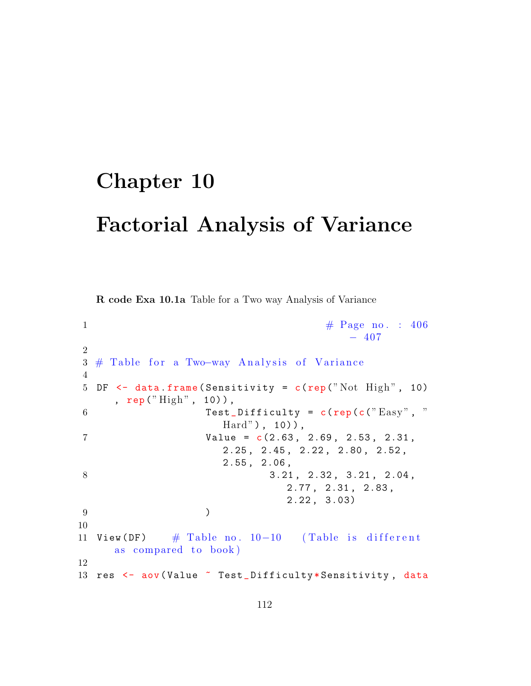## Chapter 10 Factorial Analysis of Variance

R code Exa 10.1a Table for a Two way Analysis of Variance

```
1 \#\text{ Page no. : } 406-4072
3 # Table for a Two-way Analysis of Variance
4
5 DF \leq data frame (Sensitivity = c(rep ("Not High", 10)
     , rep(''High'', 10)),
6 Test_Difficulty = c(rep(c("Easy", "
                    \text{Hard''}), 10),
7 Value = c (2.63 , 2.69 , 2.53 , 2.31 ,
                    2.25 , 2.45 , 2.22 , 2.80 , 2.52 ,
                    2.55 , 2.06 ,
8 3.21, 2.32, 3.21, 2.04,
                             2.77 , 2.31 , 2.83 ,
                             2.22 , 3.03)
9 )
10
11 View (DF) \# Table no. 10-10 (Table is different
     as compared to book)
12
13 res <- aov (Value ~ Test_Difficulty*Sensitivity, data
```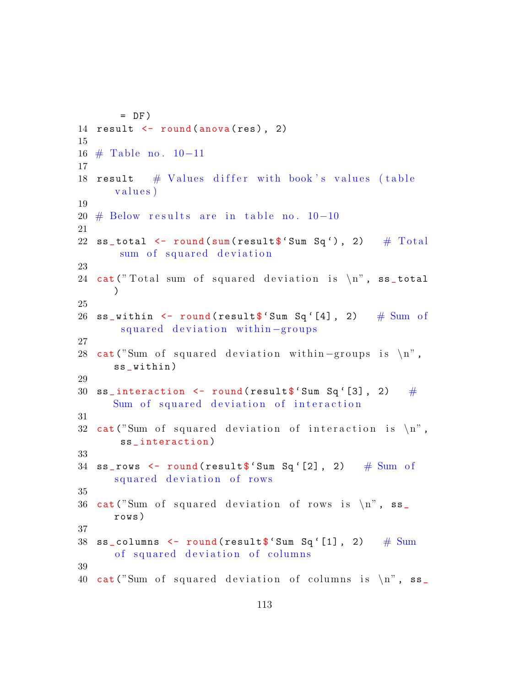```
= DF)14 result \leftarrow round (anova (res), 2)
15
16 # Table no . 10−11
17
18 result # Values differ with book's values (table
      values)
19
20 \# Below results are in table no. 10-10
21
22 ss_total \le round (sum (result \ 'Sum Sq'), 2) # Total
       sum of squared deviation
23
24 cat ("Total sum of squared deviation is \n\cdot ss_total
      \lambda25
26 ss_within \le round (result \frac{1}{2} Sum Sq'[4], 2) # Sum of
       squared deviation within-groups
27
28 cat ("Sum of squared deviation within –groups is \langle n'',
      ss_ within )
29
30 ss_interaction \leq round (result \frac{1}{2} Sum Sq'[3], 2) #
      Sum of squared deviation of interaction
31
32 cat ("Sum of squared deviation of interaction is \langle n",
       ss_ interaction )
33
34 ss_rows \leq round (result \ 'Sum Sq '[2], 2) # Sum of
      squared deviation of rows
35
36 cat ("Sum of squared deviation of rows is \n\begin{bmatrix} n \\ n \end{bmatrix}, ss_
      rows )
37
38 ss_columns \le round (result \frac{12}{3} Sum Sq'[1], 2) \# Sum
      of squared deviation of columns
39
40 cat ("Sum of squared deviation of columns is \ln", ss_
```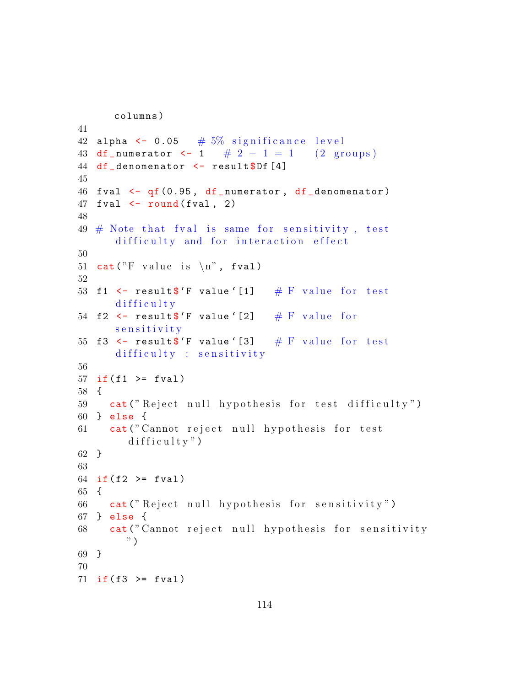```
columns )
41
42 alpha \leq 0.05 # 5\% significance level
43 df_numerator \langle -1 \rangle # 2 - 1 = 1 (2 groups)
44 df_denomenator <- result$Df [4]
45
46 fval \leftarrow qf (0.95, df_numerator, df_denomenator)
47 fval \leftarrow round (fval, 2)
48
49 \# Note that fyal is same for sensitivity, test
      difficulty and for interaction effect
50
51 cat ("F value is \langle n", fval)
52
53 f1 \leq result \ 'F value '[1] \# F value for test
      difficulty54 f2 \leq result$'F value '[2] # F value for
      s e n s i t i v i t y
55 f3 \leq result$'F value '[3] \# F value for test
      difficulty : sensitivity56
57 if(f1 \geq fval)
58 {
59 cat ("Reject null hypothesis for test difficulty")
60 } else {
61 cat (" Cannot reject null hypothesis for test
        difficultv")62 }
63
64 if (f2 \ge fval)65 {
66 cat (" Reject null hypothesis for sensitivity")
67 } else {
68 cat (" Cannot reject null hypothesis for sensitivity
        ")
69 }
70
71 if (f3 \ge fval)
```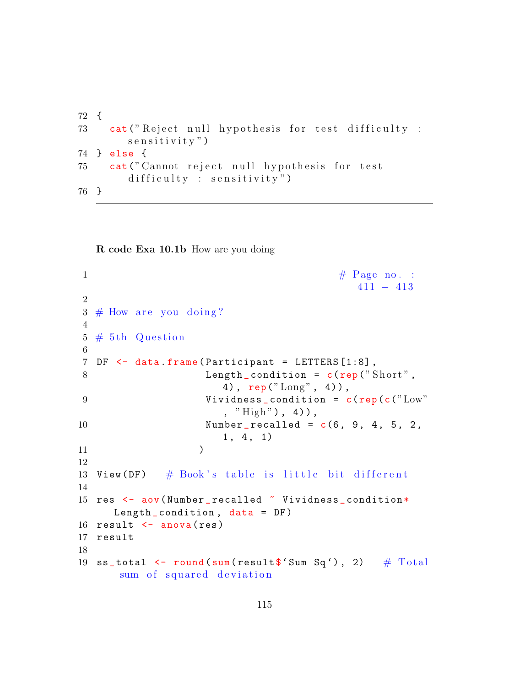```
72 {
73 cat ("Reject null hypothesis for test difficulty :
        s e n s i t i v i t y ")
74 } else {
75 cat (" Cannot reject null hypothesis for test
        difficulty : sensitivity")
76 }
```
R code Exa 10.1b How are you doing

```
\frac{4}{\sqrt{7}} Page no. :
                                        411 − 413
2
3 \# How are you doing?
4
5 \# 5th Question
6
7 DF <- data . frame ( Participant = LETTERS [1:8] ,
8 Length_condition = c(rep("Short",
                    4), rep("Long", 4),
9 Vividness_condition = c(rep(c("Low"
                    , "High"), 4)),
10 Number_{recalled} = c(6, 9, 4, 5, 2,1, 4, 1)11 )
12
13 View (DF) # Book's table is little bit different
14
15 res <- aov (Number_recalled \tilde{ } Vividness_condition*
     Length_condition, data = DF)
16 result \leq anova (res)
17 result
18
19 ss_total \le round (sum (result \ 'Sum Sq'), 2) # Total
     sum of squared deviation
```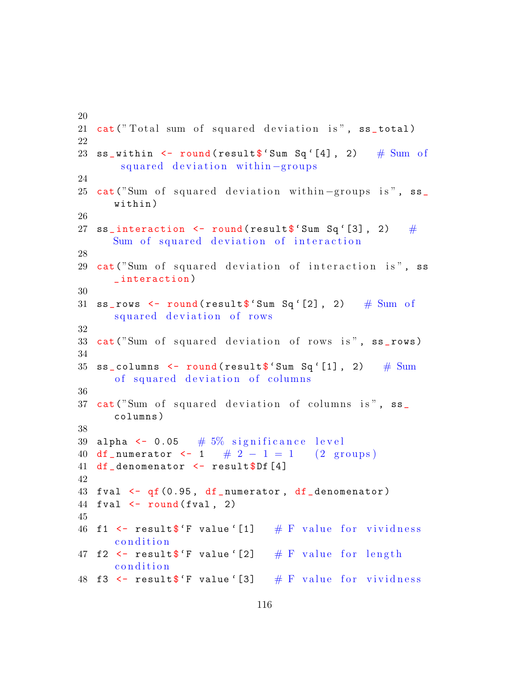```
20
21 cat ("Total sum of squared deviation is", ss_total)
22
23 ss_within \leq round (result \frac{1}{2} Sum Sq'[4], 2) # Sum of
       squared deviation within-groups
24
25 cat ("Sum of squared deviation within -groups is", ss_
      within )
26
27 ss_interaction \leq round (result \ 'Sum Sq'[3], 2) #
      Sum of squared deviation of interaction
28
29 cat ("Sum of squared deviation of interaction is", ss
      _ interaction )
30
31 ss_rows \le round (result \ 'Sum Sq '[2], 2) # Sum of
      squared deviation of rows
32
33 cat ("Sum of squared deviation of rows is", ss_rows)
34
35 ss_columns \le round (result \ 'Sum Sq '[1], 2) # Sum
      of squared deviation of columns
36
37 cat ("Sum of squared deviation of columns is", ss_
      columns )
38
39 alpha \leq 0.05 \# 5% significance level
40 df_numerator \langle -1 \rangle # 2 - 1 = 1 (2 groups)
41 df_denomenator <- result$Df [4]
42
43 fval \leftarrow qf(0.95, df_numerator, df_denomenator)
44 fval \leftarrow round (fval, 2)
45
46 f1 \leq result$'F value '[1] \# F value for vividness
      c on dition
47 f2 \leq result$'F value '[2] # F value for length
      c on dition
48 f3 \leq result$'F value '[3] \# F value for vividness
```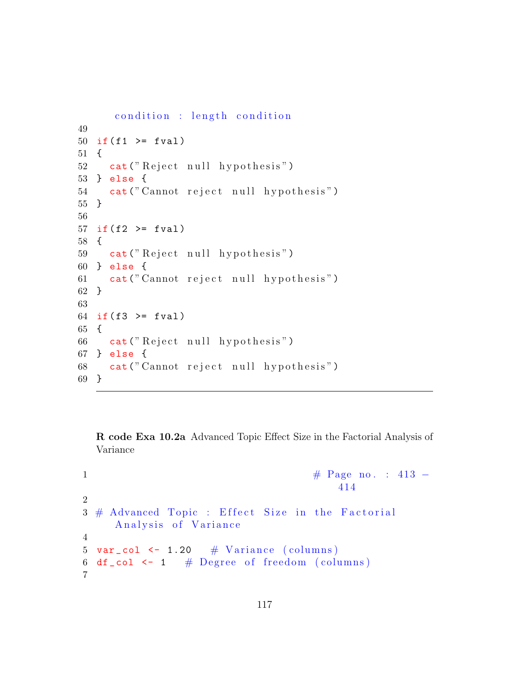```
condition : length condition
49
50 if(f1 \geq fval)
51 {
52 cat ("Reject null hypothesis")
53 } else {
54 cat (" Cannot reject null hypothesis")
55 }
56
57 if(f2 \geq fval)58 {
59 cat ("Reject null hypothesis")
60 } else {
61 cat (" Cannot reject null hypothesis")
62 }
63
64 if (f3 \ge fval)65 {
66 cat ("Reject null hypothesis")
67 } else {
68 cat (" Cannot reject null hypothesis")
69 }
```
R code Exa 10.2a Advanced Topic Effect Size in the Factorial Analysis of Variance

```
1 \#\text{ Page no. : } 413 -414
2
3 \# Advanced Topic : Effect Size in the Factorial
     Analysis of Variance
4
5 var col \leftarrow 1.20 \# Variance (columns)
6 df_col \leftarrow 1 # Degree of freedom (columns)
7
```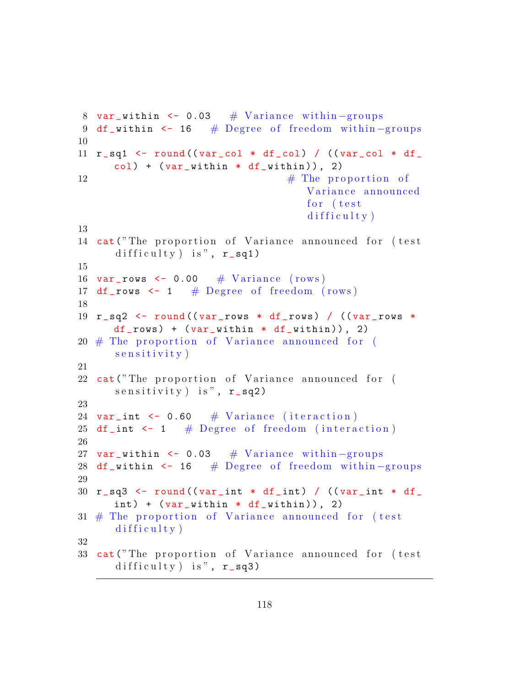```
8 var_within <- 0.03 # Variance within -groups
9 df_within \lt- 16 # Degree of freedom within-groups
10
11 r_sq1 \leq round ((var_col * df_col) / ((var_col * df_
      col) + (var_within * df_within), 2)
\# The proportion of
                                     Variance announced
                                     for (test
                                     diffically)13
14 cat ("The proportion of Variance announced for (test
      difficulty) is", r_sq1)
15
16 var_{\texttt{rows}} <- 0.00 \# Variance (rows)
17 df_rows \leq 1 # Degree of freedom (rows)
18
19 r sq2 \leq round ((var_rows * df_rows) / ((var_rows *
     df_{rows} + (var_within * df_{within}), 2)
20 \# The proportion of Variance announced for (
      s e n s i t i v i t y \left(21
22 cat ("The proportion of Variance announced for (
      s e n sitivity ) is", r<sub>sq2</sub>)
23
24 var_int \leq 0.60 # Variance (iteraction)
25 df_int \leq 1 # Degree of freedom (interaction)
26
27 var_within <- 0.03 \# Variance within -groups
28 df_within <- 16 # Degree of freedom within-groups
29
30 r_sq3 \le round ((var_int * df_int) / ((var_int * df_
      int) + (var_within * df_within), 2)
31 # The proportion of Variance announced for (test
      diffically)32
33 cat ("The proportion of Variance announced for (test
      difficulty) is", r_s = sq3)
```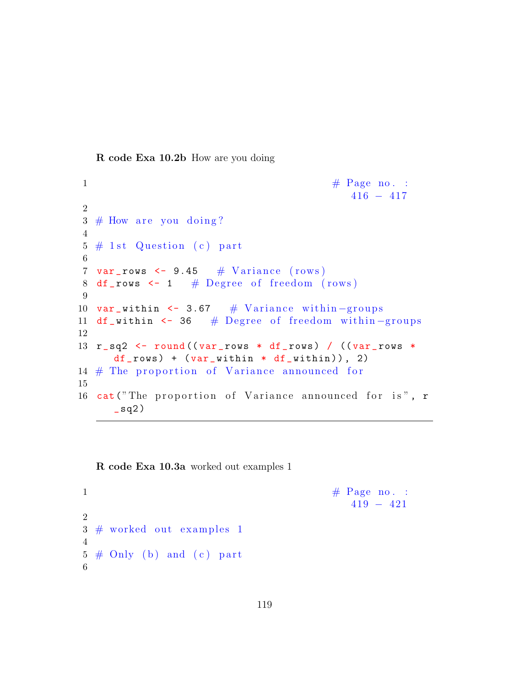R code Exa 10.2b How are you doing

```
1 \# \text{ Page no. :}416 − 417
2
3 \# How are you doing?
4
5 \# 1st Question (c) part
6
7 var_rows \leftarrow 9.45 \# Variance (rows)
8 df_rows \leq -1 # Degree of freedom (rows)
9
10 var_within <- 3.67 # Variance within -groups
11 df_within <- 36 # Degree of freedom within-groups
12
13 r_sq2 <- round ((var_rows * df_rows) / ((var_rows *
     df_{rows} + (var_within * df_{within}), 2)
14 # The proportion of Variance announced for
15
16 cat ("The proportion of Variance announced for is", r
     \texttt{q2})
```
R code Exa 10.3a worked out examples 1

```
1 \# \text{ Page no. :}419 − 421
2
3 \# worked out examples 1
4
5 \# Only (b) and (c) part
6
```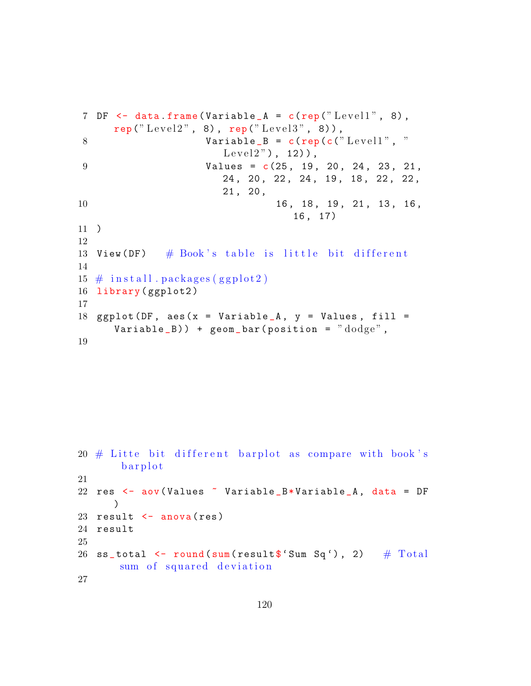```
7 DF \leq data frame (Variable A = c (rep ("Level1", 8),
    rep("Level2", 8), rep("Level3", 8)),8 Variable B = c (rep(c(" Level 1", "
                  Level2", 12),
9 Values = c(25, 19, 20, 24, 23, 21,
                  24 , 20 , 22 , 24 , 19 , 18 , 22 , 22 ,
                  21 , 20 ,
10 16, 18, 19, 21, 13, 16,
                           16 , 17)
11 )
12
13 View (DF) \# Book's table is little bit different
14
15 \# install . packages (ggplot2)
16 library (ggplot2)
17
18 ggplot (DF, aes(x = Variable_A, y = Values, fill =Variable_B)) + geom_bar(position = "dodge",
19
```

```
20 \# Litte bit different barplot as compare with book's
       b ar p l o t
21
22 res \leq aov (Values \leq Variable_B*Variable_A, data = DF
      \lambda23 result \leq anova (res)
24 result
25
26 ss_total \le round (sum (result \ 'Sum Sq'), 2) # Total
       sum of squared deviation
27
```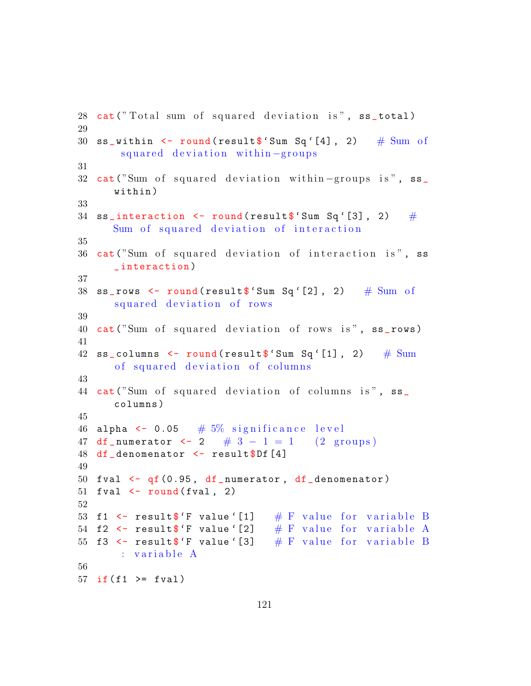```
28 cat ("Total sum of squared deviation is", ss_total)
29
30 ss_within \leq round (result \frac{1}{2} Sum Sq'[4], 2) # Sum of
       squared deviation within-groups
31
32 cat ("Sum of squared deviation within –groups is", ss_
      within )
33
34 ss_interaction \leq round (result \frac{1}{2} Sum Sq'[3], 2) #
      Sum of squared deviation of interaction
35
36 cat ("Sum of squared deviation of interaction is", ss
      _ interaction )
37
38 ss_rows \leq round (result \ 'Sum Sq '[2], 2) # Sum of
      squared deviation of rows
39
40 cat ("Sum of squared deviation of rows is", ss_rows)
41
42 \texttt{ss\_columns} \leq \texttt{round}(\texttt{result$'}\texttt{Sum} \space \texttt{Sq'}[1], 2) \quad \texttt{\# Sum}of squared deviation of columns
43
44 cat ("Sum of squared deviation of columns is", ss_
      columns )
45
46 alpha \leq 0.05 # 5\% significance level
47 df_numerator \langle -2 \rangle = \# 3 - 1 = 1 (2 groups)
48 df denomenator \leq result $Df [4]
49
50 fval \leftarrow qf (0.95, df numerator, df denomenator)
51 fval \le round (fval, 2)
52
53 f1 \le result$'F value '[1] \# F value for variable B
54 f2 \leq result$'F value '[2] \# F value for variable A
55 f3 \le result$'F value '[3] \# F value for variable B
       : variable A
56
57 if (f1 \ge fval)
```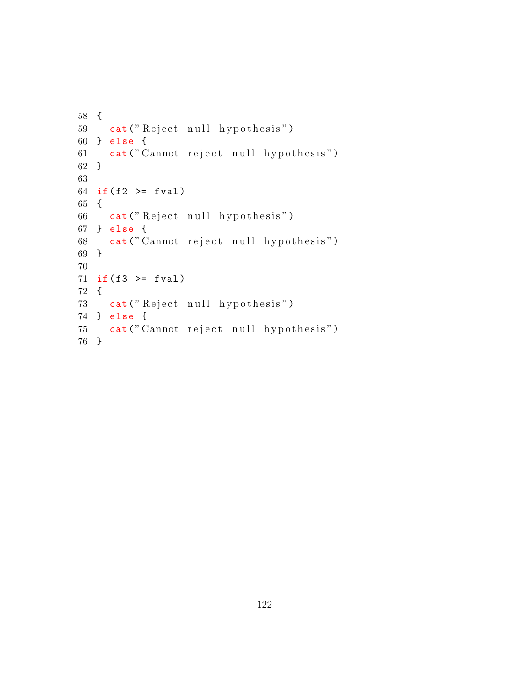```
58 {
59 cat ("Reject null hypothesis")
60 } else {
61 cat (" Cannot reject null hypothesis")
62 }
63
64 if (f2 \ge fval)65 {
66 cat ("Reject null hypothesis")
67 } else {
68 cat (" Cannot reject null hypothesis")
69 }
70
71 if(f3 \geq fval)72 {
73 cat ("Reject null hypothesis")
74 } else {
75 cat (" Cannot reject null hypothesis")
76 }
```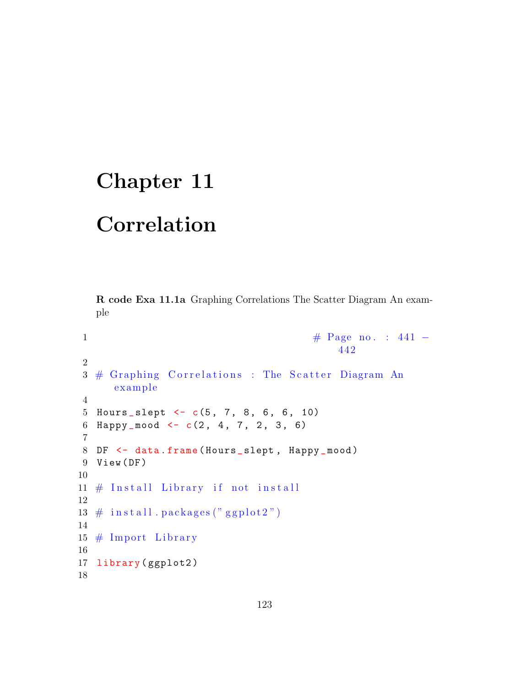## Chapter 11

## Correlation

R code Exa 11.1a Graphing Correlations The Scatter Diagram An example

```
1 \#\text{ Page no. : } 441 -442
2
3 # Graphing Correlations : The Scatter Diagram An
     example
4
5 Hours_slept \leftarrow c(5, 7, 8, 6, 6, 10)
6 Happy_mood \leq -c(2, 4, 7, 2, 3, 6)7
8 DF <- data.frame (Hours_slept, Happy_mood)
9 View (DF)
10
11 \# Install Library if not install
12
13 \# in stall . packages ("ggplot2")
14
15 \# Import Library
16
17 library (ggplot2)
18
```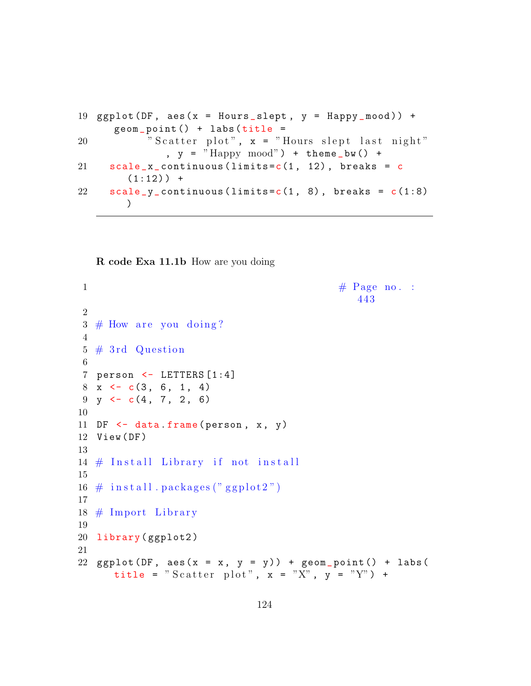```
19 ggplot(DF, aes(x = Hours_slept, y = Happy_mood)) +geom\_point() + labs(title =20 " Scatter plot", x = "Hours slept last night"
              , y = "Happy mood") + theme bw() +
21 scale_x_continuous (\limits = c(1, 12), breaks = c
        (1:12)) +
22 scale_y_continuous (\text{limits} = c(1, 8), breaks = c(1:8)\lambda
```
R code Exa 11.1b How are you doing

```
1 \# \text{Page no. :}443
\mathfrak{D}3 \# How are you doing?
4
5 \# 3rd Question
6
7 person <- LETTERS [1:4]
8 \times \leftarrow c(3, 6, 1, 4)9 \text{ y} \leftarrow c(4, 7, 2, 6)10
11 DF \leq data frame (person, x, y)
12 View ( DF )
13
14 \# Install Library if not install
15
16 \# in stall . packages ("ggplot2")
17
18 \# Import Library
19
20 library ( ggplot2 )
21
22 ggplot (DF, \text{aes}(x = x, y = y)) + geom_point () + labs (
      title = "Scatter plot", x = "X", y = "Y") +
```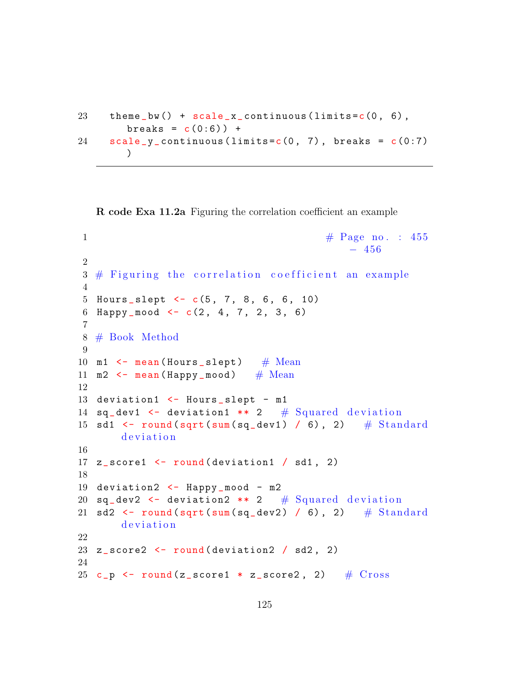```
23 theme_bw() + scale_x_{continuous}(limits=c(0, 6),
       breaks = c(0:6) +
24 scale_y_continuous (limits = c(0, 7), breaks = c(0:7))
```
R code Exa 11.2a Figuring the correlation coefficient an example

```
1 \# \text{Page no. : } 455− 456
2
3 \# Figuring the correlation coefficient an example
 4
5 Hours_slept \leftarrow c(5, 7, 8, 6, 6, 10)
6 Happy mood \leq c(2, 4, 7, 2, 3, 6)7
8 # Book Method
9
10 m1 \leftarrow mean (Hours slept) # Mean
11 m2 \leq mean (Happy _ mood) # Mean
12
13 deviation1 <- Hours_slept - m1
14 sq_dev1 \leq deviation1 ** 2 # Squared deviation
15 sd1 \leftarrow round (sqrt (sum (sq_dev1) / 6), 2) # Standard
       d e viation
16
17 z_score1 <- round (deviation1 / sd1, 2)
18
19 deviation2 <- Happy_mood - m2
20 sq_dev2 \leq deviation2 ** 2 # Squared deviation
21 sd2 \leftarrow round (sqrt (sum (sq_dev2) / 6), 2) \# Standard
       d e viation
22
23 z_score2 \leftarrow round (deviation2 / sd2, 2)
24
25 c_p \leftarrow round (z_score1 * z_score2, 2) # \sigma Cross
```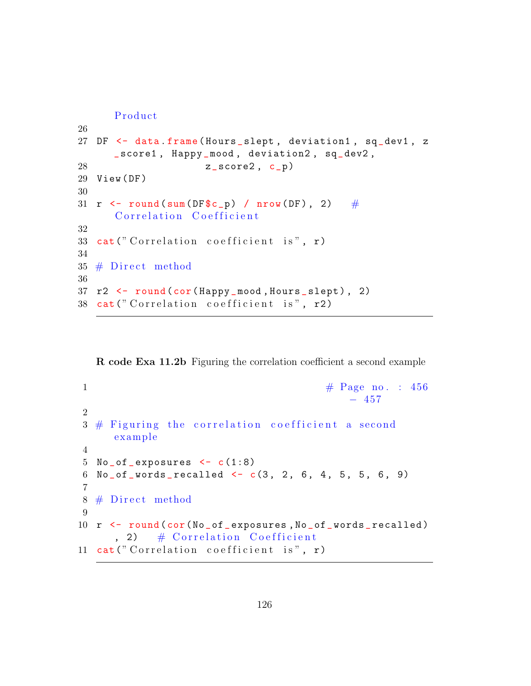```
Product
26
27 DF <- data.frame (Hours_slept, deviation1, sq_dev1, z
      _ score1 , Happy _mood , deviation2 , sq_dev2 ,
28 z_score2, c_p)
29 View ( DF )
30
31 r \le round (sum (DF$c_p) / nrow (DF), 2) #
      Correlation Coefficient
32
33 cat ("Correlation coefficient is", r)
34
35 \# Direct method
36
37 r2 <- round ( cor ( Happy _mood , Hours _ slept ) , 2)
38 cat ("Correlation coefficient is", r2)
```
R code Exa 11.2b Figuring the correlation coefficient a second example

```
1 \# \text{Page no. : } 456− 457
2
3 \# Figuring the correlation coefficient a second
     example
4
5 No_of_exposures \leq c(1:8)
6 No_of_words_recalled <- c(3, 2, 6, 4, 5, 5, 6, 9)7
8 \# Direct method
9
10 r \le round (cor (No_of_exposures, No_of_words_recalled)
     , 2) \# Correlation Coefficient
11 cat ("Correlation coefficient is", r)
```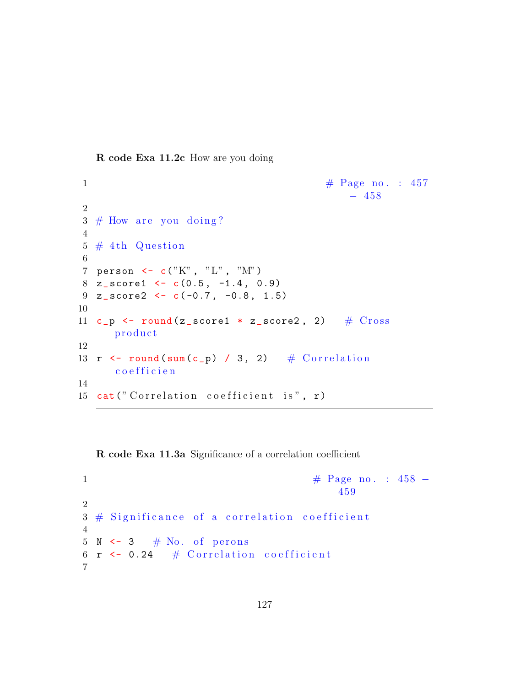R code Exa 11.2c How are you doing

```
1 \# \text{Page no. : } 457− 458
2
3 \# How are you doing?
4
5 \# 4th Question
6
7 person <- c("K" , "L" , "M")
8 \text{ z_score1} \leftarrow c(0.5, -1.4, 0.9)9 \text{ z_score2} \leftarrow c(-0.7, -0.8, 1.5)10
11 c_p \leftarrow round (z_score1 * z_score2, 2) # Crossproduct
12
13 r \leftarrow round (sum (c_p) / 3, 2) # Correlation
      c o e f f i c i e n
14
15 cat("Correlation coefficient is", r)
```
R code Exa 11.3a Significance of a correlation coefficient

```
1 \#\text{ Page no. : } 458 -459
2
3 \# Significance of a correlation coefficient
4
5 \text{ N} \leftarrow 3 \# \text{ No. of persons}6 r \leftarrow 0.24 # Correlation coefficient
7
```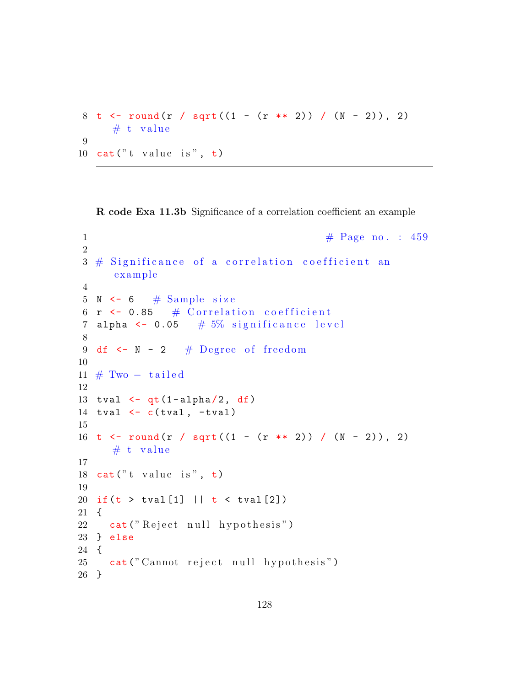```
8 t <- round (r / sqrt ((1 - (r * * 2)) / (N - 2)), 2)
     # t value
9
10 cat("t value is", t)
```
R code Exa 11.3b Significance of a correlation coefficient an example

```
1 \# \text{Page no. : } 4592
3 \# Significance of a correlation coefficient an
     example
4
5 N \leq 6 \# Sample size
6 r \leftarrow 0.85 # Correlation coefficient
7 alpha \leq 0.05 # 5\% significance level
8
9 df \leftarrow N - 2 # Degree of freedom
10
11 \# Two - tailed12
13 tval \leftarrow qt (1-alpha/2, df)
14 tval \leftarrow c(tval, -tval)
15
16 t <- round (r / sqrt ((1 - (r * * 2)) / (N - 2)), 2)
     # t value
17
18 cat("t value is", t)19
20 if (t > tval[1] || t < tval[2])21 {
22 cat ("Reject null hypothesis")
23 } else
24 {
25 cat (" Cannot reject null hypothesis")
26 }
```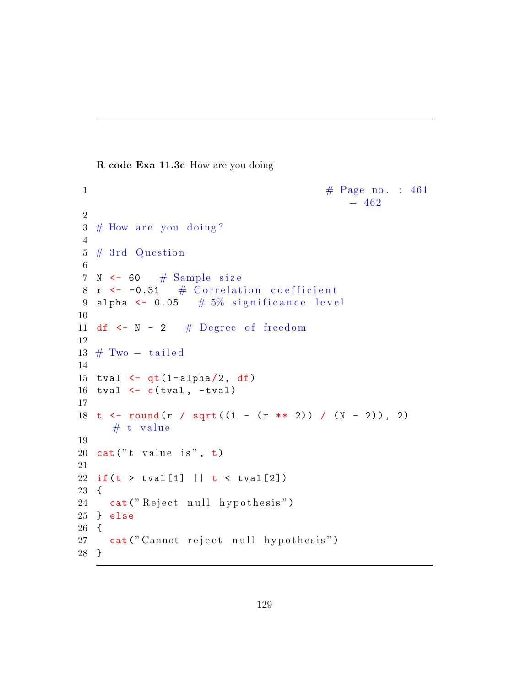R code Exa 11.3c How are you doing

```
1 \# \text{Page no. : } 461-4622
3 \# How are you doing?
4
5 \# 3rd Question
6
7 N \leq 60 \# Sample size
8 r \leftarrow -0.31 # Correlation coefficient
9 alpha \leq 0.05 \# 5% significance level
10
11 df \leftarrow N - 2 # Degree of freedom
12
13 \# Two - tailed14
15 tval \leq -qt(1-\alpha) alpha(2, df)16 tval \leftarrow c(tval, -tval)
17
18 t <- round (r / sqrt ((1 - (r * * 2)) / (N - 2)), 2)
     # t value
19
20 cat("t value is", t)21
22 if (t > tval[1] || t < tval[2])23 {
24 cat ("Reject null hypothesis")
25 } else
26 {
27 cat (" Cannot reject null hypothesis")
28 }
```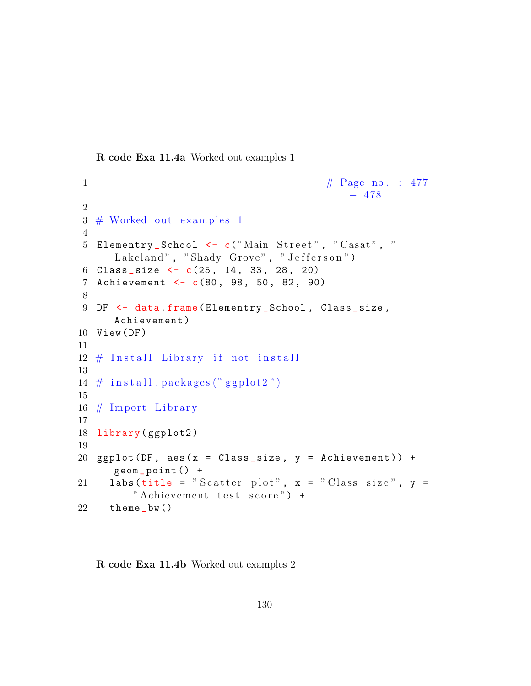R code Exa 11.4a Worked out examples 1

```
1 \# \text{Page no. : } 477− 478
2
3 \# Worked out examples 1
4
5 Elementry_School <- c("Main Street", "Casat", "
     Lakeland", "Shady Grove", "Jefferson")
6 Class_size \leftarrow c(25, 14, 33, 28, 20)7 Achievement <- c(80, 98, 50, 82, 90)
8
9 DF \leq data. frame (Elementry School, Class size,
     Achievement )
10 View (DF)
11
12 \# Install Library if not install
13
14 \# in stall . packages ("ggplot2")
15
16 \# Import Library
17
18 library (ggplot2)
19
20 ggplot (DF, aes(x = Class_size, y = Achievement)) +
     geom _ point () +
21 labs (title = "Scatter plot", x = "Class size", y =" Achievement test score") +
22 theme _bw ()
```
R code Exa 11.4b Worked out examples 2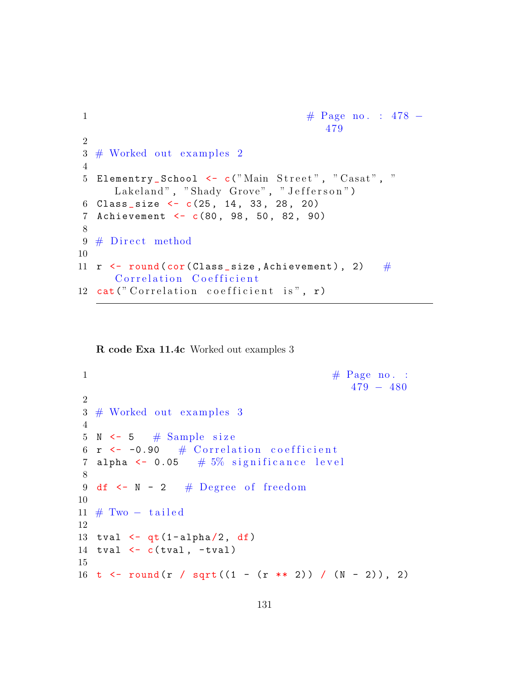```
1 \#\text{ Page no. : } 478 -479
2
3 \# Worked out examples 2
4
5 Elementry_School <- c("Main Street", "Casat", "
     Lakeland", "Shady Grove", "Jefferson")
6 Class_size \leftarrow c(25, 14, 33, 28, 20)
7 Achievement <- c(80, 98, 50, 82, 90)
8
9 \# Direct method
10
11 r \leftarrow round (cor (Class_size, Achievement), 2) \#Correlation Coefficient
12 cat ("Correlation coefficient is", r)
```
R code Exa 11.4c Worked out examples 3

```
1 \# \text{Page no. :}479 − 480
2
3 \# Worked out examples 3
4
5 N \leq 5 \# Sample size
6 r \leftarrow -0.90 # Correlation coefficient
7 alpha \leq 0.05 \# 5% significance level
8
9 df \leq N - 2 # Degree of freedom
10
11 \# Two - tailed12
13 tval \leftarrow qt (1-alpha/2, df)
14 tval \leftarrow c(tval, -tval)
15
16 t <- round (r / sqrt ((1 - (r * * 2)) / (N - 2)), 2)
```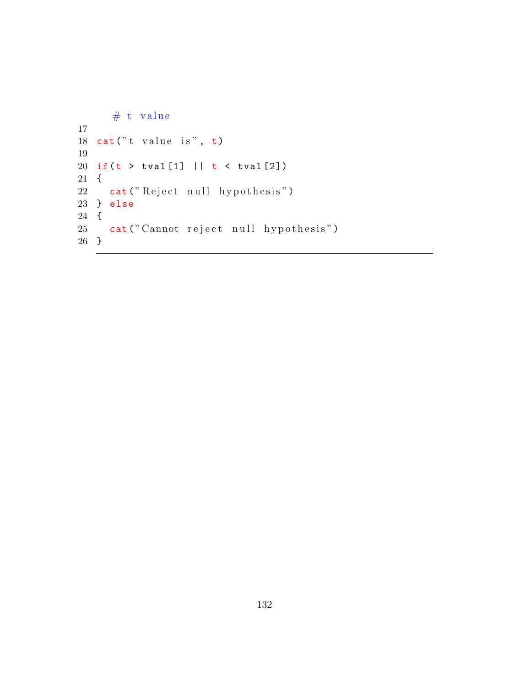```
# t value
17
18 cat("t value is", t)19
20 if(t > tval [1] || t < tval [2])
21\quad \{22 cat ("Reject null hypothesis")
23 } else
24 {
25 cat (" Cannot reject null hypothesis")
26 }
```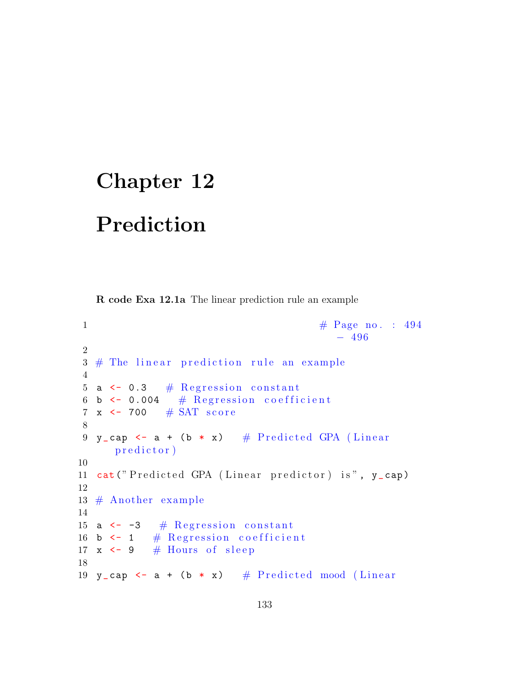## Chapter 12

Prediction

R code Exa 12.1a The linear prediction rule an example

```
1 \# \text{Page no. : } 494-4962
3 \# The linear prediction rule an example
4
5 a \leftarrow 0.3 # Regression constant
6 b \leftarrow 0.004 # Regression coefficient
7 x \leftarrow 700 \# SAT score
8
9 y_cap \leftarrow a + (b \ast x) # Predicted GPA (Linear
      p r e d i c t o r \big)10
11 cat ("Predicted GPA (Linear predictor) is", y_cap)
12
13 \# Another example
14
15 a \leftarrow -3 # Regression constant
16 b \leftarrow 1 # Regression coefficient
17 x \leftarrow 9 # Hours of sleep
18
19 y_cap \leq - a + (b \ast x) # Predicted mood (Linear
```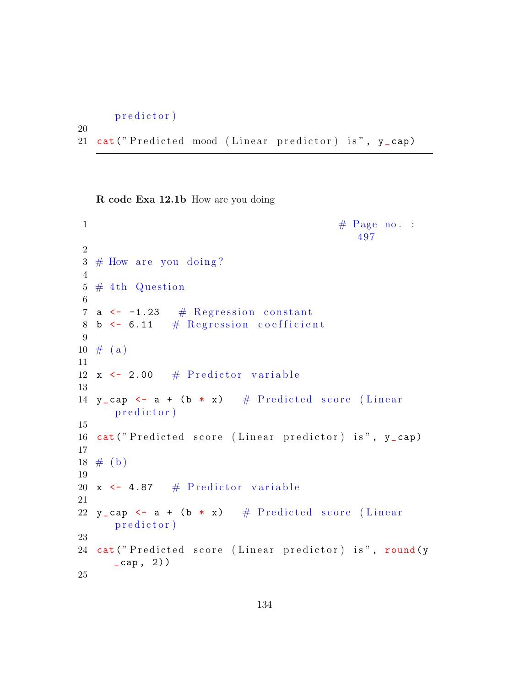```
p r e d i c t o r \big)
```
20

```
21 cat ("Predicted mood (Linear predictor) is", y_cap)
```
R code Exa 12.1b How are you doing

```
\frac{4}{\sqrt{7}} Page no. :
                                                 497
2
3 \# How are you doing?
4
5 \# 4th Question
6
7 a \leftarrow -1.23 # Regression constant
8 b \leftarrow 6.11 # Regression coefficient
9
10 \# (a)11
12 x \leftarrow 2.00 # Predictor variable
13
14 y_cap \leq - a + (b * x) # Predicted score (Linear
      p r e d i c t o r \big)15
16 cat ("Predicted score (Linear predictor) is", y_cap)
17
18 \# (b)19
20 x \leftarrow 4.87 # Predictor variable
21
22 y_cap \leq - a + (b \ast x) # Predicted score (Linear
      p r e d i c t o r \big)23
24 cat ("Predicted score (Linear predictor) is", round (y
      \lfloor cap, 2))
25
```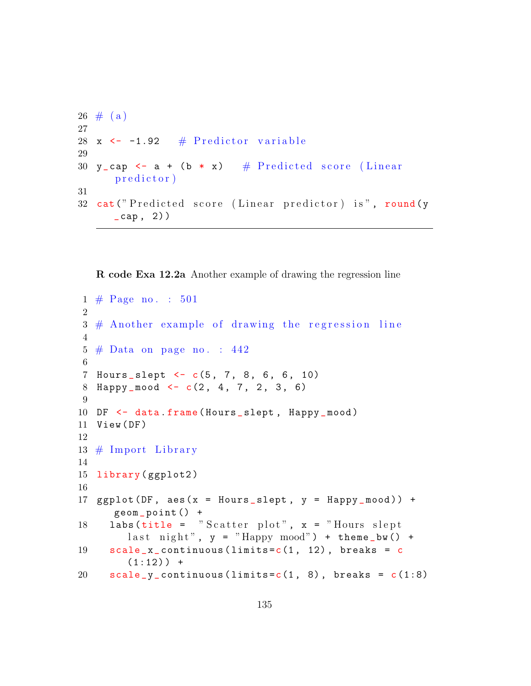```
26 \# (a)27
28 x \leftarrow -1.92 # Predictor variable
29
30 y_cap \leq - a + (b * x) # Predicted score (Linear
      predictor)31
32 cat ("Predicted score (Linear predictor) is", round (y
      \text{\_cap}, 2) )
```
R code Exa 12.2a Another example of drawing the regression line

```
1 \# \text{Page no. : } 501\mathfrak{D}3 \# Another example of drawing the regression line
4
5 \# Data on page no. : 442
6
7 Hours_slept <- c(5, 7, 8, 6, 6, 10)
8 Happy \text{mod} \leftarrow c(2, 4, 7, 2, 3, 6)9
10 DF \leq data frame (Hours slept, Happy mood)
11 View (DF)
12
13 \# Import Library
14
15 library (ggplot2)
16
17 ggplot (DF, aes(x = Hours_slept, y = Happy_mood)) +
      geom _ point () +
18 labs (title = "Scatter plot", x = "Hours slept
        last night", y = "Happy mood") + theme_bw() +
19 scale_x_continuous (\limits = c(1, 12), breaks = c
        (1:12)) +
20 \text{scale}_y_\text{1} continuous (limits=c(1, 8), breaks = c(1:8)
```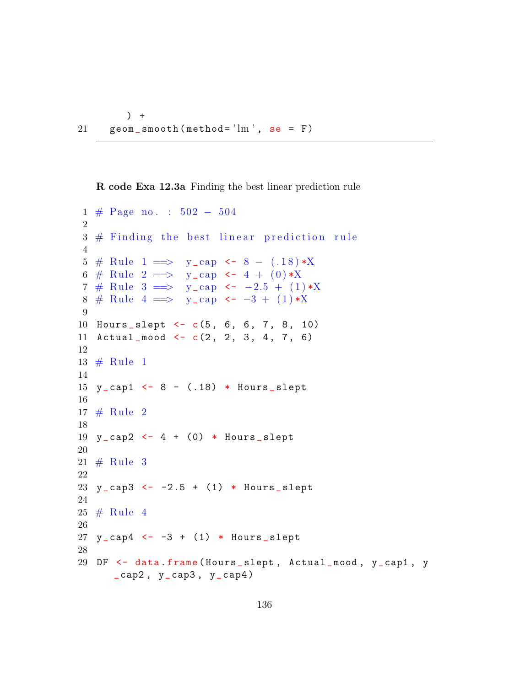```
) +21 geom_smooth (method=\lim', se = F)
```
R code Exa 12.3a Finding the best linear prediction rule

```
1 # Page no . : 502 − 504
 2
3 \# Finding the best linear prediction rule
4
5 # Rule 1 \implies y_{cap} < 8 - (.18) * X6 # Rule 2 = > y_cap <- 4 + (0)*X7 # Rule 3 = > y_cap <- -2.5 + (1) *X8 # Rule 4 = > y_cap <- -3 + (1) *X
9
10 Hours _ slept <- c(5 , 6, 6 , 7 , 8, 10)
11 Actual_mood \leq c(2, 2, 3, 4, 7, 6)
12
13 \# \text{Rule} 114
15 y_{cap1} < -8 - (.18) * Hours_{short}16
17 # Rule 2
18
19 y_cap2 <- 4 + (0) * Hours_slept
20
21 # Rule 3
22
23 y_{ca} \le -2.5 + (1) * Hours slept
24
25 # Rule 4
26
27 \text{ y\_cap4} \leftarrow -3 + (1) * \text{ Hours\_slept}28
29 DF <- data . frame ( Hours _slept , Actual _mood , y_cap1 , y
      \text{\_cap2}, y \text{\_cap3}, y \text{\_cap4}
```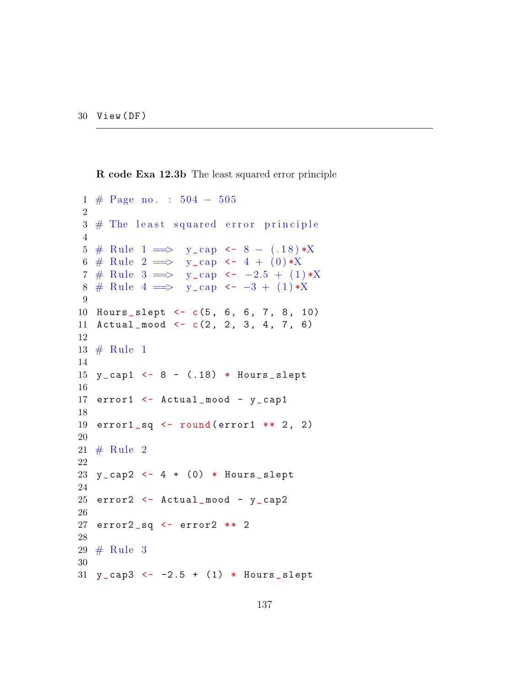R code Exa 12.3b The least squared error principle

```
1 # Page no . : 504 − 505
2
3 \# The least squared error principle
4
5 # Rule 1 = > y_cap <- 8 - (.18) *X
6 # Rule 2 = > y_cap <- 4 + (0) *X
7 # Rule 3 = > y_cap <- -2.5 + (1) *X
8 # Rule 4 = > y_cap <- -3 + (1) *X
9
10 Hours _ slept <- c(5 , 6, 6 , 7 , 8, 10)
11 Actual_mood \leq c(2, 2, 3, 4, 7, 6)
12
13 \# \text{Rule} 114
15 y_ cap1 <- 8 - (.18) * Hours _ slept
16
17 error1 <- Actual_mood - y_cap1
18
19 error1 sq \leftarrow round (error1 ** 2, 2)
20
21 # Rule 2
22
23 y_cap2 <- 4 + (0) * Hours_slept
24
25 error2 <- Actual_mood - y_cap2
26
27 error2 _sq <- error2 ** 2
28
29 # Rule 3
30
31 \text{ y\_cap3} \leftarrow -2.5 + (1) * Hours slept
```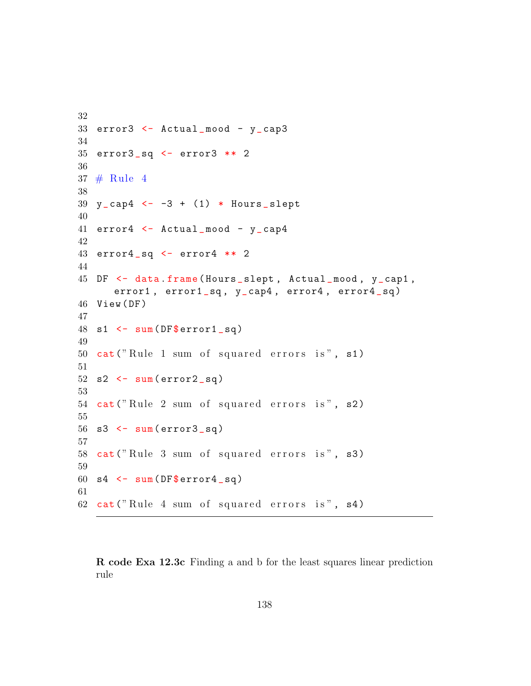```
32
33 error3 \le - Actual mood - y cap3
34
35 error3 sq \leq error3 ** 2
36
37 \# Rule 4
38
39 \text{ y }<sub>cap</sub>4 <- -3 + (1) * Hours _slept
40
41 error4 <- Actual_mood - y_cap4
42
43 error4 sq \le error4 ** 2
44
45 DF <- data . frame ( Hours _slept , Actual _mood , y_cap1 ,
      error1, error1_sq, y_cap4, error4, error4_sq)
46 View ( DF )
47
48 s1 \leftarrow sum (DF$ error1_sq)
49
50 cat ("Rule 1 sum of squared errors is", s1)
51
52 s2 \leftarrow sum (error2_sq)
53
54 cat ("Rule 2 sum of squared errors is", s2)
55
56 s3 \leftarrow sum (error3_sq)
57
58 cat ("Rule 3 sum of squared errors is", s3)
59
60 s4 \leq -sum(DF\error4_sgq)
61
62 cat ("Rule 4 sum of squared errors is", s4)
```
R code Exa 12.3c Finding a and b for the least squares linear prediction rule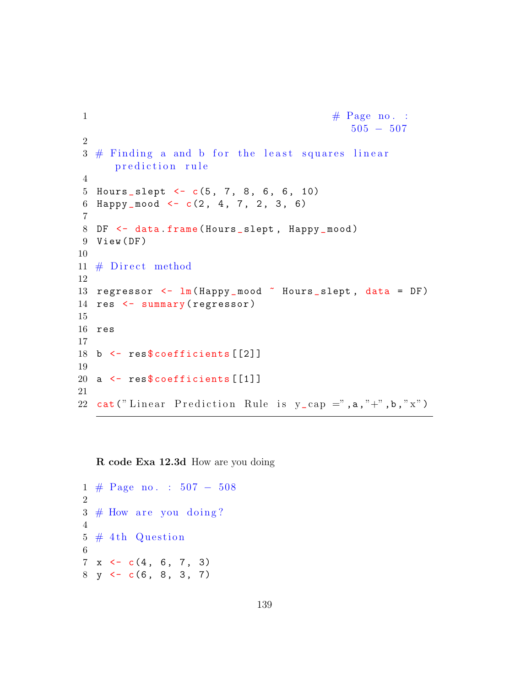```
1 \# \text{Page no. :}505 − 507
2
3 \# Finding a and b for the least squares linear
      prediction rule
4
5 Hours_slept \leq c(5, 7, 8, 6, 6, 10)6 Happy \text{mod} < -c(2, 4, 7, 2, 3, 6)7
8 DF <- data.frame (Hours_slept, Happy_mood)
9 View ( DF )
10
11 # Direct method
12
13 regressor \leq \lim(\text{Happy\_mod} \tilde{\}) Hours_slept, data = DF)
14 res \leftarrow summary (regressor)
15
16 res
17
18 b \leq res$ coefficients [[2]]
19
20 a \leq res$coefficients [[1]]
21
22 cat ("Linear Prediction Rule is y_{cap} =",a,"+",b,"x")
```
R code Exa 12.3d How are you doing

```
1 # Page no . : 507 − 508
2
3 \# How are you doing?
4
5 \# 4th Question
6
7 \times \leftarrow c(4, 6, 7, 3)8 \text{ y} \leftarrow c(6, 8, 3, 7)
```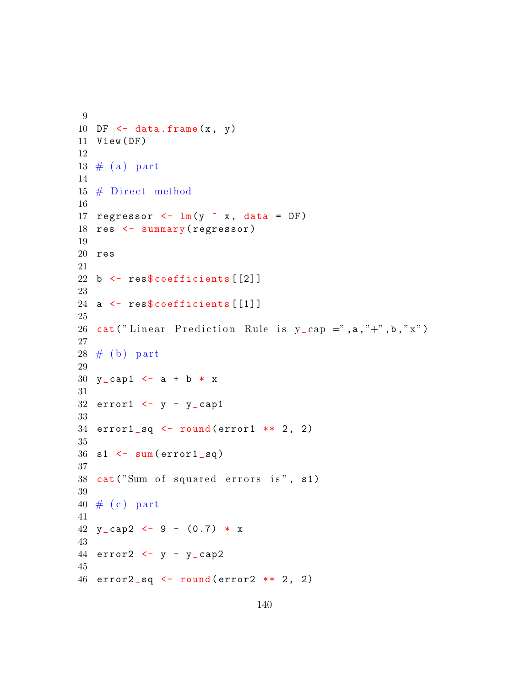```
9
10 DF \leq data . frame (x, y)11 View (DF)
12
13 \# (a) part
14
15 \# Direct method
16
17 regressor \leq -\ln(y \times x), data = DF)
18 res <- summary (regressor)
19
20 res
21
22 b \le res$ coefficients [[2]]
23
24 a \leq res$coefficients [[1]]
25
26 cat ("Linear Prediction Rule is y_{cap} =", a, "+", b, "x")
27
28 \# (b) part
29
30 y cap1 <- a + b * x
31
32 error1 \leftarrow y - y cap1
33
34 error1 sq \leq round (error1 ** 2, 2)
35
36 \text{ s1} <- sum (error1_sq)
37
38 cat ("Sum of squared errors is", s1)
39
40 \# (c) part
41
42 y_cap2 <- 9 - (0.7) * x
43
44 error2 < -y - y_{cap245
46 error2_sq \leftarrow round (error2 ** 2, 2)
```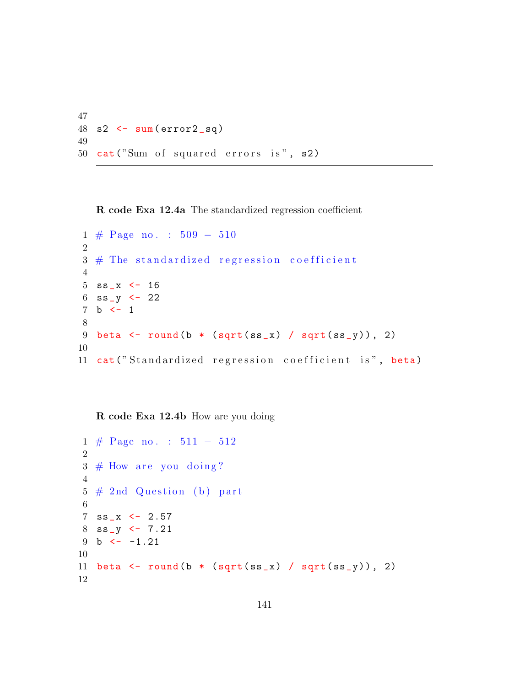```
47
48 s2 \leftarrow sum (error2_sq)
49
50 cat("Sum of squared errors is", s2)
```
R code Exa 12.4a The standardized regression coefficient

```
1 # Page no . : 509 − 510
2
3 \# The standardized regression coefficient
4
5 ss_x \leftarrow 16
6 ss_y \leftarrow 227 b <-18
9 beta \le round (b * (sqrt (ss_x) / sqrt (ss_y)), 2)
10
11 cat ("Standardized regression coefficient is", beta)
```
R code Exa 12.4b How are you doing

```
1 # Page no . : 511 − 512
2
3 \# How are you doing?
4
5 \# 2nd Question (b) part
6
7 ss_x <-2.578 ss_y <- 7.21
9 b \leftarrow -1.2110
11 beta \le round (b * (sqrt (ss_x) / sqrt (ss_y)), 2)
12
```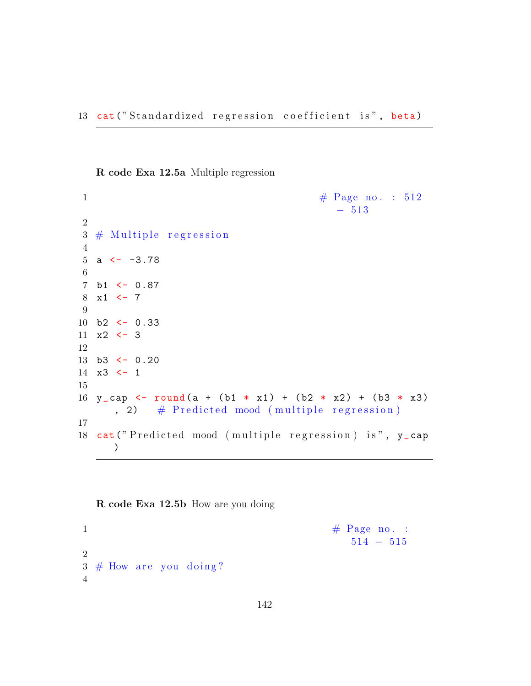R code Exa 12.5a Multiple regression

```
1 \# \text{Page no. : } 512− 513
2
3 \# Multiple regression
4
5 a \leftarrow -3.786
7 b1 <- 0.87
8 \times 1 \leftarrow 79
10 b2 <- 0.33
11 \times 2 \leftarrow 312
13 b3 <- 0.20
14 \times 3 \leftarrow 115
16 y_cap <- round (a + (b1 * x1) + (b2 * x2) + (b3 * x3)
      , 2) \# Predicted mood (multiple regression)
17
18 cat ("Predicted mood (multiple regression) is", y_cap
      \left( \right)
```
R code Exa 12.5b How are you doing

 $\frac{4}{3}$  Page no. : 514 − 515 2  $3 \#$  How are you doing? 4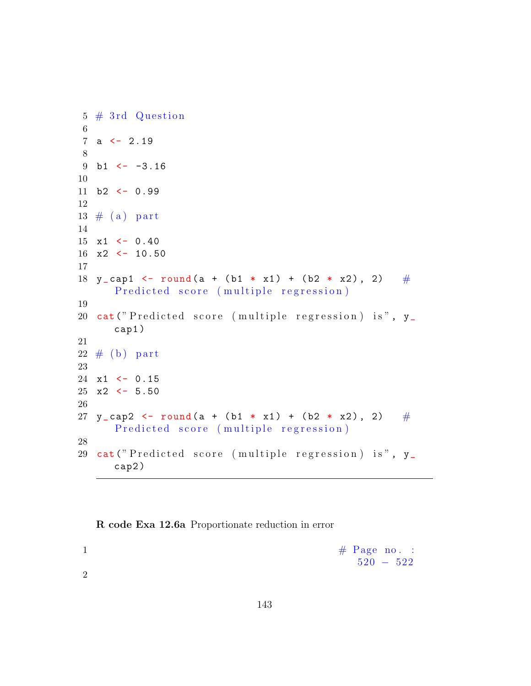```
5 \# 3rd Question
6
7 a \leftarrow 2.19
8
9 b1 \leftarrow -3.1610
11 b2 \leftarrow 0.9912
13 \# (a) part
14
15 \times 1 \leftarrow 0.4016 \times 2 \leftarrow 10.5017
18 y_cap1 <- round (a + (b1 * x1) + (b2 * x2), 2) \#Predicted score (multiple regression)
19
20 cat ("Predicted score (multiple regression) is", y_
       cap1 )
21
22 \# (b) part
23
24 \times 1 \leftarrow 0.1525 \times 2 \leftarrow 5.5026
27 y_cap2 <- round (a + (b1 * x1) + (b2 * x2), 2) #Predicted score (multiple regression)
28
29 cat ("Predicted score (multiple regression) is", y_
       cap2 )
```
R code Exa 12.6a Proportionate reduction in error

|  | $\#$ Page no. : |  |  |
|--|-----------------|--|--|
|  | $520 - 522$     |  |  |

2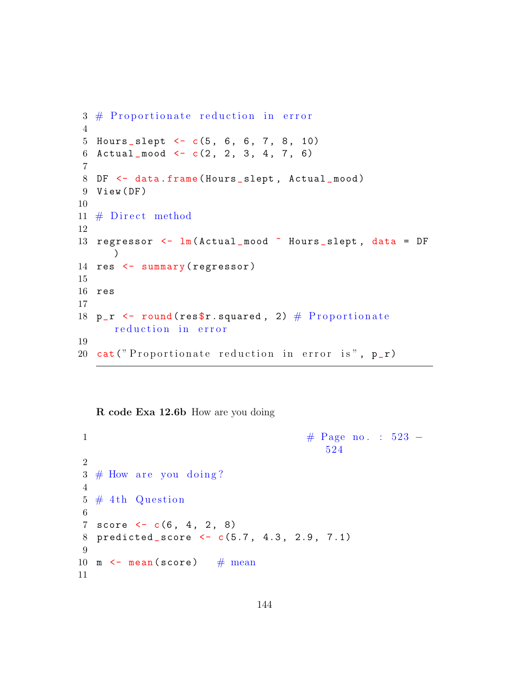```
3 \# Proportionate reduction in error
4
5 Hours_slept \leftarrow c(5, 6, 6, 7, 8, 10)6 Actual_mood \leq c(2, 2, 3, 4, 7, 6)7
8 DF <- data.frame (Hours_slept, Actual_mood)
9 View ( DF )
10
11 # Direct method
12
13 regressor \leq \ln(\text{Actual}\_\text{mod}^{\sim}\text{Hours}\_\text{sleept}, data = DF
      )14 res \leftarrow summary (regressor)
15
16 res
17
18 p_r \le round (res$r. squared, 2) \# Proportionate
      reduction in error
19
20 cat ("Proportionate reduction in error is", p_r)
```
R code Exa 12.6b How are you doing

```
1 \#\text{ Page no. : } 523 -524
2
3 \# How are you doing?
4
5 \# 4th Question
6
7 score <-c(6, 4, 2, 8)8 predicted_score <- c(5.7, 4.3, 2.9, 7.1)
9
10 m \leftarrow mean (score) \# mean
11
```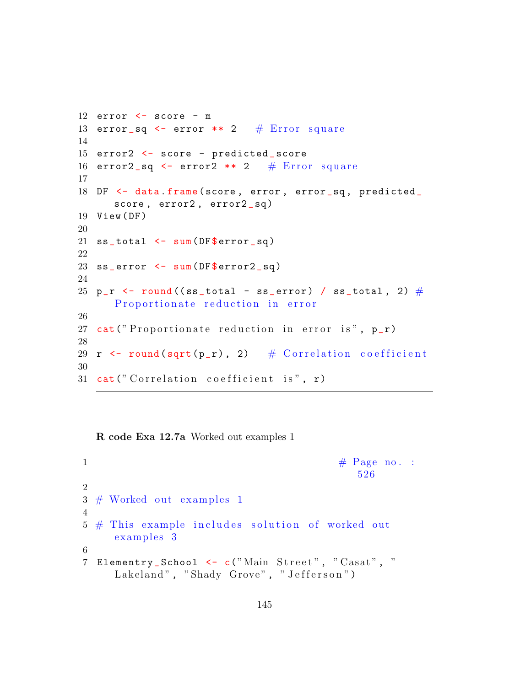```
12 error \leq score - m
13 error sq \leq error ** 2 # Error square
14
15 error2 <- score - predicted _ score
16 error2_sq \leq error2 ** 2 # Error square
17
18 DF <- data.frame (score, error, error_sq, predicted_
      score, error2, error2_sq)
19 View (DF)
20
21 ss\_total \leftarrow sum(DF$error_sq)22
23 ss_error <- sum (DF$ error 2_sq)
24
25 p_r \leftarrow round ((ss_total - ss_error) / ss_total, 2) \#Proportionate reduction in error
26
27 cat ("Proportionate reduction in error is", p_r)
28
29 r \le round (sqrt (p_r), 2) # Correlation coefficient
30
31 cat ("Correlation coefficient is", r)
```
R code Exa 12.7a Worked out examples 1

 $\frac{4}{\sqrt{7}}$  Page no. : 526 2  $3 \#$  Worked out examples 1 4  $5 \#$  This example includes solution of worked out examples 3 6 7 Elementry\_School <- c("Main Street", "Casat", " Lakeland", "Shady Grove", "Jefferson")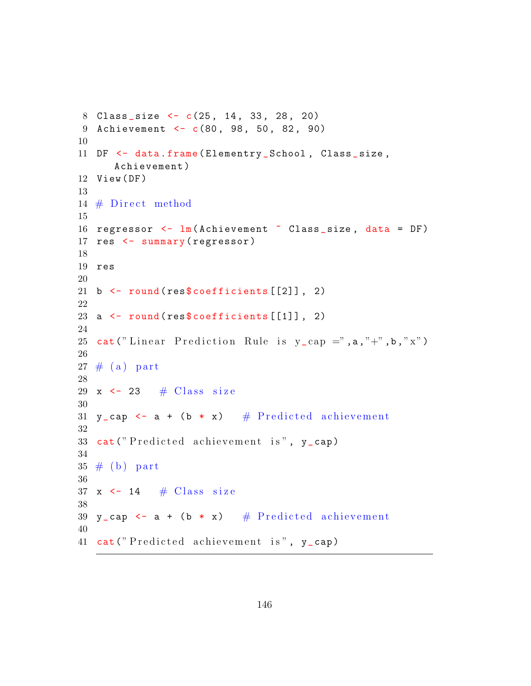```
8 Class_size <- c(25, 14, 33, 28, 20)
9 Achievement <- c(80, 98, 50, 82, 90)
10
11 DF \leq data . frame (Elementry School, Class size,
      Achievement )
12 View ( DF )
13
14 \# Direct method
15
16 regressor \leq \ln(\text{Achievement} \times \text{Class_size}, \text{data} = \text{DF})17 res \leftarrow summary (regressor)
18
19 res
20
21 b \leftarrow round (res $ coefficients [[2]], 2)
22
23 a \leftarrow round (res $coefficients [[1]], 2)
24
25 cat ("Linear Prediction Rule is y_{cap} =", a, "+", b, "x")
26
27 \# (a) part
28
29 x \leftarrow 23 \# Class size
30
31 y_cap \leq - a + (b \ast x) # Predicted achievement
32
33 cat ("Predicted achievement is", y_cap)
34
35 \# (b) part
36
37 x \leftarrow 14 \# Class size
38
39 y_cap <- a + (b * x) # Predicted achievement
40
41 cat ("Predicted achievement is", y_cap)
```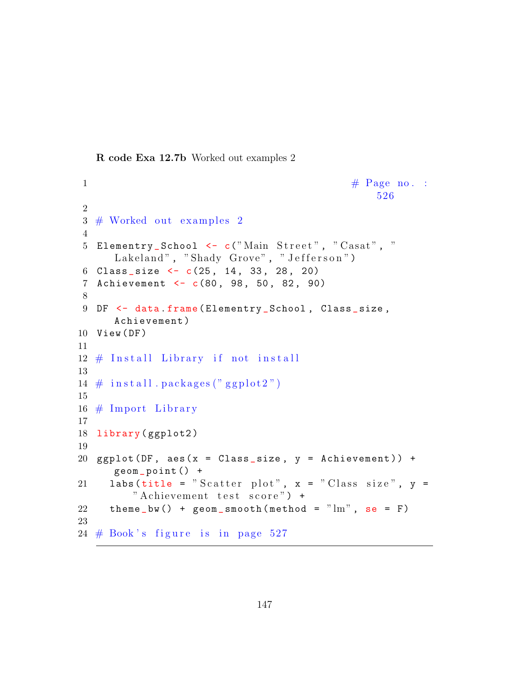R code Exa 12.7b Worked out examples 2

```
1 \# \text{ Page no. :}526
2
3 \# Worked out examples 2
4
5 Elementry_School <- c("Main Street", "Casat", "
     Lakeland", "Shady Grove", "Jefferson")
6 Class_size \leftarrow c(25, 14, 33, 28, 20)
7 Achievement <- c(80 , 98 , 50 , 82 , 90)
8
9 DF \leq data.frame (Elementry_School, Class_size,
     Achievement )
10 View (DF)
11
12 \# Install Library if not install
13
14 \# in stall . packages ("ggplot2")
15
16 \# Import Library
17
18 library (ggplot2)
19
20 ggplot (DF, acs(x = Class_size, y = Achievement)) +
     geom _ point () +
21 labs (title = "Scatter plot", x = "Class size", y =" Achievement test score") +
22 theme_bw() + geom\_smooth(method = "lm", se = F)23
24 \# Book's figure is in page 527
```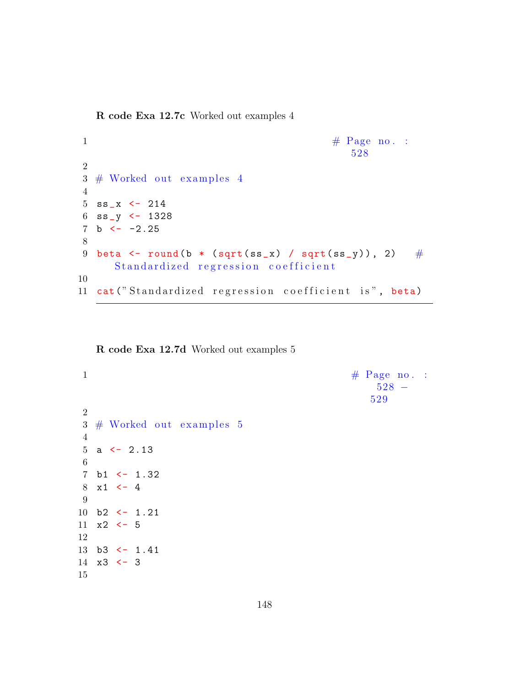R code Exa 12.7c Worked out examples 4

```
1 \# \text{Page no. :}528
2
3 \# Worked out examples 4
4
5 ss_x \leftarrow 214
6 ss_y <- 1328
7 b \leftarrow -2.258
9 beta \le round (b * (sqrt (ss_x) / sqrt (ss_y)), 2) \#Standardized regression coefficient
10
11 cat ("Standardized regression coefficient is", beta)
```
R code Exa 12.7d Worked out examples 5

```
1 \# \text{ Page no. :}528 −
                                                        529
2
3 \# Worked out examples 54
5 a \leftarrow 2.13
6
7 b1 \leftarrow 1.32
8 \times 1 \leftarrow 49
10 b2 \leftarrow 1.21
11 \times 2 \leftarrow 512
13 b3 <- 1.41
14 \times 3 \leftarrow 315
```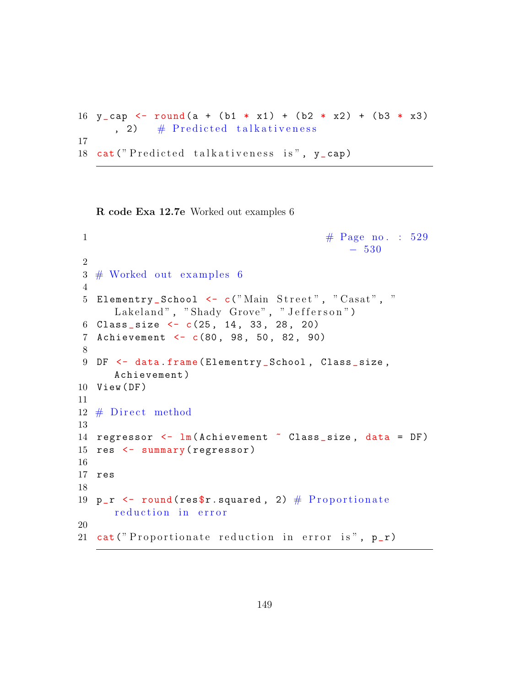```
16 y_cap <- round (a + (b1 * x1) + (b2 * x2) + (b3 * x3)
      , 2) \# Predicted talkativeness
17
18 cat ("Predicted talkativeness is", y_cap)
```
R code Exa 12.7e Worked out examples 6

```
1 \# \text{Page no. : } 529− 530
2
3 \# Worked out examples 6
 4
5 Elementry_School <- c("Main Street", "Casat", "
      Lakeland", "Shady Grove", "Jefferson")
6 Class_size \leftarrow c(25, 14, 33, 28, 20)
7 Achievement <- c(80 , 98 , 50 , 82 , 90)
8
9 DF \leq data.frame (Elementry School, Class size,
      Achievement )
10 View (DF)
11
12 \# Direct method
13
14 regressor \leq \lim_{n \to \infty} (Achievement \infty Class_size, data = DF)
15 res \leftarrow summary (regressor)
16
17 res
18
19 p_r \le round (res$r. squared, 2) \# Proportionate
      reduction in error
20
21 cat ("Proportionate reduction in error is", p_r)
```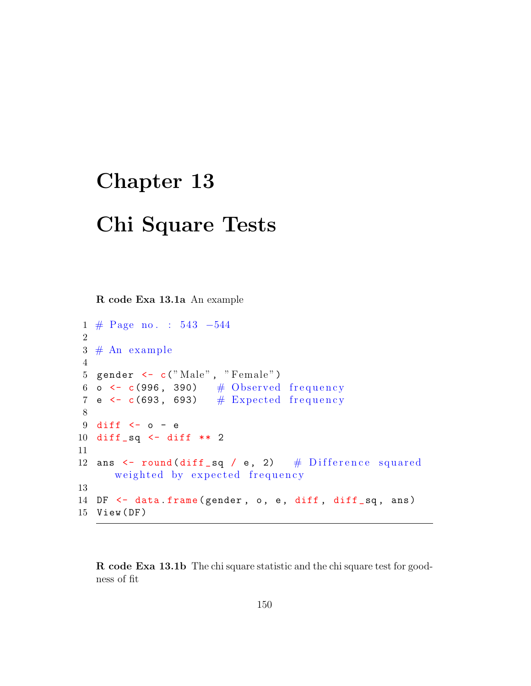## Chapter 13

## Chi Square Tests

R code Exa 13.1a An example

```
1 # Page no . : 543 −544
2
3 # An example
4
5 gender \leftarrow c("Male", "Female")
6 o \leftarrow c(996, 390) # Observed frequency
7 e \leq c(693, 693) \# Expected frequency
8
9 diff <- 0 - e10 diff _sq <- diff ** 2
11
12 ans \le round (diff sq / e, 2) \# Difference squared
      weighted by expected frequency
13
14 DF \leq data frame (gender, o, e, diff, diff_sq, ans)
15 View ( DF )
```
R code Exa 13.1b The chi square statistic and the chi square test for goodness of fit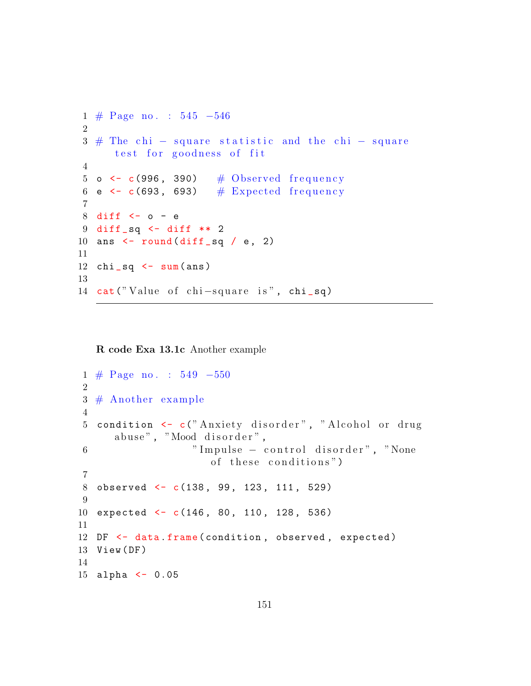```
1 # Page no . : 545 −546
2
3 \# The chi – square statistic and the chi – square
      test for goodness of fit
4
5 o \leftarrow c(996, 390) # Observed frequency
6 e \leftarrow c(693, 693) \# Expected frequency
7
8 diff <- 0 - e9 diff _sq <- diff ** 2
10 ans \le round (diff sq / e, 2)
11
12 chi\_sq \leftarrow sum(\text{ans})13
14 cat ("Value of chi-square is", chi_sq)
```
R code Exa 13.1c Another example

```
1 # Page no . : 549 −550
2
3 # Another example
4
5 condition <- c("Anxiety disorder", "Alcohol or drug
     abuse", "Mood disorder",
6 " Impulse – control disorder", "None
                     of these conditions")
7
8 observed <- c(138 , 99 , 123 , 111 , 529)
9
10 expected <- c(146 , 80 , 110 , 128 , 536)
11
12 DF \leq data . frame (condition, observed, expected)
13 View (DF)
14
15 alpha <- 0.05
```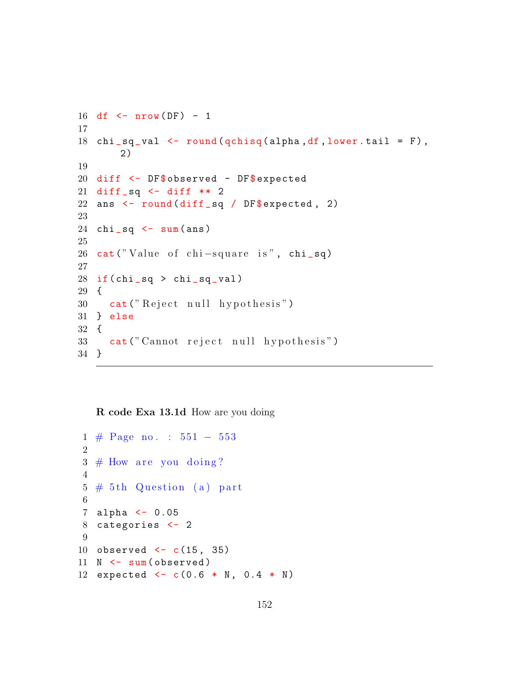```
16 df \leq nrow (DF) - 1
17
18 chi_sq_val \leq round (qchisq (alpha, df, lower.tail = F),
       2)
19
20 diff <- DF$ observed - DF$ expected
21 diff_sq \le diff ** 2
22 ans \le round (diff sq / DF$ expected, 2)
23
24 chi_sq \leq sum(ans)
25
26 cat ("Value of chi-square is", chi_sq)
27
28 if \left(\text{chi\_sq} > \text{chi\_sq\_val}\right)29 {
30 cat ("Reject null hypothesis")
31 } else
32 {
33 cat (" Cannot reject null hypothesis")
34 }
```
R code Exa 13.1d How are you doing

```
1 # Page no . : 551 − 553
2
3 \# How are you doing?
4
5 \# 5th Question (a) part
6
7 alpha <- 0.05
8 categories <- 2
9
10 observed <- c(15 , 35)
11 N \leq sum (observed)
12 expected \leq -c (0.6 * N, 0.4 * N)
```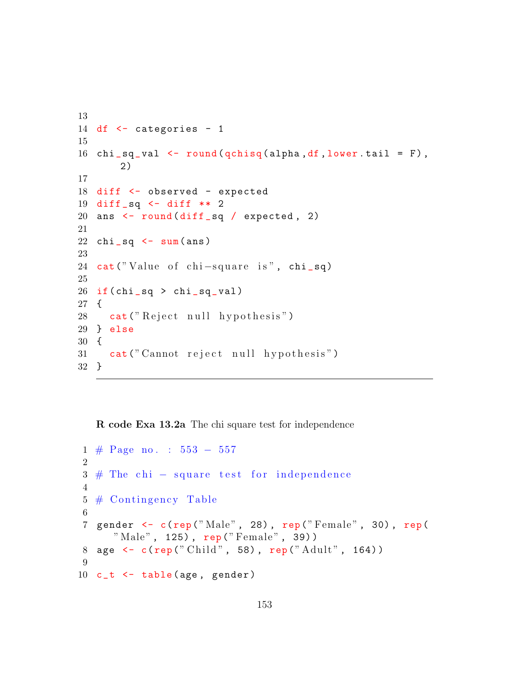```
13
14 df <- categories - 1
15
16 chi sq_val <- round (qchisq (alpha, df, lower . tail = F),
       2)
17
18 diff <- observed - expected
19 diff _sq <- diff ** 2
20 ans \le round (diff sq / expected, 2)
21
22 chi_sq \leq sum(ans)
23
24 cat ("Value of chi-square is", chi_sq)
25
26 if \left(\text{chi\_sq} > \text{chi\_sq\_val}\right)27 {
28 cat ("Reject null hypothesis")
29 } else
30 {
31 cat (" Cannot reject null hypothesis")
32 }
```
R code Exa 13.2a The chi square test for independence

```
1 # Page no . : 553 − 557
2
3 \# The chi – square test for independence
4
5 \# Contingency Table
6
7 gender <- c(rep("Male", 28), rep("Female", 30), rep(
     "Male", 125), rep ("Female", 39))
8 age <- c(rep("Child", 58), rep("Adult", 164))
9
10 c_t \le table (age, gender)
```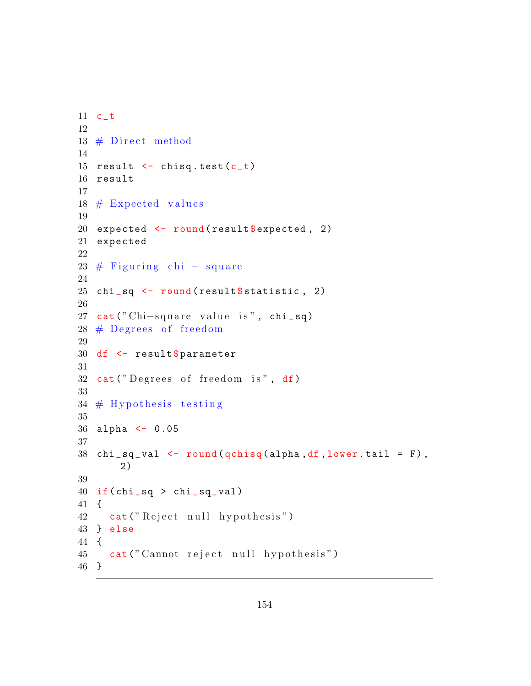```
11 c_t
12
13 \# Direct method
14
15 result \leftarrow chisq.test(c_t)
16 result
17
18 \# Expected values
19
20 expected \leq round (result $ expected, 2)
21 expected
22
23 \# Figuring chi – square
24
25 chi_sq \le round (result $ statistic, 2)
26
27 cat (" Chi-square value is", chi_sq)
28 \# Degrees of freedom
29
30 df \leq result $ parameter
31
32 cat ("Degrees of freedom is", df)
33
34 \# Hypothesis testing
35
36 alpha <- 0.05
37
38 chi_sq_val \leq round (qchisq (alpha, df, lower.tail = F),
       2)
39
40 if (\text{chi\_sq} > \text{chi\_sq\_val})41 {
42 cat ("Reject null hypothesis")
43 } else
44 {
45 cat (" Cannot reject null hypothesis")
46 }
```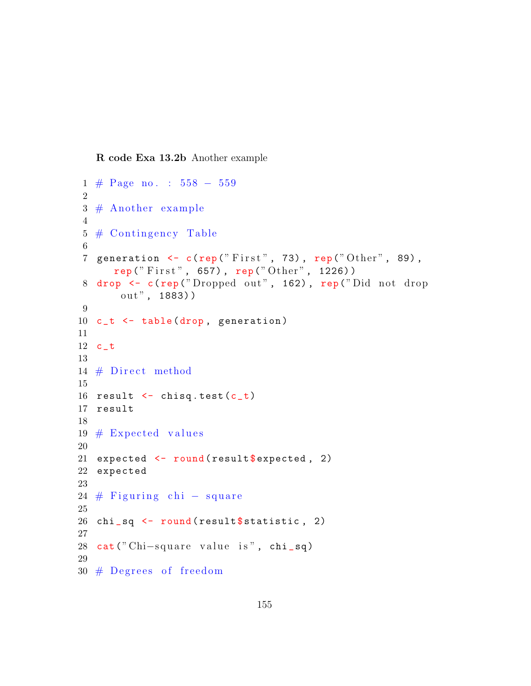R code Exa 13.2b Another example

```
1 # Page no . : 558 − 559
\mathcal{D}3 \# Another example
4
5 \# Contingency Table
6
7 generation \leq c(rep("First", 73), rep("Other", 89),
      rep(" First", 657), rep("Other", 1226))8 drop <- c(rep("Dropped out", 162), rep("Did not drop
       out", 1883))
9
10 c_t <- table (drop, generation)
11
12 c_t
13
14 \# Direct method
15
16 result \leq chisq.test (c_t)17 result
18
19 \# Expected values
20
21 expected \leq round (result $ expected, 2)
22 expected
23
24 \# Figuring chi – square
25
26 chi_sq \le round (result $ statistic, 2)
27
28 cat ("Chi-square value is", chi_sq)
29
30 \# Degrees of freedom
```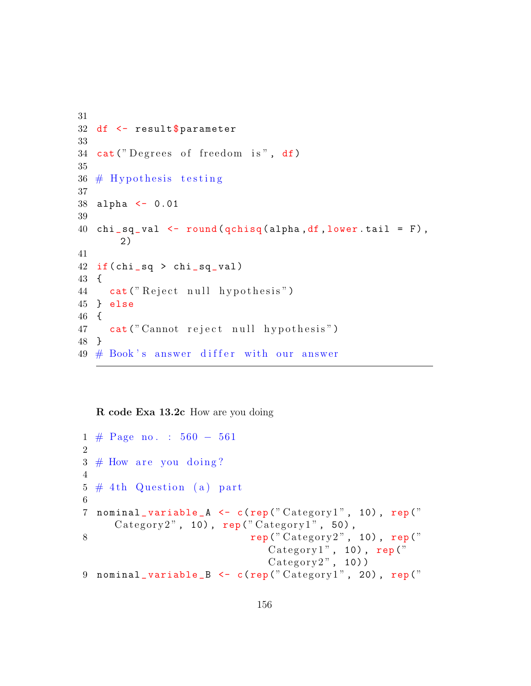```
31
32 df <- result$parameter
33
34 cat("Degrees of freedom is", df)35
36 \# Hypothesis testing
37
38 alpha <- 0.01
39
40 chi_sq_val \leftarrow round (qchisq (alpha, df, lower.tail = F),
       2)
41
42 if (\text{chi\_sq} > \text{chi\_sq\_val})43 {
44 cat ("Reject null hypothesis")
45 } else
46 {
47 cat (" Cannot reject null hypothesis")
48 }
49 \# Book's answer different differ with our answer
```
R code Exa 13.2c How are you doing

```
1 # Page no . : 560 − 561
2
3 \# How are you doing?
4
5 \# 4th Question (a) part
6
7 nominal_variable_A <- c(rep("Category1", 10), rep("
     Category2", 10), rep("Category1", 50),
\mathbf{rep} ("Category2", 10), rep ("
                              \text{Categorical}", 10), rep ("
                              \text{Category2}", 10))
9 nominal_variable_B <- c(rep("Categorical", 20), rep("
```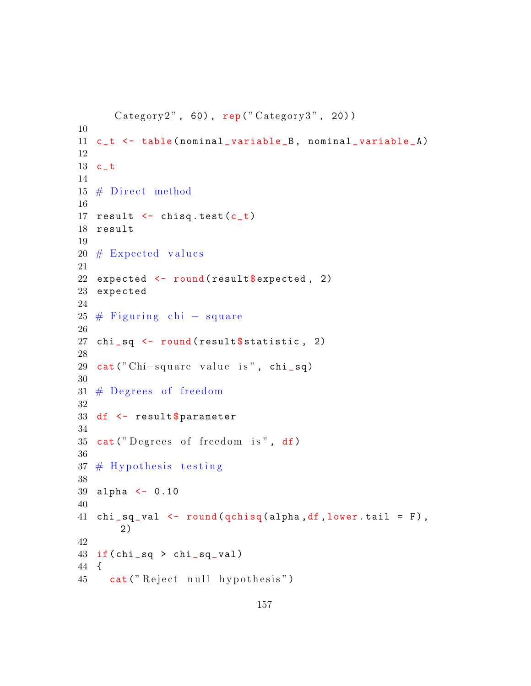```
Category2", 60), rep("Category3", 20)10
11 c_t <- table (nominal_variable_B, nominal_variable_A)
12
13 c_t
14
15 \# Direct method
16
17 result \leftarrow chisq.test(c_t)
18 result
19
20 \# Expected values
21
22 expected \le round (result $ expected, 2)
23 expected
24
25 \# Figuring chi – square
26
27 chi_sq <- round (result $ statistic, 2)
28
29 cat (" Chi-square value is", chi_sq)
30
31 \# Degrees of freedom
32
33 df \leq result $ parameter
34
35 cat("Degrees of freedom is", df)36
37 \# Hypothesis testing
38
39 alpha <- 0.10
40
41 chi_sq_val \leftarrow round (qchisq (alpha, df, lower.tail = F),
       2)
42
43 if \left(\text{chi\_sq} > \text{chi\_sq\_val}\right)44 {
45 cat ("Reject null hypothesis")
```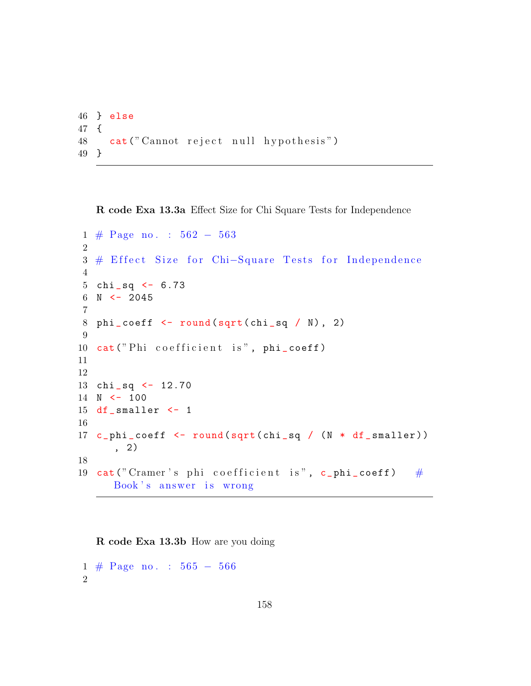```
46 } else
47 {
48 cat (" Cannot reject null hypothesis")
49 }
```
R code Exa 13.3a Effect Size for Chi Square Tests for Independence

```
1 # Page no . : 562 − 563
2
3 # Effect Size for Chi-Square Tests for Independence
4
5 chi _sq <- 6.73
6 N < -20457
8 phi_coeff \le round (sqrt (chi_sq / N), 2)
9
10 cat ("Phi coefficient is", phi_coeff)
11
12
13 chi _sq <- 12.70
14 N <- 100
15 df smaller <-116
17 c_phi_coeff <- round (sqrt (chi_sq / (N * df_smaller))
      , 2)
18
19 cat ("Cramer's phi coefficient is", c_phi_coeff) \#Book's answer is wrong
```
R code Exa 13.3b How are you doing

1 # Page no . : 565 − 566  $\mathcal{D}_{\mathcal{L}}$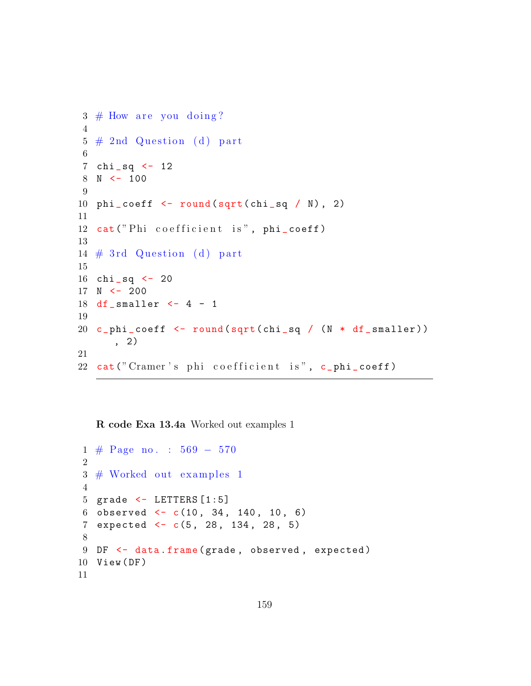```
3 \# How are you doing?
4
5 \# 2nd Question (d) part
6
7 chi sq <-128 N < - 1009
10 phi\_coeff <- round (sqrt (chi_sq / N), 2)
11
12 cat ("Phi coefficient is", phi_coeff)
13
14 \# 3rd Question (d) part
15
16 chi _sq <- 20
17 N < -20018 df smaller \leftarrow 4 - 1
19
20 c_phi_coeff <- round (sqrt (chi_sq / (N * df_smaller))
      , 2)
21
22 cat ("Cramer's phi coefficient is", c_phi_coeff)
```
R code Exa 13.4a Worked out examples 1

```
1 # Page no . : 569 − 570
2
3 \# Worked out examples 1
4
5 grade <- LETTERS [1:5]
6 observed \leq c(10, 34, 140, 10, 6)7 expected <- c(5, 28, 134, 28, 5)
8
9 DF <- data.frame (grade, observed, expected)
10 View (DF)
11
```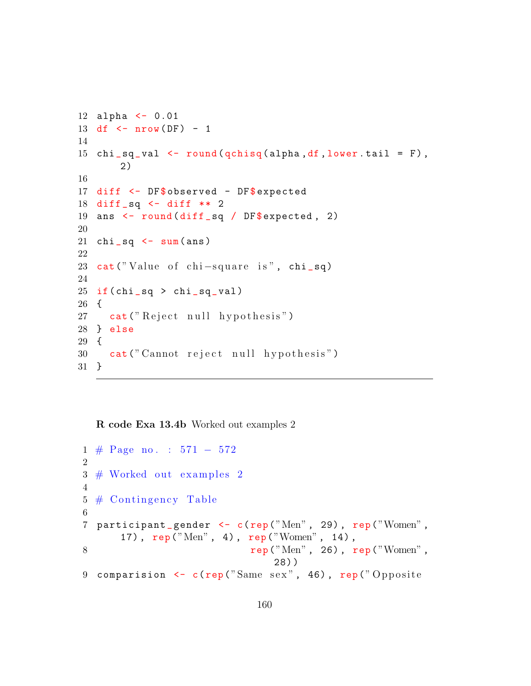```
12 alpha <- 0.01
13 df \leq nrow (DF) - 1
14
15 chi sq_val <- round (qchisq (alpha, df, lower. tail = F),
       2)
16
17 diff <- DF$ observed - DF$ expected
18 diff _sq <- diff ** 2
19 ans \le round (diff sq / DF$ expected, 2)
20
21 chi_sq \leq sum(ans)
22
23 cat ("Value of chi-square is", chi_sq)
24
25 if \left(\text{chi\_sq} > \text{chi\_sq\_val}\right)26 {
27 cat ("Reject null hypothesis")
28 } else
29 {
30 cat (" Cannot reject null hypothesis")
31 }
```
R code Exa 13.4b Worked out examples 2

```
1 # Page no . : 571 − 572
2
3 \# Worked out examples 2
4
5 \# Contingency Table
6
7 participant_gender <- c(rep("Men", 29), rep("Women",
      17) , rep ("Men" , 4) , rep("Women" , 14) ,
\texttt{rep("Men", 26)}, \texttt{rep("Women",}28) )
9 comparision \leq c(rep("Same sex", 46), rep("Opposite
```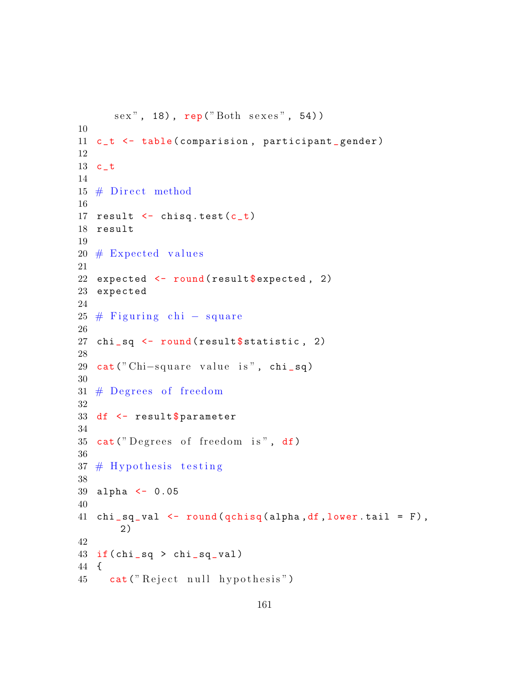```
sex", 18), rep ("Both sexes", 54))
10
11 c_t <- table (comparision, participant_gender)
12
13 c_t
14
15 \# Direct method
16
17 result \leftarrow chisq.test(c_t)
18 result
19
20 \# Expected values
21
22 expected \le round (result $ expected, 2)
23 expected
24
25 \# Figuring chi – square
26
27 chi_sq <- round (result $ statistic, 2)
28
29 cat (" Chi-square value is", chi_sq)
30
31 \# Degrees of freedom
32
33 df \leq result $ parameter
34
35 cat("Degrees of freedom is", df)36
37 \# Hypothesis testing
38
39 alpha <- 0.05
40
41 chi_sq_val \leq round (qchisq (alpha, df, lower.tail = F),
       2)
42
43 if \left(\text{chi\_sq} > \text{chi\_sq\_val}\right)44 {
45 cat ("Reject null hypothesis")
```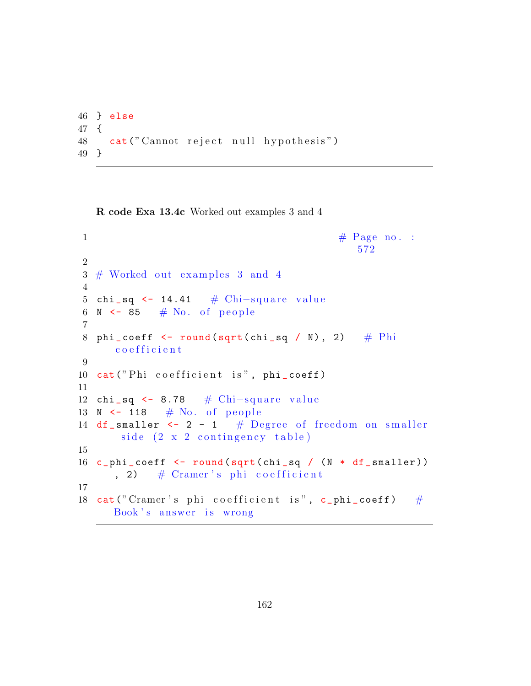```
46 } else
47 {
48 cat (" Cannot reject null hypothesis")
49 }
```
R code Exa 13.4c Worked out examples 3 and 4

```
\# \text{ Page no. :}572
2
3 \# Worked out examples 3 and 4
4
5 chi_sq <- 14.41 \# Chi-square value
6 N \leq 85 # No. of people
 7
8 phi_coeff \le round (sqrt (chi_sq / N), 2) # Phi
     c o e f f i c i e n t
9
10 cat ("Phi coefficient is", phi_coeff)
11
12 chi_sq <- 8.78 # Chi-square value
13 N \leftarrow 118 \# No. of people
14 df_smaller \leftarrow 2 - 1 # Degree of freedom on smaller
       side (2 x 2 containingency table)15
16 c phi coeff \le round (sqrt (chi sq / (N * df _ smaller))
      , 2) \# Cramer's phi coefficient
17
18 cat ("Cramer's phi coefficient is", c_phi_coeff) \#Book's answer is wrong
```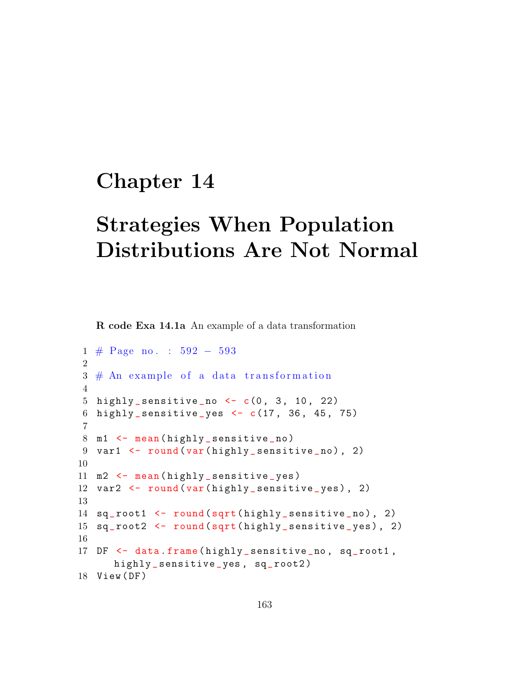## Chapter 14

## Strategies When Population Distributions Are Not Normal

R code Exa 14.1a An example of a data transformation

```
1 # Page no . : 592 − 593
2
3 \# An example of a data transformation
4
5 highly_sensitive_no \leftarrow c(0, 3, 10, 22)
6 highly _ sensitive _yes <- c(17 , 36 , 45 , 75)
7
8 m1 \leftarrow mean (highly_sensitive_no)
9 var1 <- round (var (highly_sensitive_no), 2)
10
11 m2 <- mean (highly_sensitive_yes)
12 var2 <- round (var (highly_sensitive_yes), 2)
13
14 sq_root1 <- round (sqrt (highly_sensitive_no), 2)
15 sq_root2 <- round (sqrt (highly_sensitive_yes), 2)
16
17 DF <- data.frame(highly_sensitive_no, sq_root1,
      highly_sensitive_yes, sq_root2)
18 View (DF)
```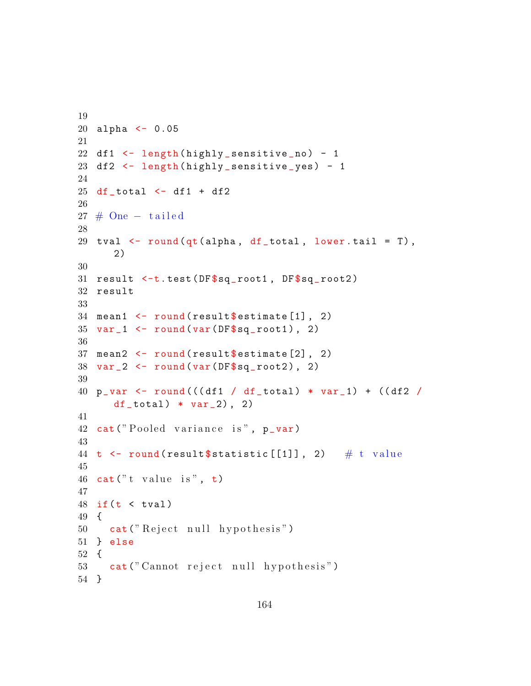```
19
20 alpha <- 0.05
21
22 df1 \leftarrow length (highly_sensitive_no) - 1
23 df2 <- length ( highly _ sensitive _yes ) - 1
24
25 df_total \leftarrow df1 + df2
26
27 \# One - tailed28
29 tval \leq round (qt (alpha, df _total, lower.tail = T),
       2)
30
31 result \leq-t.test (DF\sq_root1, DF\sq_root2)
32 result
33
34 mean1 \leq round (result $ estimate [1], 2)
35 \text{ var}_1 < -\text{round}(\text{var}(\text{DF}\$ \text{sq}_\text{root1}), 2)36
37 mean2 \le round (result \text{S} estimate [2], 2)
38 \text{ var } 2 \leq round (var (DF\sq_root2), 2)
39
40 p_var <- round(((df1 / df_{total}) * var_1) + ((df2 / f_{total}) * var_2)df_{total}) * var_{2}), 2)
41
42 cat ("Pooled variance is", p_var)
43
44 t \leftarrow round (result $statistic [[1]], 2) # t value
45
46 cat ("t value is", t)
47
48 if (t \lt t \text{val})49 {
50 cat ("Reject null hypothesis")
51 } else
52 {
53 cat (" Cannot reject null hypothesis")
54 }
```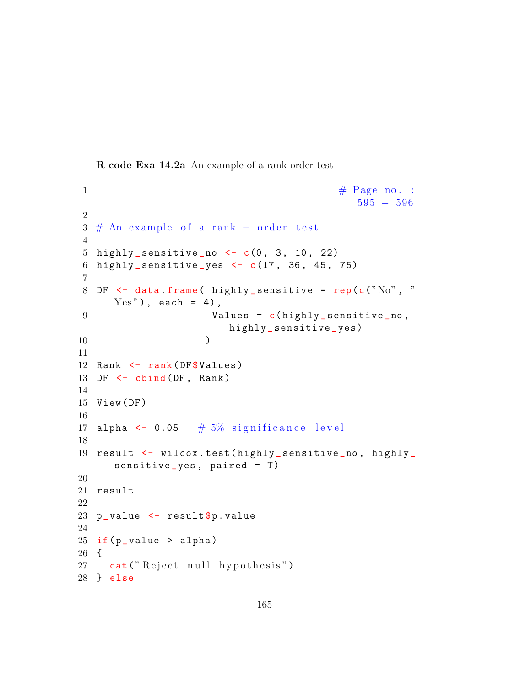R code Exa 14.2a An example of a rank order test

```
\#\text{ Page no. :}595 − 596
2
3 \# An example of a rank – order test
4
5 highly_sensitive_no \leftarrow c(0, 3, 10, 22)6 highly_sensitive_yes \leq c(17, 36, 45, 75)
7
8 DF \leq data frame (highly_sensitive = rep (c ("No", "
     Yes"), each = 4),
9 Values = c(highly_sensitive_no,
                       highly _ sensitive _yes )
10 )
11
12 Rank \leq rank (DF$ Values)
13 DF \leq cbind (DF, Rank)
14
15 View (DF)
16
17 alpha \leq 0.05 \# 5% significance level
18
19 result <- wilcox.test(highly_sensitive_no, highly_
     sensitive yes, paired = T)
20
21 result
22
23 p_value \leq result$p.value
24
25 if (p_value > alpha)26 {
27 cat ("Reject null hypothesis")
28 } else
```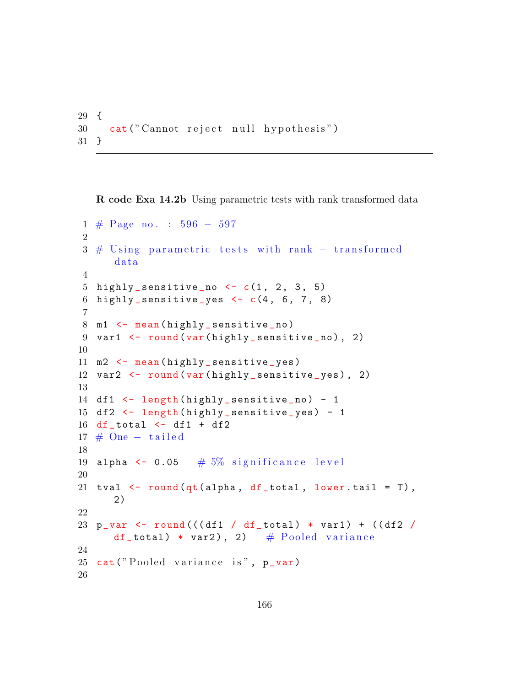```
29 {
30 cat (" Cannot reject null hypothesis")
31 }
```
R code Exa 14.2b Using parametric tests with rank transformed data

```
1 # Page no . : 596 − 597
2
3 # Using parametric tests with rank – transformed
      da ta
4
5 highly_sensitive_no \leftarrow c(1, 2, 3, 5)
6 highly_sensitive_yes <-c(4, 6, 7, 8)7
8 m1 \leftarrow mean (highly_sensitive_no)
9 var1 <- round (var (highly_sensitive_no), 2)
10
11 m2 \leftarrow mean (highly_sensitive_yes)
12 var2 <- round (var (highly_sensitive_yes), 2)
13
14 df1 <- length (highly_sensitive_no) - 1
15 df2 <- length (highly_sensitive_yes) - 1
16 df_total \leftarrow df1 + df2
17 \# One – tailed
18
19 alpha \leq 0.05 \# 5% significance level
20
21 tval \leq round (qt (alpha, df _total, lower . tail = T),
      2)
22
23 p_var <- round(((df1 / df_{total}) * var1) + ((df2 /df_total) * var2), 2) # Pooled variance
24
25 cat("Pooled variance is", p_var)26
```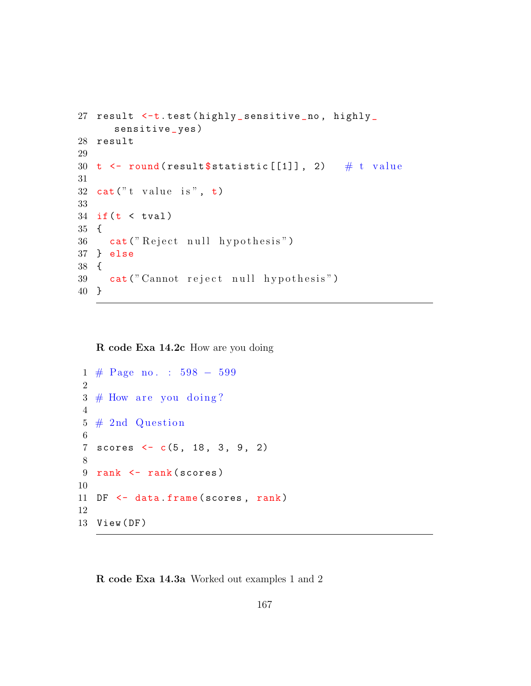```
27 result <-t.test(highly_sensitive_no, highly_
      sensitive _ yes )
28 result
29
30 t \leq round (result $statistic [[1]], 2) # t value
31
32 \text{ cat}("t value is", t)33
34 if (t \lt t \text{val})35 {
36 cat ("Reject null hypothesis")
37 } else
38 {
39 cat (" Cannot reject null hypothesis")
40 }
```
R code Exa 14.2c How are you doing

```
1 # Page no . : 598 − 599
2
3 \# How are you doing?
4
5 \# 2nd Question
6
7 scores <- c(5, 18, 3, 9, 2)
8
9 rank \leq rank (scores)
10
11 DF \leq data frame (scores, rank)
12
13 View (DF)
```
R code Exa 14.3a Worked out examples 1 and 2